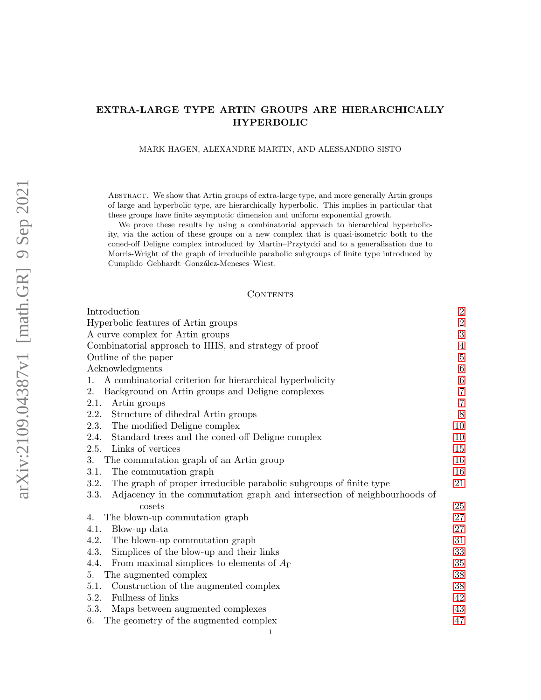# EXTRA-LARGE TYPE ARTIN GROUPS ARE HIERARCHICALLY HYPERBOLIC

MARK HAGEN, ALEXANDRE MARTIN, AND ALESSANDRO SISTO

Abstract. We show that Artin groups of extra-large type, and more generally Artin groups of large and hyperbolic type, are hierarchically hyperbolic. This implies in particular that these groups have finite asymptotic dimension and uniform exponential growth.

We prove these results by using a combinatorial approach to hierarchical hyperbolicity, via the action of these groups on a new complex that is quasi-isometric both to the coned-off Deligne complex introduced by Martin–Przytycki and to a generalisation due to Morris-Wright of the graph of irreducible parabolic subgroups of finite type introduced by Cumplido–Gebhardt–González-Meneses–Wiest.

### CONTENTS

| Introduction                                                                     | $\boldsymbol{2}$ |  |
|----------------------------------------------------------------------------------|------------------|--|
| Hyperbolic features of Artin groups                                              | $\sqrt{2}$       |  |
| A curve complex for Artin groups                                                 |                  |  |
| Combinatorial approach to HHS, and strategy of proof                             |                  |  |
| Outline of the paper                                                             |                  |  |
| Acknowledgments                                                                  |                  |  |
| A combinatorial criterion for hierarchical hyperbolicity<br>1.                   | $\,6\,$          |  |
| 2.<br>Background on Artin groups and Deligne complexes                           | $\,7$            |  |
| 2.1.<br>Artin groups                                                             | $\overline{7}$   |  |
| Structure of dihedral Artin groups<br>2.2.                                       | $8\,$            |  |
| 2.3.<br>The modified Deligne complex                                             | 10               |  |
| 2.4.<br>Standard trees and the coned-off Deligne complex                         | 10               |  |
| Links of vertices<br>2.5.                                                        | 15               |  |
| 3.<br>The commutation graph of an Artin group                                    | 16               |  |
| The commutation graph<br>3.1.                                                    | 16               |  |
| The graph of proper irreducible parabolic subgroups of finite type<br>3.2.       | 21               |  |
| Adjacency in the commutation graph and intersection of neighbourhoods of<br>3.3. |                  |  |
| cosets                                                                           | 25               |  |
| The blown-up commutation graph<br>4.                                             | 27               |  |
| Blow-up data<br>4.1.                                                             | 27               |  |
| The blown-up commutation graph<br>4.2.                                           | 31               |  |
| Simplices of the blow-up and their links<br>4.3.                                 | $33\,$           |  |
| From maximal simplices to elements of $A_{\Gamma}$<br>4.4.                       | 35               |  |
| The augmented complex<br>5.                                                      | 38               |  |
| Construction of the augmented complex<br>5.1.                                    | 38               |  |
| Fullness of links<br>5.2.                                                        | 42               |  |
| Maps between augmented complexes<br>5.3.                                         | 43               |  |
| The geometry of the augmented complex<br>6.                                      | 47               |  |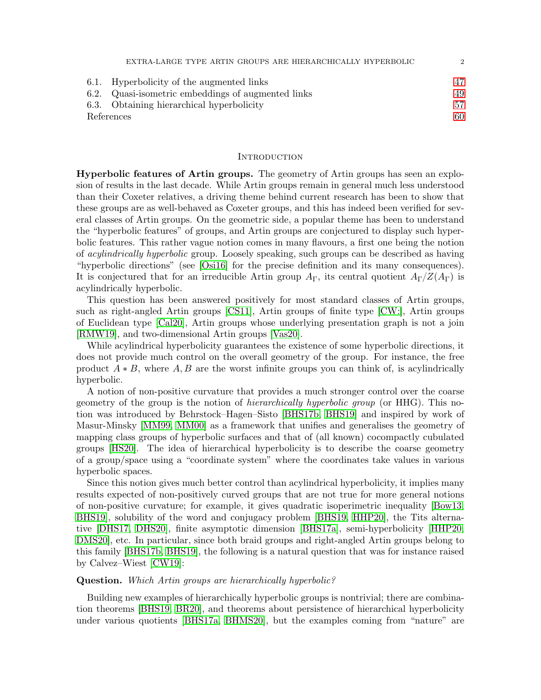|            | EXTRA-LARGE TYPE ARTIN GROUPS ARE HIERARCHICALLY HYPERBOLIC | $\mathcal{D}$ |
|------------|-------------------------------------------------------------|---------------|
|            | 6.1. Hyperbolicity of the augmented links                   | 47            |
|            | 6.2. Quasi-isometric embeddings of augmented links          | 49            |
|            | 6.3. Obtaining hierarchical hyperbolicity                   | 57            |
| References |                                                             | 60            |

#### <span id="page-1-0"></span>**INTRODUCTION**

<span id="page-1-1"></span>Hyperbolic features of Artin groups. The geometry of Artin groups has seen an explosion of results in the last decade. While Artin groups remain in general much less understood than their Coxeter relatives, a driving theme behind current research has been to show that these groups are as well-behaved as Coxeter groups, and this has indeed been verified for several classes of Artin groups. On the geometric side, a popular theme has been to understand the "hyperbolic features" of groups, and Artin groups are conjectured to display such hyperbolic features. This rather vague notion comes in many flavours, a first one being the notion of acylindrically hyperbolic group. Loosely speaking, such groups can be described as having "hyperbolic directions" (see [\[Osi16\]](#page-61-0) for the precise definition and its many consequences). It is conjectured that for an irreducible Artin group  $A_{\Gamma}$ , its central quotient  $A_{\Gamma}/Z(A_{\Gamma})$  is acylindrically hyperbolic.

This question has been answered positively for most standard classes of Artin groups, such as right-angled Artin groups [\[CS11\]](#page-60-0), Artin groups of finite type [\[CW:\]](#page-60-1), Artin groups of Euclidean type [\[Cal20\]](#page-60-2), Artin groups whose underlying presentation graph is not a join [\[RMW19\]](#page-61-1), and two-dimensional Artin groups [\[Vas20\]](#page-61-2).

While acylindrical hyperbolicity guarantees the existence of some hyperbolic directions, it does not provide much control on the overall geometry of the group. For instance, the free product  $A * B$ , where  $A, B$  are the worst infinite groups you can think of, is acylindrically hyperbolic.

A notion of non-positive curvature that provides a much stronger control over the coarse geometry of the group is the notion of hierarchically hyperbolic group (or HHG). This notion was introduced by Behrstock–Hagen–Sisto [\[BHS17b,](#page-60-3) [BHS19\]](#page-60-4) and inspired by work of Masur-Minsky [\[MM99,](#page-61-3) [MM00\]](#page-61-4) as a framework that unifies and generalises the geometry of mapping class groups of hyperbolic surfaces and that of (all known) cocompactly cubulated groups [\[HS20\]](#page-61-5). The idea of hierarchical hyperbolicity is to describe the coarse geometry of a group/space using a "coordinate system" where the coordinates take values in various hyperbolic spaces.

Since this notion gives much better control than acylindrical hyperbolicity, it implies many results expected of non-positively curved groups that are not true for more general notions of non-positive curvature; for example, it gives quadratic isoperimetric inequality [\[Bow13,](#page-60-5) [BHS19\]](#page-60-4), solubility of the word and conjugacy problem [\[BHS19,](#page-60-4) [HHP20\]](#page-60-6), the Tits alternative [\[DHS17,](#page-60-7) [DHS20\]](#page-60-8), finite asymptotic dimension [\[BHS17a\]](#page-60-9), semi-hyperbolicity [\[HHP20,](#page-60-6) [DMS20\]](#page-60-10), etc. In particular, since both braid groups and right-angled Artin groups belong to this family [\[BHS17b,](#page-60-3) [BHS19\]](#page-60-4), the following is a natural question that was for instance raised by Calvez–Wiest [\[CW19\]](#page-60-11):

### Question. Which Artin groups are hierarchically hyperbolic?

Building new examples of hierarchically hyperbolic groups is nontrivial; there are combination theorems [\[BHS19,](#page-60-4) [BR20\]](#page-60-12), and theorems about persistence of hierarchical hyperbolicity under various quotients [\[BHS17a,](#page-60-9) [BHMS20\]](#page-60-13), but the examples coming from "nature" are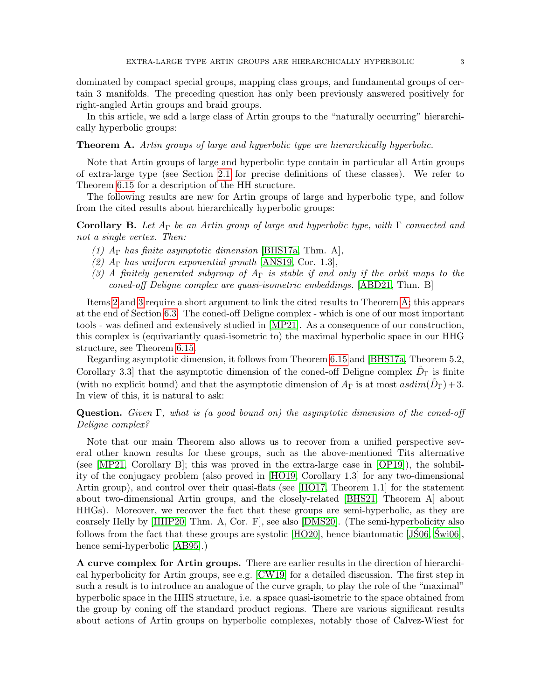dominated by compact special groups, mapping class groups, and fundamental groups of certain 3–manifolds. The preceding question has only been previously answered positively for right-angled Artin groups and braid groups.

In this article, we add a large class of Artin groups to the "naturally occurring" hierarchically hyperbolic groups:

### <span id="page-2-3"></span>Theorem A. Artin groups of large and hyperbolic type are hierarchically hyperbolic.

Note that Artin groups of large and hyperbolic type contain in particular all Artin groups of extra-large type (see Section [2.1](#page-6-1) for precise definitions of these classes). We refer to Theorem [6.15](#page-57-0) for a description of the HH structure.

The following results are new for Artin groups of large and hyperbolic type, and follow from the cited results about hierarchically hyperbolic groups:

<span id="page-2-4"></span>**Corollary B.** Let  $A_{\Gamma}$  be an Artin group of large and hyperbolic type, with  $\Gamma$  connected and not a single vertex. Then:

- <span id="page-2-5"></span>(1)  $A_{\Gamma}$  has finite asymptotic dimension [\[BHS17a,](#page-60-9) Thm. A],
- <span id="page-2-1"></span>(2)  $A_{\Gamma}$  has uniform exponential growth [\[ANS19,](#page-59-1) Cor. 1.3],
- <span id="page-2-2"></span>(3) A finitely generated subgroup of  $A_{\Gamma}$  is stable if and only if the orbit maps to the coned-off Deligne complex are quasi-isometric embeddings. [\[ABD21,](#page-59-2) Thm. B]

Items [2](#page-2-1) and [3](#page-2-2) require a short argument to link the cited results to Theorem [A;](#page-2-3) this appears at the end of Section [6.3.](#page-56-0) The coned-off Deligne complex - which is one of our most important tools - was defined and extensively studied in [\[MP21\]](#page-61-6). As a consequence of our construction, this complex is (equivariantly quasi-isometric to) the maximal hyperbolic space in our HHG structure, see Theorem [6.15.](#page-57-0)

Regarding asymptotic dimension, it follows from Theorem [6.15](#page-57-0) and [\[BHS17a,](#page-60-9) Theorem 5.2, Corollary 3.3] that the asymptotic dimension of the coned-off Deligne complex  $\hat{D}_{\Gamma}$  is finite (with no explicit bound) and that the asymptotic dimension of  $A_{\Gamma}$  is at most  $asdim(\hat{D}_{\Gamma})+3$ . In view of this, it is natural to ask:

# **Question.** Given  $\Gamma$ , what is (a good bound on) the asymptotic dimension of the coned-off Deligne complex?

Note that our main Theorem also allows us to recover from a unified perspective several other known results for these groups, such as the above-mentioned Tits alternative (see [\[MP21,](#page-61-6) Corollary B]; this was proved in the extra-large case in [\[OP19\]](#page-61-7)), the solubility of the conjugacy problem (also proved in [\[HO19,](#page-61-8) Corollary 1.3] for any two-dimensional Artin group), and control over their quasi-flats (see [\[HO17,](#page-61-9) Theorem 1.1] for the statement about two-dimensional Artin groups, and the closely-related [\[BHS21,](#page-60-14) Theorem A] about HHGs). Moreover, we recover the fact that these groups are semi-hyperbolic, as they are coarsely Helly by [\[HHP20,](#page-60-6) Thm. A, Cor. F], see also [\[DMS20\]](#page-60-10). (The semi-hyperbolicity also follows from the fact that these groups are systolic  $[HO20]$ , hence biautomatic  $[JS06, Swi06]$  $[JS06, Swi06]$ , hence semi-hyperbolic [\[AB95\]](#page-59-3).)

<span id="page-2-0"></span>A curve complex for Artin groups. There are earlier results in the direction of hierarchical hyperbolicity for Artin groups, see e.g. [\[CW19\]](#page-60-11) for a detailed discussion. The first step in such a result is to introduce an analogue of the curve graph, to play the role of the "maximal" hyperbolic space in the HHS structure, i.e. a space quasi-isometric to the space obtained from the group by coning off the standard product regions. There are various significant results about actions of Artin groups on hyperbolic complexes, notably those of Calvez-Wiest for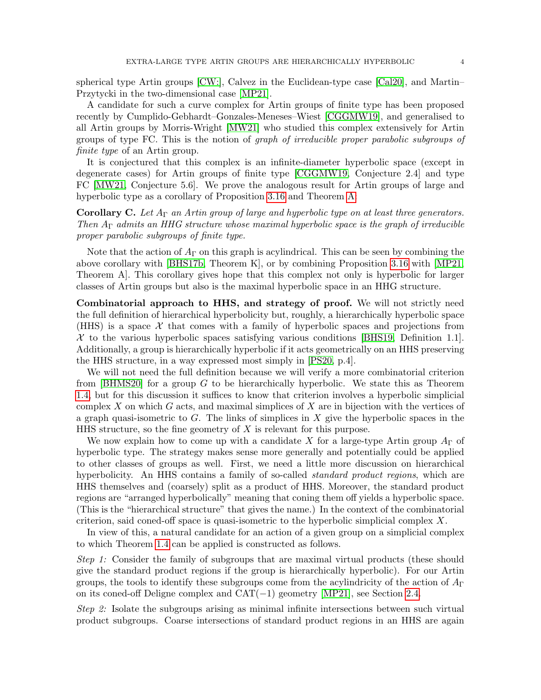spherical type Artin groups [\[CW:\]](#page-60-1), Calvez in the Euclidean-type case [\[Cal20\]](#page-60-2), and Martin– Przytycki in the two-dimensional case [\[MP21\]](#page-61-6).

A candidate for such a curve complex for Artin groups of finite type has been proposed recently by Cumplido-Gebhardt–Gonzales-Meneses–Wiest [\[CGGMW19\]](#page-60-15), and generalised to all Artin groups by Morris-Wright [\[MW21\]](#page-61-13) who studied this complex extensively for Artin groups of type FC. This is the notion of graph of irreducible proper parabolic subgroups of finite type of an Artin group.

It is conjectured that this complex is an infinite-diameter hyperbolic space (except in degenerate cases) for Artin groups of finite type [\[CGGMW19,](#page-60-15) Conjecture 2.4] and type FC [\[MW21,](#page-61-13) Conjecture 5.6]. We prove the analogous result for Artin groups of large and hyperbolic type as a corollary of Proposition [3.16](#page-21-0) and Theorem [A:](#page-2-3)

**Corollary C.** Let  $A_{\Gamma}$  an Artin group of large and hyperbolic type on at least three generators. Then  $A_{\Gamma}$  admits an HHG structure whose maximal hyperbolic space is the graph of irreducible proper parabolic subgroups of finite type.

Note that the action of  $A_{\Gamma}$  on this graph is acylindrical. This can be seen by combining the above corollary with [\[BHS17b,](#page-60-3) Theorem K], or by combining Proposition [3.16](#page-21-0) with [\[MP21,](#page-61-6) Theorem A]. This corollary gives hope that this complex not only is hyperbolic for larger classes of Artin groups but also is the maximal hyperbolic space in an HHG structure.

<span id="page-3-0"></span>Combinatorial approach to HHS, and strategy of proof. We will not strictly need the full definition of hierarchical hyperbolicity but, roughly, a hierarchically hyperbolic space (HHS) is a space  $\mathcal X$  that comes with a family of hyperbolic spaces and projections from  $\mathcal X$  to the various hyperbolic spaces satisfying various conditions [\[BHS19,](#page-60-4) Definition 1.1]. Additionally, a group is hierarchically hyperbolic if it acts geometrically on an HHS preserving the HHS structure, in a way expressed most simply in [\[PS20,](#page-61-14) p.4].

We will not need the full definition because we will verify a more combinatorial criterion from  $[BHMS20]$  for a group G to be hierarchically hyperbolic. We state this as Theorem [1.4,](#page-6-2) but for this discussion it suffices to know that criterion involves a hyperbolic simplicial complex X on which G acts, and maximal simplices of X are in bijection with the vertices of a graph quasi-isometric to  $G$ . The links of simplices in X give the hyperbolic spaces in the HHS structure, so the fine geometry of  $X$  is relevant for this purpose.

We now explain how to come up with a candidate X for a large-type Artin group  $A_{\Gamma}$  of hyperbolic type. The strategy makes sense more generally and potentially could be applied to other classes of groups as well. First, we need a little more discussion on hierarchical hyperbolicity. An HHS contains a family of so-called *standard product regions*, which are HHS themselves and (coarsely) split as a product of HHS. Moreover, the standard product regions are "arranged hyperbolically" meaning that coning them off yields a hyperbolic space. (This is the "hierarchical structure" that gives the name.) In the context of the combinatorial criterion, said coned-off space is quasi-isometric to the hyperbolic simplicial complex X.

In view of this, a natural candidate for an action of a given group on a simplicial complex to which Theorem [1.4](#page-6-2) can be applied is constructed as follows.

Step 1: Consider the family of subgroups that are maximal virtual products (these should give the standard product regions if the group is hierarchically hyperbolic). For our Artin groups, the tools to identify these subgroups come from the acylindricity of the action of  $A_{\Gamma}$ on its coned-off Deligne complex and  $CAT(-1)$  geometry [\[MP21\]](#page-61-6), see Section [2.4.](#page-9-1)

Step 2: Isolate the subgroups arising as minimal infinite intersections between such virtual product subgroups. Coarse intersections of standard product regions in an HHS are again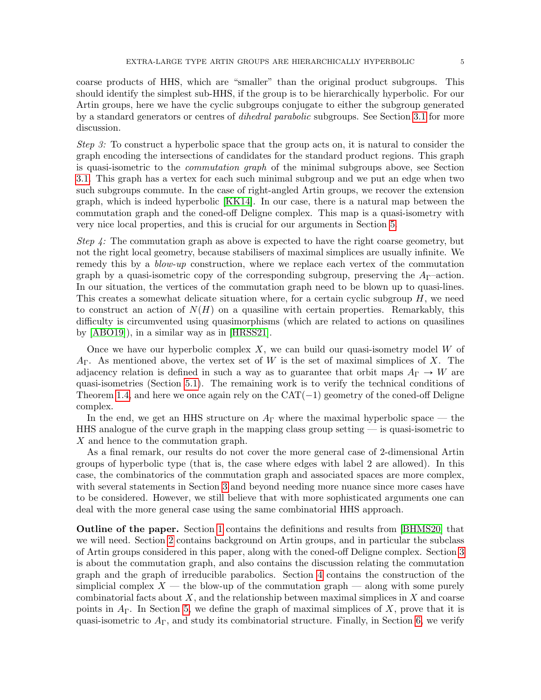coarse products of HHS, which are "smaller" than the original product subgroups. This should identify the simplest sub-HHS, if the group is to be hierarchically hyperbolic. For our Artin groups, here we have the cyclic subgroups conjugate to either the subgroup generated by a standard generators or centres of dihedral parabolic subgroups. See Section [3.1](#page-15-1) for more discussion.

Step 3: To construct a hyperbolic space that the group acts on, it is natural to consider the graph encoding the intersections of candidates for the standard product regions. This graph is quasi-isometric to the commutation graph of the minimal subgroups above, see Section [3.1.](#page-15-1) This graph has a vertex for each such minimal subgroup and we put an edge when two such subgroups commute. In the case of right-angled Artin groups, we recover the extension graph, which is indeed hyperbolic [\[KK14\]](#page-61-15). In our case, there is a natural map between the commutation graph and the coned-off Deligne complex. This map is a quasi-isometry with very nice local properties, and this is crucial for our arguments in Section [5.](#page-37-0)

Step 4: The commutation graph as above is expected to have the right coarse geometry, but not the right local geometry, because stabilisers of maximal simplices are usually infinite. We remedy this by a *blow-up* construction, where we replace each vertex of the commutation graph by a quasi-isometric copy of the corresponding subgroup, preserving the  $A_{\Gamma}$ -action. In our situation, the vertices of the commutation graph need to be blown up to quasi-lines. This creates a somewhat delicate situation where, for a certain cyclic subgroup  $H$ , we need to construct an action of  $N(H)$  on a quasiline with certain properties. Remarkably, this difficulty is circumvented using quasimorphisms (which are related to actions on quasilines by [\[ABO19\]](#page-59-4)), in a similar way as in [\[HRSS21\]](#page-61-16).

Once we have our hyperbolic complex  $X$ , we can build our quasi-isometry model  $W$  of  $A_{\Gamma}$ . As mentioned above, the vertex set of W is the set of maximal simplices of X. The adjacency relation is defined in such a way as to guarantee that orbit maps  $A_{\Gamma} \to W$  are quasi-isometries (Section [5.1\)](#page-37-1). The remaining work is to verify the technical conditions of Theorem [1.4,](#page-6-2) and here we once again rely on the  $CAT(-1)$  geometry of the coned-off Deligne complex.

In the end, we get an HHS structure on  $A_{\Gamma}$  where the maximal hyperbolic space — the HHS analogue of the curve graph in the mapping class group setting  $-$  is quasi-isometric to X and hence to the commutation graph.

As a final remark, our results do not cover the more general case of 2-dimensional Artin groups of hyperbolic type (that is, the case where edges with label 2 are allowed). In this case, the combinatorics of the commutation graph and associated spaces are more complex, with several statements in Section [3](#page-15-0) and beyond needing more nuance since more cases have to be considered. However, we still believe that with more sophisticated arguments one can deal with the more general case using the same combinatorial HHS approach.

<span id="page-4-0"></span>Outline of the paper. Section [1](#page-5-1) contains the definitions and results from [\[BHMS20\]](#page-60-13) that we will need. Section [2](#page-6-0) contains background on Artin groups, and in particular the subclass of Artin groups considered in this paper, along with the coned-off Deligne complex. Section [3](#page-15-0) is about the commutation graph, and also contains the discussion relating the commutation graph and the graph of irreducible parabolics. Section [4](#page-26-0) contains the construction of the simplicial complex  $X$  — the blow-up of the commutation graph — along with some purely combinatorial facts about  $X$ , and the relationship between maximal simplices in  $X$  and coarse points in  $A_{\Gamma}$ . In Section [5,](#page-37-0) we define the graph of maximal simplices of X, prove that it is quasi-isometric to  $A_{\Gamma}$ , and study its combinatorial structure. Finally, in Section [6,](#page-46-0) we verify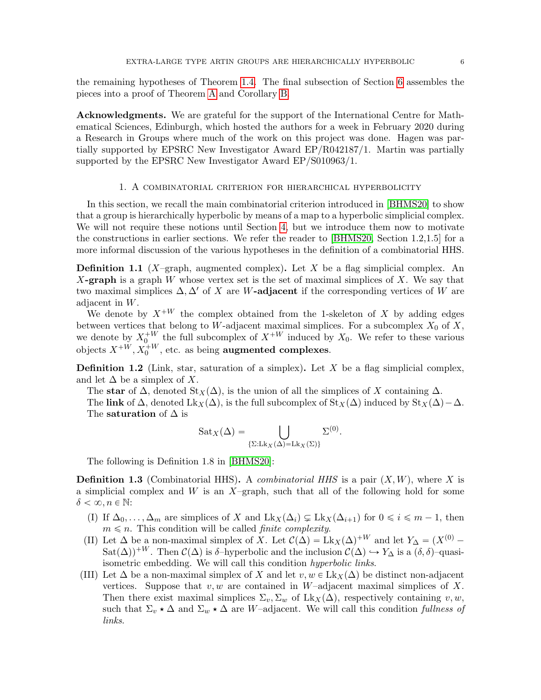the remaining hypotheses of Theorem [1.4.](#page-6-2) The final subsection of Section [6](#page-46-0) assembles the pieces into a proof of Theorem [A](#page-2-3) and Corollary [B.](#page-2-4)

<span id="page-5-0"></span>Acknowledgments. We are grateful for the support of the International Centre for Mathematical Sciences, Edinburgh, which hosted the authors for a week in February 2020 during a Research in Groups where much of the work on this project was done. Hagen was partially supported by EPSRC New Investigator Award EP/R042187/1. Martin was partially supported by the EPSRC New Investigator Award EP/S010963/1.

### 1. A combinatorial criterion for hierarchical hyperbolicity

<span id="page-5-1"></span>In this section, we recall the main combinatorial criterion introduced in [\[BHMS20\]](#page-60-13) to show that a group is hierarchically hyperbolic by means of a map to a hyperbolic simplicial complex. We will not require these notions until Section [4,](#page-26-0) but we introduce them now to motivate the constructions in earlier sections. We refer the reader to [\[BHMS20,](#page-60-13) Section 1.2,1.5] for a more informal discussion of the various hypotheses in the definition of a combinatorial HHS.

<span id="page-5-3"></span>**Definition 1.1** (X–graph, augmented complex). Let X be a flag simplicial complex. An X-graph is a graph W whose vertex set is the set of maximal simplices of X. We say that two maximal simplices  $\Delta, \Delta'$  of X are W-adjacent if the corresponding vertices of W are adjacent in W.

We denote by  $X^{+W}$  the complex obtained from the 1-skeleton of X by adding edges between vertices that belong to W-adjacent maximal simplices. For a subcomplex  $X_0$  of X, we denote by  $X_0^{\dagger W}$  the full subcomplex of  $X^{\dagger W}$  induced by  $X_0$ . We refer to these various objects  $X^{+W}, X_0^{+W}$ , etc. as being **augmented complexes**.

**Definition 1.2** (Link, star, saturation of a simplex). Let X be a flag simplicial complex, and let  $\Delta$  be a simplex of X.

The star of  $\Delta$ , denoted  $\text{St}_X(\Delta)$ , is the union of all the simplices of X containing  $\Delta$ . The link of  $\Delta$ , denoted Lk<sub>X</sub>( $\Delta$ ), is the full subcomplex of St<sub>X</sub>( $\Delta$ ) induced by St<sub>X</sub>( $\Delta$ ) –  $\Delta$ . The **saturation** of  $\Delta$  is

.

$$
Sat_X(\Delta) = \bigcup_{\{\Sigma: Lk_X(\Delta) = Lk_X(\Sigma)\}} \Sigma^{(0)}
$$

The following is Definition 1.8 in [\[BHMS20\]](#page-60-13):

<span id="page-5-2"></span>**Definition 1.3** (Combinatorial HHS). A *combinatorial HHS* is a pair  $(X, W)$ , where X is a simplicial complex and  $W$  is an  $X$ –graph, such that all of the following hold for some  $\delta < \infty, n \in \mathbb{N}$ :

- (I) If  $\Delta_0, \ldots, \Delta_m$  are simplices of X and  $\text{Lk}_X(\Delta_i) \subsetneq \text{Lk}_X(\Delta_{i+1})$  for  $0 \leq i \leq m-1$ , then  $m \leq n$ . This condition will be called *finite complexity*.
- <span id="page-5-5"></span>(II) Let  $\Delta$  be a non-maximal simplex of X. Let  $\mathcal{C}(\Delta) = Lk_X(\Delta)^{+W}$  and let  $Y_{\Delta} = (X^{(0)} \text{Sat}(\Delta)$ <sup>+W</sup>. Then  $\mathcal{C}(\Delta)$  is δ–hyperbolic and the inclusion  $\mathcal{C}(\Delta) \hookrightarrow Y_\Delta$  is a  $(\delta, \delta)$ –quasiisometric embedding. We will call this condition hyperbolic links.
- <span id="page-5-4"></span>(III) Let  $\Delta$  be a non-maximal simplex of X and let  $v, w \in Lk_X(\Delta)$  be distinct non-adjacent vertices. Suppose that  $v, w$  are contained in W-adjacent maximal simplices of X. Then there exist maximal simplices  $\Sigma_v, \Sigma_w$  of  $Lk_X(\Delta)$ , respectively containing v, w, such that  $\Sigma_v \star \Delta$  and  $\Sigma_w \star \Delta$  are W–adjacent. We will call this condition fullness of links.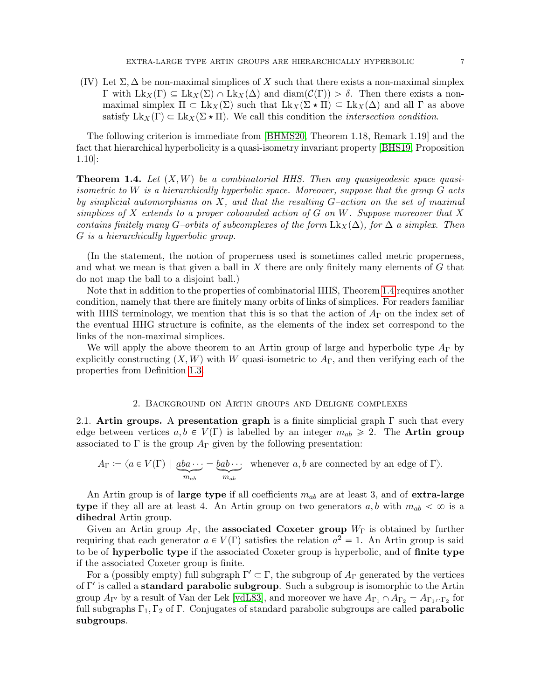(IV) Let  $\Sigma$ ,  $\Delta$  be non-maximal simplices of X such that there exists a non-maximal simplex Γ with Lk<sub>X</sub>(Γ)  $\subseteq$  Lk<sub>X</sub>(Σ) ∩ Lk<sub>X</sub>(Δ) and diam( $\mathcal{C}(\Gamma)$ ) > δ. Then there exists a nonmaximal simplex  $\Pi \subset Lk_X(\Sigma)$  such that  $Lk_X(\Sigma \star \Pi) \subseteq Lk_X(\Delta)$  and all  $\Gamma$  as above satisfy  $Lk_X(\Gamma) \subset Lk_X(\Sigma \star \Pi)$ . We call this condition the *intersection condition*.

The following criterion is immediate from [\[BHMS20,](#page-60-13) Theorem 1.18, Remark 1.19] and the fact that hierarchical hyperbolicity is a quasi-isometry invariant property [\[BHS19,](#page-60-4) Proposition 1.10]:

<span id="page-6-2"></span>**Theorem 1.4.** Let  $(X, W)$  be a combinatorial HHS. Then any quasigeodesic space quasiisometric to W is a hierarchically hyperbolic space. Moreover, suppose that the group  $G$  acts by simplicial automorphisms on  $X$ , and that the resulting  $G$ -action on the set of maximal simplices of  $X$  extends to a proper cobounded action of  $G$  on  $W$ . Suppose moreover that  $X$ contains finitely many G–orbits of subcomplexes of the form  $Lk_{X}(\Delta)$ , for  $\Delta$  a simplex. Then G is a hierarchically hyperbolic group.

(In the statement, the notion of properness used is sometimes called metric properness, and what we mean is that given a ball in  $X$  there are only finitely many elements of  $G$  that do not map the ball to a disjoint ball.)

Note that in addition to the properties of combinatorial HHS, Theorem [1.4](#page-6-2) requires another condition, namely that there are finitely many orbits of links of simplices. For readers familiar with HHS terminology, we mention that this is so that the action of  $A_{\Gamma}$  on the index set of the eventual HHG structure is cofinite, as the elements of the index set correspond to the links of the non-maximal simplices.

We will apply the above theorem to an Artin group of large and hyperbolic type  $A_{\Gamma}$  by explicitly constructing  $(X, W)$  with W quasi-isometric to  $A_{\Gamma}$ , and then verifying each of the properties from Definition [1.3.](#page-5-2)

### 2. Background on Artin groups and Deligne complexes

<span id="page-6-1"></span><span id="page-6-0"></span>2.1. Artin groups. A presentation graph is a finite simplicial graph  $\Gamma$  such that every edge between vertices  $a, b \in V(\Gamma)$  is labelled by an integer  $m_{ab} \geq 2$ . The **Artin group** associated to  $\Gamma$  is the group  $A_{\Gamma}$  given by the following presentation:

$$
A_{\Gamma} := \langle a \in V(\Gamma) \mid \underbrace{aba \cdots}_{m_{ab}} = \underbrace{bab \cdots}_{m_{ab}} \text{ whenever } a, b \text{ are connected by an edge of } \Gamma \rangle.
$$

An Artin group is of large type if all coefficients  $m_{ab}$  are at least 3, and of extra-large type if they all are at least 4. An Artin group on two generators  $a, b$  with  $m_{ab} < \infty$  is a dihedral Artin group.

Given an Artin group  $A_{\Gamma}$ , the **associated Coxeter group**  $W_{\Gamma}$  is obtained by further requiring that each generator  $a \in V(\Gamma)$  satisfies the relation  $a^2 = 1$ . An Artin group is said to be of hyperbolic type if the associated Coxeter group is hyperbolic, and of finite type if the associated Coxeter group is finite.

For a (possibly empty) full subgraph  $\Gamma' \subset \Gamma$ , the subgroup of  $A_{\Gamma}$  generated by the vertices of Γ' is called a **standard parabolic subgroup**. Such a subgroup is isomorphic to the Artin group  $A_{\Gamma'}$  by a result of Van der Lek [\[vdL83\]](#page-61-17), and moreover we have  $A_{\Gamma_1} \cap A_{\Gamma_2} = A_{\Gamma_1 \cap \Gamma_2}$  for full subgraphs  $\Gamma_1, \Gamma_2$  of  $\Gamma$ . Conjugates of standard parabolic subgroups are called **parabolic** subgroups.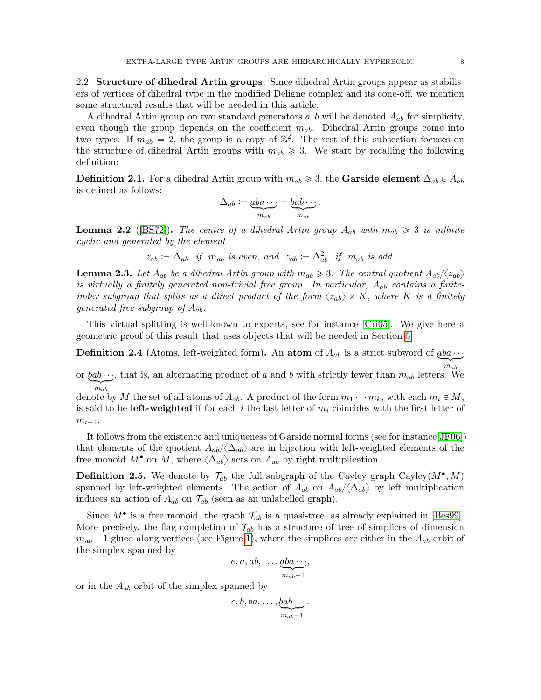<span id="page-7-0"></span>2.2. Structure of dihedral Artin groups. Since dihedral Artin groups appear as stabilisers of vertices of dihedral type in the modified Deligne complex and its cone-off, we mention some structural results that will be needed in this article.

A dihedral Artin group on two standard generators  $a, b$  will be denoted  $A_{ab}$  for simplicity, even though the group depends on the coefficient  $m_{ab}$ . Dihedral Artin groups come into two types: If  $m_{ab} = 2$ , the group is a copy of  $\mathbb{Z}^2$ . The rest of this subsection focuses on the structure of dihedral Artin groups with  $m_{ab} \geq 3$ . We start by recalling the following definition:

**Definition 2.1.** For a dihedral Artin group with  $m_{ab} \geq 3$ , the Garside element  $\Delta_{ab} \in A_{ab}$ is defined as follows:

$$
\Delta_{ab} := \underbrace{aba \cdots}_{m_{ab}} = \underbrace{bab \cdots}_{m_{ab}}.
$$

<span id="page-7-2"></span>**Lemma 2.2** ([\[BS72\]](#page-60-16)). The centre of a dihedral Artin group  $A_{ab}$  with  $m_{ab} \geq 3$  is infinite cyclic and generated by the element

$$
z_{ab} := \Delta_{ab} \quad \text{if} \quad m_{ab} \quad \text{is even, and} \quad z_{ab} := \Delta_{ab}^2 \quad \text{if} \quad m_{ab} \quad \text{is odd.}
$$

<span id="page-7-1"></span>**Lemma 2.3.** Let  $A_{ab}$  be a dihedral Artin group with  $m_{ab} \geq 3$ . The central quotient  $A_{ab}/\langle z_{ab} \rangle$ is virtually a finitely generated non-trivial free group. In particular,  $A_{ab}$  contains a finiteindex subgroup that splits as a direct product of the form  $\langle z_{ab} \rangle \times K$ , where K is a finitely generated free subgroup of  $A_{ab}$ .

This virtual splitting is well-known to experts, see for instance [\[Cri05\]](#page-60-17). We give here a geometric proof of this result that uses objects that will be needed in Section [5.](#page-37-0)

**Definition 2.4** (Atoms, left-weighted form). An **atom** of  $A_{ab}$  is a strict subword of  $aba \cdot \cdot$ ;  $m_{ab}$ 

or  $bab \cdots$ , that is, an alternating product of a and b with strictly fewer than  $m_{ab}$  letters. We  $m_{ab}$ 

denote by M the set of all atoms of  $A_{ab}$ . A product of the form  $m_1 \cdots m_k$ , with each  $m_i \in M$ , is said to be **left-weighted** if for each i the last letter of  $m_i$  coincides with the first letter of  $m_{i+1}.$ 

It follows from the existence and uniqueness of Garside normal forms (see for instance[\[JF06\]](#page-61-18)) that elements of the quotient  $A_{ab}/\langle\Delta_{ab}\rangle$  are in bijection with left-weighted elements of the free monoid  $M^{\bullet}$  on M, where  $\langle \Delta_{ab} \rangle$  acts on  $A_{ab}$  by right multiplication.

**Definition 2.5.** We denote by  $\mathcal{T}_{ab}$  the full subgraph of the Cayley graph Cayley $(M^{\bullet}, M)$ spanned by left-weighted elements. The action of  $A_{ab}$  on  $A_{ab}/\langle\Delta_{ab}\rangle$  by left multiplication induces an action of  $A_{ab}$  on  $\mathcal{T}_{ab}$  (seen as an unlabelled graph).

Since  $M^{\bullet}$  is a free monoid, the graph  $\mathcal{T}_{ab}$  is a quasi-tree, as already explained in [\[Bes99\]](#page-60-18). More precisely, the flag completion of  $\mathcal{T}_{ab}$  has a structure of tree of simplices of dimension  $m_{ab} - 1$  glued along vertices (see Figure [1\)](#page-8-0), where the simplices are either in the  $A_{ab}$ -orbit of the simplex spanned by

$$
e, a, ab, \ldots, \underbrace{aba \cdots}_{m_{ab}-1},
$$

or in the  $A_{ab}$ -orbit of the simplex spanned by

$$
e, b, ba, \ldots, \underbrace{bab\cdots}_{m_{ab}-1}.
$$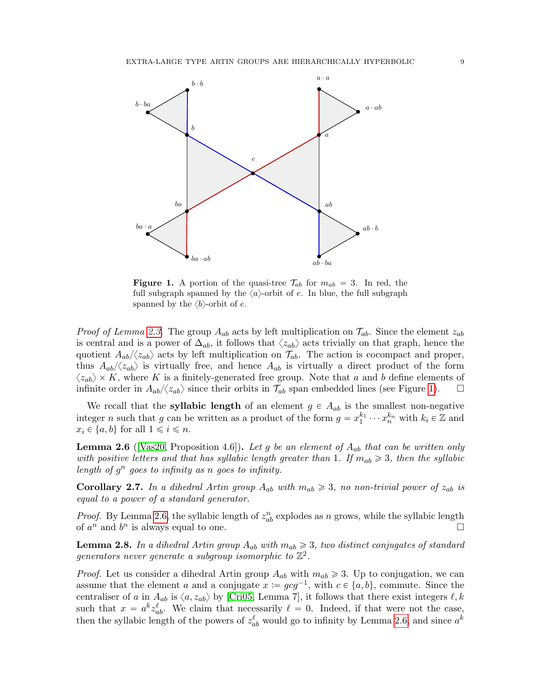<span id="page-8-0"></span>

**Figure 1.** A portion of the quasi-tree  $\mathcal{T}_{ab}$  for  $m_{ab} = 3$ . In red, the full subgraph spanned by the  $\langle a \rangle$ -orbit of e. In blue, the full subgraph spanned by the  $\langle b \rangle$ -orbit of e.

*Proof of Lemma [2.3.](#page-7-1)* The group  $A_{ab}$  acts by left multiplication on  $\mathcal{T}_{ab}$ . Since the element  $z_{ab}$ is central and is a power of  $\Delta_{ab}$ , it follows that  $\langle z_{ab} \rangle$  acts trivially on that graph, hence the quotient  $A_{ab}/\langle z_{ab}\rangle$  acts by left multiplication on  $\mathcal{T}_{ab}$ . The action is cocompact and proper, thus  $A_{ab}/\langle z_{ab}\rangle$  is virtually free, and hence  $A_{ab}$  is virtually a direct product of the form  $\langle z_{ab} \rangle \times K$ , where K is a finitely-generated free group. Note that a and b define elements of infinite order in  $A_{ab}/\langle z_{ab}\rangle$  since their orbits in  $\mathcal{T}_{ab}$  span embedded lines (see Figure [1\)](#page-8-0).

We recall that the **syllabic length** of an element  $g \in A_{ab}$  is the smallest non-negative integer *n* such that *g* can be written as a product of the form  $g = x_1^{k_1} \cdots x_n^{k_n}$  with  $k_i \in \mathbb{Z}$  and  $x_i \in \{a, b\}$  for all  $1 \leq i \leq n$ .

<span id="page-8-1"></span>**Lemma 2.6** ([\[Vas20,](#page-61-2) Proposition 4.6]). Let g be an element of  $A_{ab}$  that can be written only with positive letters and that has syllabic length greater than 1. If  $m_{ab} \geq 3$ , then the syllabic length of  $g^n$  goes to infinity as n goes to infinity.

<span id="page-8-2"></span>**Corollary 2.7.** In a dihedral Artin group  $A_{ab}$  with  $m_{ab} \geq 3$ , no non-trivial power of  $z_{ab}$  is equal to a power of a standard generator.

*Proof.* By Lemma [2.6,](#page-8-1) the syllabic length of  $z_{ab}^n$  explodes as n grows, while the syllabic length of  $a^n$  and  $b^n$  is always equal to one.

<span id="page-8-3"></span>**Lemma 2.8.** In a dihedral Artin group  $A_{ab}$  with  $m_{ab} \geq 3$ , two distinct conjugates of standard generators never generate a subgroup isomorphic to  $\mathbb{Z}^2$ .

*Proof.* Let us consider a dihedral Artin group  $A_{ab}$  with  $m_{ab} \geq 3$ . Up to conjugation, we can assume that the element a and a conjugate  $x := gcg^{-1}$ , with  $c \in \{a, b\}$ , commute. Since the centraliser of a in  $A_{ab}$  is  $\langle a, z_{ab} \rangle$  by [\[Cri05,](#page-60-17) Lemma 7], it follows that there exist integers  $\ell, k$ such that  $x = a^k z_{ab}^{\ell}$ . We claim that necessarily  $\ell = 0$ . Indeed, if that were not the case, then the syllabic length of the powers of  $z_{ab}^{\ell}$  would go to infinity by Lemma [2.6,](#page-8-1) and since  $a^k$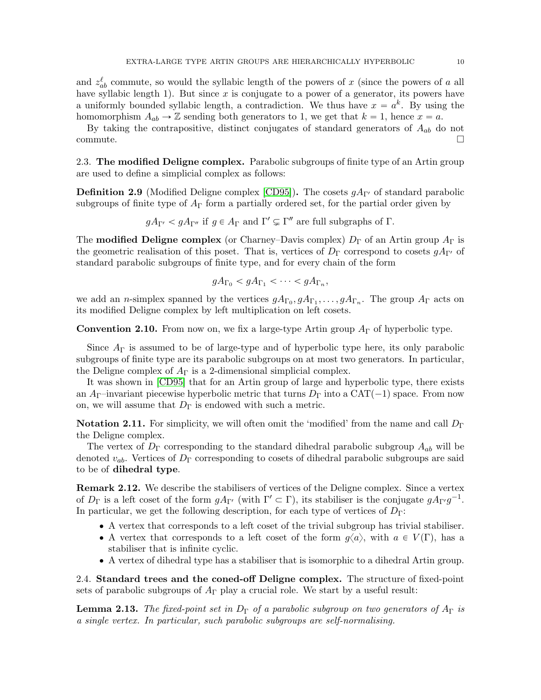and  $z_{ab}^{\ell}$  commute, so would the syllabic length of the powers of x (since the powers of a all have syllabic length 1). But since  $x$  is conjugate to a power of a generator, its powers have a uniformly bounded syllabic length, a contradiction. We thus have  $x = a^k$ . By using the homomorphism  $A_{ab} \to \mathbb{Z}$  sending both generators to 1, we get that  $k = 1$ , hence  $x = a$ .

By taking the contrapositive, distinct conjugates of standard generators of  $A_{ab}$  do not commute.

<span id="page-9-0"></span>2.3. The modified Deligne complex. Parabolic subgroups of finite type of an Artin group are used to define a simplicial complex as follows:

**Definition 2.9** (Modified Deligne complex [\[CD95\]](#page-60-19)). The cosets  $gA_{\Gamma}$  of standard parabolic subgroups of finite type of  $A_{\Gamma}$  form a partially ordered set, for the partial order given by

$$
gA_{\Gamma'} < gA_{\Gamma''}
$$
 if  $g \in A_{\Gamma}$  and  $\Gamma' \subsetneq \Gamma''$  are full subgraphs of  $\Gamma$ .

The **modified Deligne complex** (or Charney–Davis complex)  $D_{\Gamma}$  of an Artin group  $A_{\Gamma}$  is the geometric realisation of this poset. That is, vertices of  $D_{\Gamma}$  correspond to cosets  $gA_{\Gamma}$  of standard parabolic subgroups of finite type, and for every chain of the form

$$
gA_{\Gamma_0} < gA_{\Gamma_1} < \cdots < gA_{\Gamma_n},
$$

we add an *n*-simplex spanned by the vertices  $gA_{\Gamma_0}, gA_{\Gamma_1}, \ldots, gA_{\Gamma_n}$ . The group  $A_{\Gamma}$  acts on its modified Deligne complex by left multiplication on left cosets.

**Convention 2.10.** From now on, we fix a large-type Artin group  $A_{\Gamma}$  of hyperbolic type.

Since  $A_{\Gamma}$  is assumed to be of large-type and of hyperbolic type here, its only parabolic subgroups of finite type are its parabolic subgroups on at most two generators. In particular, the Deligne complex of  $A_{\Gamma}$  is a 2-dimensional simplicial complex.

It was shown in [\[CD95\]](#page-60-19) that for an Artin group of large and hyperbolic type, there exists an  $A_{\Gamma}$ –invariant piecewise hyperbolic metric that turns  $D_{\Gamma}$  into a CAT(-1) space. From now on, we will assume that  $D_{\Gamma}$  is endowed with such a metric.

**Notation 2.11.** For simplicity, we will often omit the 'modified' from the name and call  $D_{\Gamma}$ the Deligne complex.

The vertex of  $D_{\Gamma}$  corresponding to the standard dihedral parabolic subgroup  $A_{ab}$  will be denoted  $v_{ab}$ . Vertices of  $D_{\Gamma}$  corresponding to cosets of dihedral parabolic subgroups are said to be of dihedral type.

Remark 2.12. We describe the stabilisers of vertices of the Deligne complex. Since a vertex of  $D_{\Gamma}$  is a left coset of the form  $gA_{\Gamma'}$  (with  $\Gamma' \subset \Gamma$ ), its stabiliser is the conjugate  $gA_{\Gamma'}g^{-1}$ . In particular, we get the following description, for each type of vertices of  $D_{\Gamma}$ :

- ' A vertex that corresponds to a left coset of the trivial subgroup has trivial stabiliser.
- A vertex that corresponds to a left coset of the form  $q\langle a \rangle$ , with  $a \in V(\Gamma)$ , has a stabiliser that is infinite cyclic.
- ' A vertex of dihedral type has a stabiliser that is isomorphic to a dihedral Artin group.

<span id="page-9-1"></span>2.4. Standard trees and the coned-off Deligne complex. The structure of fixed-point sets of parabolic subgroups of  $A_{\Gamma}$  play a crucial role. We start by a useful result:

<span id="page-9-2"></span>**Lemma 2.13.** The fixed-point set in  $D_{\Gamma}$  of a parabolic subgroup on two generators of  $A_{\Gamma}$  is a single vertex. In particular, such parabolic subgroups are self-normalising.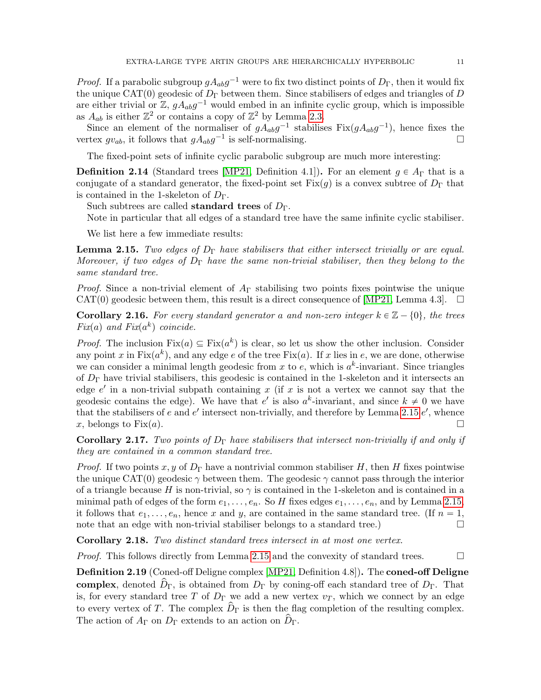*Proof.* If a parabolic subgroup  $gA_{ab}g^{-1}$  were to fix two distinct points of  $D_{\Gamma}$ , then it would fix the unique CAT(0) geodesic of  $D_{\Gamma}$  between them. Since stabilisers of edges and triangles of D are either trivial or  $\mathbb{Z}$ ,  $g A_{ab} g^{-1}$  would embed in an infinite cyclic group, which is impossible as  $A_{ab}$  is either  $\mathbb{Z}^2$  or contains a copy of  $\mathbb{Z}^2$  by Lemma [2.3.](#page-7-1)

Since an element of the normaliser of  $gA_{ab}g^{-1}$  stabilises  $Fix(gA_{ab}g^{-1})$ , hence fixes the vertex  $gv_{ab}$ , it follows that  $gA_{ab}g^{-1}$  is self-normalising.

The fixed-point sets of infinite cyclic parabolic subgroup are much more interesting:

**Definition 2.14** (Standard trees [\[MP21,](#page-61-6) Definition 4.1]). For an element  $g \in A_{\Gamma}$  that is a conjugate of a standard generator, the fixed-point set  $Fix(g)$  is a convex subtree of  $D_{\Gamma}$  that is contained in the 1-skeleton of  $D_{\Gamma}$ .

Such subtrees are called **standard trees** of  $D_{\Gamma}$ .

Note in particular that all edges of a standard tree have the same infinite cyclic stabiliser.

We list here a few immediate results:

<span id="page-10-0"></span>**Lemma 2.15.** Two edges of  $D_{\Gamma}$  have stabilisers that either intersect trivially or are equal. Moreover, if two edges of  $D_{\Gamma}$  have the same non-trivial stabiliser, then they belong to the same standard tree.

*Proof.* Since a non-trivial element of  $A<sub>\Gamma</sub>$  stabilising two points fixes pointwise the unique CAT(0) geodesic between them, this result is a direct consequence of [\[MP21,](#page-61-6) Lemma 4.3].  $\square$ 

**Corollary 2.16.** For every standard generator a and non-zero integer  $k \in \mathbb{Z} - \{0\}$ , the trees  $Fix(a)$  and  $Fix(a^k)$  coincide.

*Proof.* The inclusion  $Fix(a) \subseteq Fix(a^k)$  is clear, so let us show the other inclusion. Consider any point x in  $Fix(a^k)$ , and any edge e of the tree  $Fix(a)$ . If x lies in e, we are done, otherwise we can consider a minimal length geodesic from x to e, which is  $a<sup>k</sup>$ -invariant. Since triangles of  $D_{\Gamma}$  have trivial stabilisers, this geodesic is contained in the 1-skeleton and it intersects an edge  $e'$  in a non-trivial subpath containing x (if x is not a vertex we cannot say that the geodesic contains the edge). We have that e' is also  $a^k$ -invariant, and since  $k \neq 0$  we have that the stabilisers of e and  $e'$  intersect non-trivially, and therefore by Lemma [2.15](#page-10-0)  $e'$ , whence x, belongs to Fix(a).

<span id="page-10-2"></span>**Corollary 2.17.** Two points of  $D_{\Gamma}$  have stabilisers that intersect non-trivially if and only if they are contained in a common standard tree.

*Proof.* If two points x, y of  $D_{\Gamma}$  have a nontrivial common stabiliser H, then H fixes pointwise the unique CAT(0) geodesic  $\gamma$  between them. The geodesic  $\gamma$  cannot pass through the interior of a triangle because H is non-trivial, so  $\gamma$  is contained in the 1-skeleton and is contained in a minimal path of edges of the form  $e_1, \ldots, e_n$ . So H fixes edges  $e_1, \ldots, e_n$ , and by Lemma [2.15,](#page-10-0) it follows that  $e_1, \ldots, e_n$ , hence x and y, are contained in the same standard tree. (If  $n = 1$ , note that an edge with non-trivial stabiliser belongs to a standard tree.)  $\Box$ 

<span id="page-10-1"></span>Corollary 2.18. Two distinct standard trees intersect in at most one vertex.

*Proof.* This follows directly from Lemma [2.15](#page-10-0) and the convexity of standard trees.  $\Box$ 

Definition 2.19 (Coned-off Deligne complex [\[MP21,](#page-61-6) Definition 4.8]). The coned-off Deligne complex, denoted  $\hat{D}_{\Gamma}$ , is obtained from  $D_{\Gamma}$  by coning-off each standard tree of  $D_{\Gamma}$ . That is, for every standard tree T of  $D_{\Gamma}$  we add a new vertex  $v_T$ , which we connect by an edge to every vertex of T. The complex  $\hat{D}_{\Gamma}$  is then the flag completion of the resulting complex. The action of  $A_{\Gamma}$  on  $D_{\Gamma}$  extends to an action on  $D_{\Gamma}$ .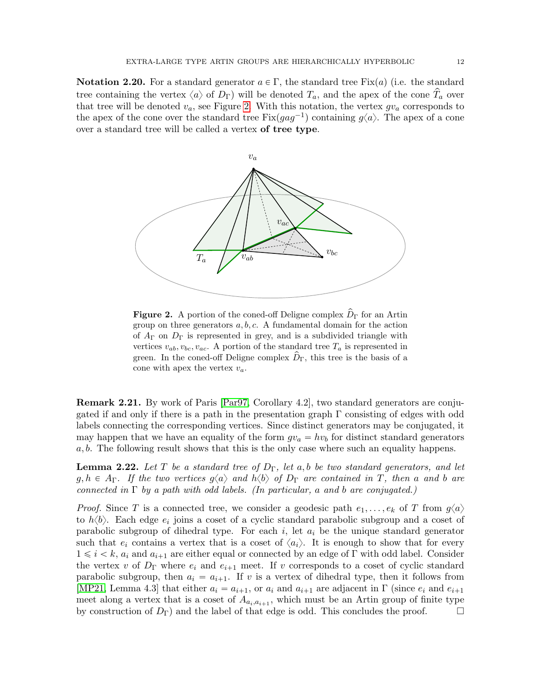**Notation 2.20.** For a standard generator  $a \in \Gamma$ , the standard tree Fix(a) (i.e. the standard tree containing the vertex  $\langle a \rangle$  of  $D_{\Gamma}$ ) will be denoted  $T_a$ , and the apex of the cone  $T_a$  over that tree will be denoted  $v_a$ , see Figure [2.](#page-11-0) With this notation, the vertex  $gv_a$  corresponds to the apex of the cone over the standard tree  $Fix(gag^{-1})$  containing  $g\langle a \rangle$ . The apex of a cone over a standard tree will be called a vertex of tree type.

<span id="page-11-0"></span>

**Figure 2.** A portion of the coned-off Deligne complex  $\hat{D}_{\Gamma}$  for an Artin group on three generators  $a, b, c$ . A fundamental domain for the action of  $A_{\Gamma}$  on  $D_{\Gamma}$  is represented in grey, and is a subdivided triangle with vertices  $v_{ab}, v_{bc}, v_{ac}$ . A portion of the standard tree  $T_a$  is represented in green. In the coned-off Deligne complex  $D_{\Gamma}$ , this tree is the basis of a cone with apex the vertex  $v_a$ .

Remark 2.21. By work of Paris [\[Par97,](#page-61-19) Corollary 4.2], two standard generators are conjugated if and only if there is a path in the presentation graph  $\Gamma$  consisting of edges with odd labels connecting the corresponding vertices. Since distinct generators may be conjugated, it may happen that we have an equality of the form  $gv_a = hv_b$  for distinct standard generators a, b. The following result shows that this is the only case where such an equality happens.

<span id="page-11-1"></span>**Lemma 2.22.** Let T be a standard tree of  $D_{\Gamma}$ , let a, b be two standard generators, and let  $g, h \in A_{\Gamma}$ . If the two vertices  $g\langle a \rangle$  and  $h\langle b \rangle$  of  $D_{\Gamma}$  are contained in T, then a and b are connected in  $\Gamma$  by a path with odd labels. (In particular, a and b are conjugated.)

*Proof.* Since T is a connected tree, we consider a geodesic path  $e_1, \ldots, e_k$  of T from  $g\langle a \rangle$ to  $h\langle b\rangle$ . Each edge  $e_i$  joins a coset of a cyclic standard parabolic subgroup and a coset of parabolic subgroup of dihedral type. For each  $i$ , let  $a_i$  be the unique standard generator such that  $e_i$  contains a vertex that is a coset of  $\langle a_i \rangle$ . It is enough to show that for every  $1 \leq i \leq k$ ,  $a_i$  and  $a_{i+1}$  are either equal or connected by an edge of Γ with odd label. Consider the vertex v of  $D_{\Gamma}$  where  $e_i$  and  $e_{i+1}$  meet. If v corresponds to a coset of cyclic standard parabolic subgroup, then  $a_i = a_{i+1}$ . If v is a vertex of dihedral type, then it follows from [\[MP21,](#page-61-6) Lemma 4.3] that either  $a_i = a_{i+1}$ , or  $a_i$  and  $a_{i+1}$  are adjacent in Γ (since  $e_i$  and  $e_{i+1}$ meet along a vertex that is a coset of  $A_{a_i, a_{i+1}}$ , which must be an Artin group of finite type by construction of  $D_{\Gamma}$ ) and the label of that edge is odd. This concludes the proof.  $\square$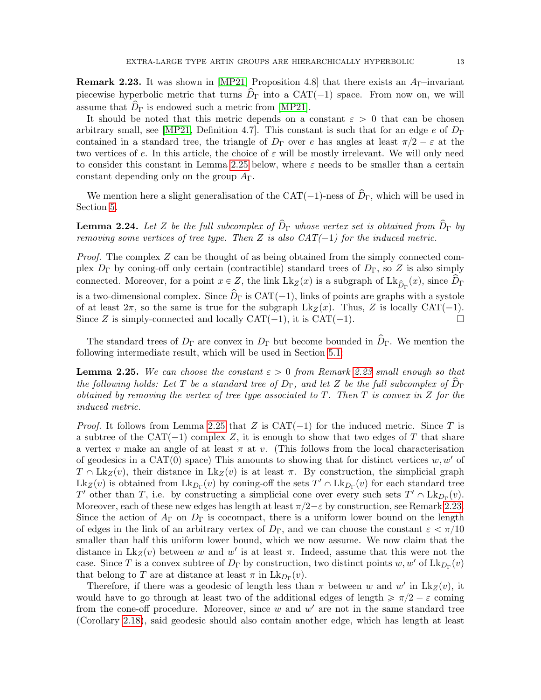<span id="page-12-1"></span>**Remark 2.23.** It was shown in [\[MP21,](#page-61-6) Proposition 4.8] that there exists an  $A_{\Gamma}$ -invariant piecewise hyperbolic metric that turns  $\hat{D}_{\Gamma}$  into a CAT(-1) space. From now on, we will assume that  $\hat{D}_{\Gamma}$  is endowed such a metric from [\[MP21\]](#page-61-6).

It should be noted that this metric depends on a constant  $\varepsilon > 0$  that can be chosen arbitrary small, see [\[MP21,](#page-61-6) Definition 4.7]. This constant is such that for an edge e of  $D_{\Gamma}$ contained in a standard tree, the triangle of  $D_{\Gamma}$  over e has angles at least  $\pi/2 - \varepsilon$  at the two vertices of e. In this article, the choice of  $\varepsilon$  will be mostly irrelevant. We will only need to consider this constant in Lemma [2.25](#page-12-0) below, where  $\varepsilon$  needs to be smaller than a certain constant depending only on the group  $A_{\Gamma}$ .

We mention here a slight generalisation of the CAT( $-1$ )-ness of  $\hat{D}_{\Gamma}$ , which will be used in Section [5.](#page-37-0)

<span id="page-12-2"></span>**Lemma 2.24.** Let Z be the full subcomplex of  $\hat{D}_{\Gamma}$  whose vertex set is obtained from  $\hat{D}_{\Gamma}$  by removing some vertices of tree type. Then Z is also  $CAT(-1)$  for the induced metric.

*Proof.* The complex  $Z$  can be thought of as being obtained from the simply connected complex  $D_{\Gamma}$  by coning-off only certain (contractible) standard trees of  $D_{\Gamma}$ , so Z is also simply connected. Moreover, for a point  $x \in Z$ , the link  $Lk_Z(x)$  is a subgraph of  $Lk_{\hat{D}_{\Gamma}}(x)$ , since  $\hat{D}_{\Gamma}$ is a two-dimensional complex. Since  $\hat{D}_{\Gamma}$  is CAT(-1), links of points are graphs with a systole of at least  $2\pi$ , so the same is true for the subgraph  $Lk_Z(x)$ . Thus, Z is locally CAT(-1). Since Z is simply-connected and locally  $CAT(-1)$ , it is  $CAT(-1)$ .

The standard trees of  $D_{\Gamma}$  are convex in  $D_{\Gamma}$  but become bounded in  $\widehat{D}_{\Gamma}$ . We mention the following intermediate result, which will be used in Section [5.1:](#page-37-1)

<span id="page-12-0"></span>**Lemma 2.25.** We can choose the constant  $\varepsilon > 0$  from Remark [2.23](#page-12-1) small enough so that the following holds: Let T be a standard tree of  $D_{\Gamma}$ , and let Z be the full subcomplex of  $D_{\Gamma}$ obtained by removing the vertex of tree type associated to  $T$ . Then  $T$  is convex in  $Z$  for the induced metric.

*Proof.* It follows from Lemma [2.25](#page-12-0) that Z is  $CAT(-1)$  for the induced metric. Since T is a subtree of the CAT( $-1$ ) complex Z, it is enough to show that two edges of T that share a vertex v make an angle of at least  $\pi$  at v. (This follows from the local characterisation of geodesics in a CAT(0) space) This amounts to showing that for distinct vertices  $w, w'$  of  $T \n\cap \mathrm{Lk}_Z(v)$ , their distance in  $\mathrm{Lk}_Z(v)$  is at least  $\pi$ . By construction, the simplicial graph  $\text{Lk}_Z(v)$  is obtained from  $\text{Lk}_{D_\Gamma}(v)$  by coning-off the sets  $T' \cap \text{Lk}_{D_\Gamma}(v)$  for each standard tree T' other than T, i.e. by constructing a simplicial cone over every such sets  $T' \cap \text{Lk}_{D_{\Gamma}}(v)$ . Moreover, each of these new edges has length at least  $\pi/2-\varepsilon$  by construction, see Remark [2.23.](#page-12-1) Since the action of  $A_{\Gamma}$  on  $D_{\Gamma}$  is cocompact, there is a uniform lower bound on the length of edges in the link of an arbitrary vertex of  $D_{\Gamma}$ , and we can choose the constant  $\varepsilon < \pi/10$ smaller than half this uniform lower bound, which we now assume. We now claim that the distance in  $Lk_Z(v)$  between w and w' is at least  $\pi$ . Indeed, assume that this were not the case. Since T is a convex subtree of  $D_{\Gamma}$  by construction, two distinct points  $w, w'$  of  $\mathrm{Lk}_{D_{\Gamma}}(v)$ that belong to T are at distance at least  $\pi$  in  $\mathrm{Lk}_{D_{\Gamma}}(v)$ .

Therefore, if there was a geodesic of length less than  $\pi$  between w and w' in  $Lk_Z(v)$ , it would have to go through at least two of the additional edges of length  $\geq \pi/2 - \varepsilon$  coming from the cone-off procedure. Moreover, since  $w$  and  $w'$  are not in the same standard tree (Corollary [2.18\)](#page-10-1), said geodesic should also contain another edge, which has length at least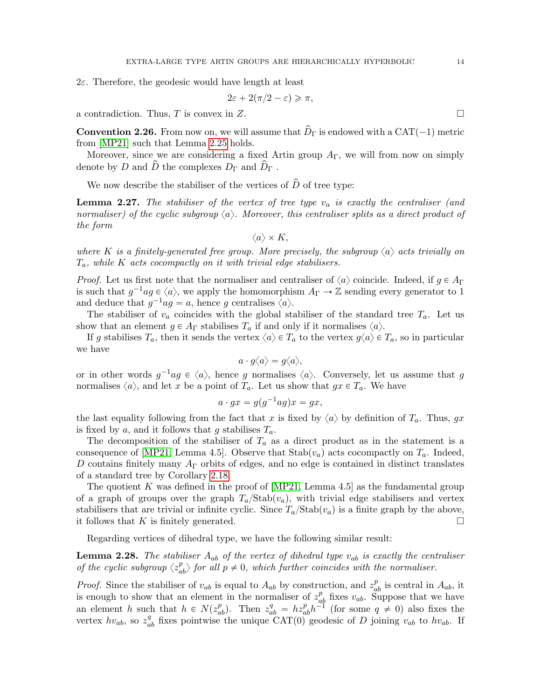2ε. Therefore, the geodesic would have length at least

$$
2\varepsilon + 2(\pi/2 - \varepsilon) \geqslant \pi,
$$

a contradiction. Thus, T is convex in Z.

**Convention 2.26.** From now on, we will assume that  $\hat{D}_{\Gamma}$  is endowed with a CAT( $-1$ ) metric from [\[MP21\]](#page-61-6) such that Lemma [2.25](#page-12-0) holds.

Moreover, since we are considering a fixed Artin group  $A_{\Gamma}$ , we will from now on simply denote by D and  $\hat{D}$  the complexes  $D_{\Gamma}$  and  $\hat{D}_{\Gamma}$ .

We now describe the stabiliser of the vertices of  $\hat{D}$  of tree type:

<span id="page-13-1"></span>**Lemma 2.27.** The stabiliser of the vertex of tree type  $v_a$  is exactly the centraliser (and normaliser) of the cyclic subgroup  $\langle a \rangle$ . Moreover, this centraliser splits as a direct product of the form

 $\langle a \rangle \times K$ ,

where K is a finitely-generated free group. More precisely, the subgroup  $\langle a \rangle$  acts trivially on  $T_a$ , while K acts cocompactly on it with trivial edge stabilisers.

*Proof.* Let us first note that the normaliser and centraliser of  $\langle a \rangle$  coincide. Indeed, if  $g \in A_{\Gamma}$ is such that  $g^{-1}ag \in \langle a \rangle$ , we apply the homomorphism  $A_{\Gamma} \to \mathbb{Z}$  sending every generator to 1 and deduce that  $g^{-1}ag = a$ , hence g centralises  $\langle a \rangle$ .

The stabiliser of  $v_a$  coincides with the global stabiliser of the standard tree  $T_a$ . Let us show that an element  $g \in A_{\Gamma}$  stabilises  $T_a$  if and only if it normalises  $\langle a \rangle$ .

If g stabilises  $T_a$ , then it sends the vertex  $\langle a \rangle \in T_a$  to the vertex  $g\langle a \rangle \in T_a$ , so in particular we have

$$
a\cdot g\langle a\rangle=g\langle a\rangle,
$$

or in other words  $g^{-1}ag \in \langle a \rangle$ , hence g normalises  $\langle a \rangle$ . Conversely, let us assume that g normalises  $\langle a \rangle$ , and let x be a point of  $T_a$ . Let us show that  $gx \in T_a$ . We have

$$
a \cdot gx = g(g^{-1}ag)x = gx,
$$

the last equality following from the fact that x is fixed by  $\langle a \rangle$  by definition of  $T_a$ . Thus, gx is fixed by a, and it follows that g stabilises  $T_a$ .

The decomposition of the stabiliser of  $T_a$  as a direct product as in the statement is a consequence of [\[MP21,](#page-61-6) Lemma 4.5]. Observe that  $Stab(v_a)$  acts cocompactly on  $T_a$ . Indeed, D contains finitely many  $A_{\Gamma}$  orbits of edges, and no edge is contained in distinct translates of a standard tree by Corollary [2.18.](#page-10-1)

The quotient K was defined in the proof of  $[MP21, Lemma 4.5]$  as the fundamental group of a graph of groups over the graph  $T_a$ /Stab $(v_a)$ , with trivial edge stabilisers and vertex stabilisers that are trivial or infinite cyclic. Since  $T_a/\text{Stab}(v_a)$  is a finite graph by the above, it follows that K is finitely generated.

Regarding vertices of dihedral type, we have the following similar result:

<span id="page-13-0"></span>**Lemma 2.28.** The stabiliser  $A_{ab}$  of the vertex of dihedral type  $v_{ab}$  is exactly the centraliser of the cyclic subgroup  $\langle z_{ab}^p \rangle$  for all  $p \neq 0$ , which further coincides with the normaliser.

*Proof.* Since the stabiliser of  $v_{ab}$  is equal to  $A_{ab}$  by construction, and  $z_{ab}^p$  is central in  $A_{ab}$ , it is enough to show that an element in the normaliser of  $z_{ab}^p$  fixes  $v_{ab}$ . Suppose that we have an element h such that  $h \in N(z_{ab}^p)$ . Then  $z_{ab}^q = h z_{ab}^p h^{-1}$  (for some  $q \neq 0$ ) also fixes the vertex  $hv_{ab}$ , so  $z_{ab}^q$  fixes pointwise the unique CAT(0) geodesic of D joining  $v_{ab}$  to  $hv_{ab}$ . If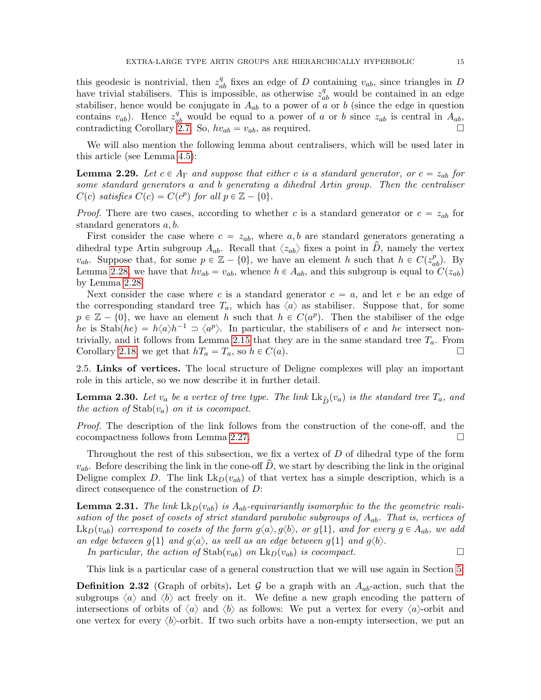this geodesic is nontrivial, then  $z_{ab}^q$  fixes an edge of D containing  $v_{ab}$ , since triangles in D have trivial stabilisers. This is impossible, as otherwise  $z_{ab}^q$  would be contained in an edge stabiliser, hence would be conjugate in  $A_{ab}$  to a power of a or b (since the edge in question contains  $v_{ab}$ ). Hence  $z_{ab}^q$  would be equal to a power of a or b since  $z_{ab}$  is central in  $A_{ab}$ , contradicting Corollary [2.7.](#page-8-2) So,  $hv_{ab} = v_{ab}$ , as required.

We will also mention the following lemma about centralisers, which will be used later in this article (see Lemma [4.5\)](#page-30-1):

<span id="page-14-3"></span>**Lemma 2.29.** Let  $c \in A_{\Gamma}$  and suppose that either c is a standard generator, or  $c = z_{ab}$  for some standard generators a and b generating a dihedral Artin group. Then the centraliser  $C(c)$  satisfies  $C(c) = C(c^p)$  for all  $p \in \mathbb{Z} - \{0\}.$ 

*Proof.* There are two cases, according to whether c is a standard generator or  $c = z_{ab}$  for standard generators a, b.

First consider the case where  $c = z_{ab}$ , where a, b are standard generators generating a dihedral type Artin subgroup  $A_{ab}$ . Recall that  $\langle z_{ab} \rangle$  fixes a point in D, namely the vertex  $v_{ab}$ . Suppose that, for some  $p \in \mathbb{Z} - \{0\}$ , we have an element h such that  $h \in C(z_{ab}^p)$ . By Lemma [2.28,](#page-13-0) we have that  $hv_{ab} = v_{ab}$ , whence  $h \in A_{ab}$ , and this subgroup is equal to  $C(z_{ab})$ by Lemma [2.28.](#page-13-0)

Next consider the case where c is a standard generator  $c = a$ , and let e be an edge of the corresponding standard tree  $T_a$ , which has  $\langle a \rangle$  as stabiliser. Suppose that, for some  $p \in \mathbb{Z} - \{0\}$ , we have an element h such that  $h \in C(a^p)$ . Then the stabiliser of the edge he is Stab $(he) = h\langle a\rangle h^{-1} \supset \langle a^p \rangle$ . In particular, the stabilisers of e and he intersect non-trivially, and it follows from Lemma [2.15](#page-10-0) that they are in the same standard tree  $T_a$ . From Corollary [2.18,](#page-10-1) we get that  $hT_a = T_a$ , so  $h \in C(a)$ .

<span id="page-14-0"></span>2.5. Links of vertices. The local structure of Deligne complexes will play an important role in this article, so we now describe it in further detail.

<span id="page-14-2"></span>**Lemma 2.30.** Let  $v_a$  be a vertex of tree type. The link  $\text{Lk}_{\hat{D}}(v_a)$  is the standard tree  $T_a$ , and the action of  $\text{Stab}(v_a)$  on it is cocompact.

Proof. The description of the link follows from the construction of the cone-off, and the cocompactness follows from Lemma [2.27.](#page-13-1)

Throughout the rest of this subsection, we fix a vertex of D of dihedral type of the form  $v_{ab}$ . Before describing the link in the cone-off  $\hat{D}$ , we start by describing the link in the original Deligne complex D. The link  $Lk_D(v_{ab})$  of that vertex has a simple description, which is a direct consequence of the construction of D:

<span id="page-14-1"></span>**Lemma 2.31.** The link  $\text{Lk}_D(v_{ab})$  is  $A_{ab}$ -equivariantly isomorphic to the the geometric realisation of the poset of cosets of strict standard parabolic subgroups of  $A_{ab}$ . That is, vertices of  $Lk_D(v_{ab})$  correspond to cosets of the form  $g\langle a \rangle, g\langle b \rangle$ , or  $g\{1\}$ , and for every  $g \in A_{ab}$ , we add an edge between  $g\{1\}$  and  $g\langle a \rangle$ , as well as an edge between  $g\{1\}$  and  $g\langle b \rangle$ .

In particular, the action of  $\text{Stab}(v_{ab})$  on  $\text{Lk}_D(v_{ab})$  is cocompact.

This link is a particular case of a general construction that we will use again in Section [5:](#page-37-0)

<span id="page-14-4"></span>**Definition 2.32** (Graph of orbits). Let G be a graph with an  $A_{ab}$ -action, such that the subgroups  $\langle a \rangle$  and  $\langle b \rangle$  act freely on it. We define a new graph encoding the pattern of intersections of orbits of  $\langle a \rangle$  and  $\langle b \rangle$  as follows: We put a vertex for every  $\langle a \rangle$ -orbit and one vertex for every  $\langle b \rangle$ -orbit. If two such orbits have a non-empty intersection, we put an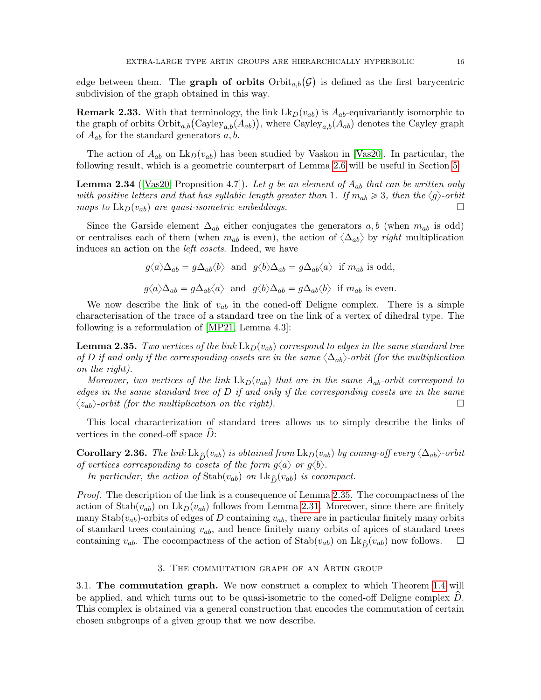edge between them. The **graph of orbits**  $Orbit_{a,b}(\mathcal{G})$  is defined as the first barycentric subdivision of the graph obtained in this way.

<span id="page-15-4"></span>**Remark 2.33.** With that terminology, the link  $Lk_D(v_{ab})$  is  $A_{ab}$ -equivariantly isomorphic to **Remark 2.33.** With that terminology, the link  $\text{Lk}_D(v_{ab})$  is  $A_{ab}$ -equivariantly isomorphic to the graph of orbits  $\text{Orbit}_{a,b}(\text{Cayley}_{a,b}(A_{ab}))$ , where  $\text{Cayley}_{a,b}(A_{ab})$  denotes the Cayley graph of  $A_{ab}$  for the standard generators  $a, b$ .

The action of  $A_{ab}$  on  $\mathrm{Lk}_D(v_{ab})$  has been studied by Vaskou in [\[Vas20\]](#page-61-2). In particular, the following result, which is a geometric counterpart of Lemma [2.6](#page-8-1) will be useful in Section [5:](#page-37-0)

<span id="page-15-5"></span>**Lemma 2.34** ([\[Vas20,](#page-61-2) Proposition 4.7]). Let g be an element of  $A_{ab}$  that can be written only with positive letters and that has syllabic length greater than 1. If  $m_{ab} \geq 3$ , then the  $\langle g \rangle$ -orbit maps to  $\mathrm{Lk}_D(v_{ab})$  are quasi-isometric embeddings.

Since the Garside element  $\Delta_{ab}$  either conjugates the generators  $a, b$  (when  $m_{ab}$  is odd) or centralises each of them (when  $m_{ab}$  is even), the action of  $\langle \Delta_{ab} \rangle$  by right multiplication induces an action on the left cosets. Indeed, we have

$$
g\langle a \rangle \Delta_{ab} = g\Delta_{ab}\langle b \rangle
$$
 and  $g\langle b \rangle \Delta_{ab} = g\Delta_{ab}\langle a \rangle$  if  $m_{ab}$  is odd,  
 $g\langle a \rangle \Delta_{ab} = g\Delta_{ab}\langle a \rangle$  and  $g\langle b \rangle \Delta_{ab} = g\Delta_{ab}\langle b \rangle$  if  $m_{ab}$  is even.

We now describe the link of  $v_{ab}$  in the coned-off Deligne complex. There is a simple characterisation of the trace of a standard tree on the link of a vertex of dihedral type. The following is a reformulation of [\[MP21,](#page-61-6) Lemma 4.3]:

<span id="page-15-2"></span>**Lemma 2.35.** Two vertices of the link  $\text{Lk}_D(v_{ab})$  correspond to edges in the same standard tree of D if and only if the corresponding cosets are in the same  $\langle \Delta_{ab} \rangle$ -orbit (for the multiplication on the right).

Moreover, two vertices of the link  $Lk_D(v_{ab})$  that are in the same  $A_{ab}$ -orbit correspond to edges in the same standard tree of  $D$  if and only if the corresponding cosets are in the same  $\langle z_{ab}\rangle$ -orbit (for the multiplication on the right).

This local characterization of standard trees allows us to simply describe the links of vertices in the coned-off space  $D$ :

<span id="page-15-3"></span>**Corollary 2.36.** The link Lk<sub>D</sub> $(v_{ab})$  is obtained from Lk<sub>D</sub> $(v_{ab})$  by coning-off every  $\langle \Delta_{ab} \rangle$ -orbit of vertices corresponding to cosets of the form  $g\langle a \rangle$  or  $g\langle b \rangle$ .

In particular, the action of  $\text{Stab}(v_{ab})$  on  $\text{Lk}_{\hat{D}}(v_{ab})$  is cocompact.

Proof. The description of the link is a consequence of Lemma [2.35.](#page-15-2) The cocompactness of the action of  $\text{Stab}(v_{ab})$  on  $\text{Lk}_D(v_{ab})$  follows from Lemma [2.31.](#page-14-1) Moreover, since there are finitely many Stab $(v_{ab})$ -orbits of edges of D containing  $v_{ab}$ , there are in particular finitely many orbits of standard trees containing  $v_{ab}$ , and hence finitely many orbits of apices of standard trees containing  $v_{ab}$ . The cocompactness of the action of  $\text{Stab}(v_{ab})$  on  $\text{Lk}_{\hat{D}}(v_{ab})$  now follows.  $\square$ 

### 3. The commutation graph of an Artin group

<span id="page-15-1"></span><span id="page-15-0"></span>3.1. The commutation graph. We now construct a complex to which Theorem [1.4](#page-6-2) will be applied, and which turns out to be quasi-isometric to the coned-off Deligne complex  $D$ . This complex is obtained via a general construction that encodes the commutation of certain chosen subgroups of a given group that we now describe.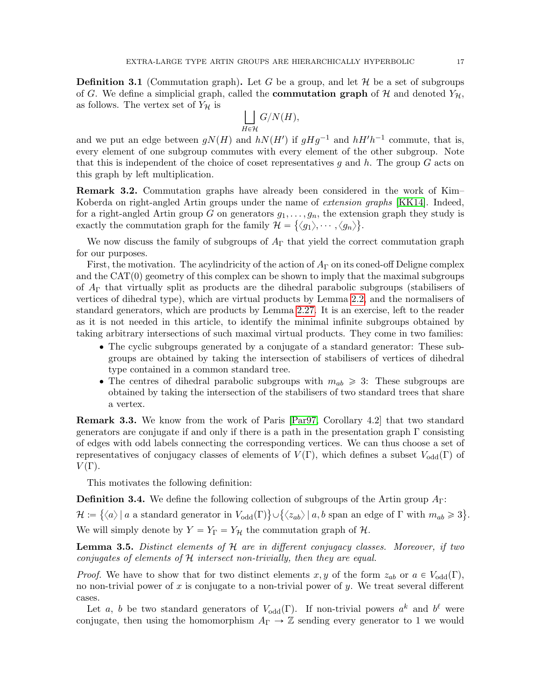**Definition 3.1** (Commutation graph). Let G be a group, and let  $\mathcal{H}$  be a set of subgroups of G. We define a simplicial graph, called the **commutation graph** of H and denoted  $Y_{\mathcal{H}}$ , as follows. The vertex set of  $Y_{\mathcal{H}}$  is

$$
\bigsqcup_{H \in \mathcal{H}} G/N(H),
$$

and we put an edge between  $gN(H)$  and  $hN(H')$  if  $gHg^{-1}$  and  $hH'h^{-1}$  commute, that is, every element of one subgroup commutes with every element of the other subgroup. Note that this is independent of the choice of coset representatives g and h. The group  $G$  acts on this graph by left multiplication.

Remark 3.2. Commutation graphs have already been considered in the work of Kim– Koberda on right-angled Artin groups under the name of *extension graphs* [\[KK14\]](#page-61-15). Indeed, for a right-angled Artin group G on generators  $g_1, \ldots, g_n$ , the extension graph they study is exactly the commutation graph for the family  $\mathcal{H} = \{\langle g_1 \rangle, \cdots, \langle g_n \rangle\}.$ 

We now discuss the family of subgroups of  $A_{\Gamma}$  that yield the correct commutation graph for our purposes.

First, the motivation. The acylindricity of the action of  $A_{\Gamma}$  on its coned-off Deligne complex and the  $CAT(0)$  geometry of this complex can be shown to imply that the maximal subgroups of  $A_{\Gamma}$  that virtually split as products are the dihedral parabolic subgroups (stabilisers of vertices of dihedral type), which are virtual products by Lemma [2.2,](#page-7-2) and the normalisers of standard generators, which are products by Lemma [2.27.](#page-13-1) It is an exercise, left to the reader as it is not needed in this article, to identify the minimal infinite subgroups obtained by taking arbitrary intersections of such maximal virtual products. They come in two families:

- ' The cyclic subgroups generated by a conjugate of a standard generator: These subgroups are obtained by taking the intersection of stabilisers of vertices of dihedral type contained in a common standard tree.
- The centres of dihedral parabolic subgroups with  $m_{ab} \geqslant 3$ : These subgroups are obtained by taking the intersection of the stabilisers of two standard trees that share a vertex.

Remark 3.3. We know from the work of Paris [\[Par97,](#page-61-19) Corollary 4.2] that two standard generators are conjugate if and only if there is a path in the presentation graph  $\Gamma$  consisting of edges with odd labels connecting the corresponding vertices. We can thus choose a set of representatives of conjugacy classes of elements of  $V(\Gamma)$ , which defines a subset  $V_{odd}(\Gamma)$  of  $V(\Gamma)$ .

This motivates the following definition:

<span id="page-16-1"></span>**Definition 3.4.** We define the following collection of subgroups of the Artin group  $A_{\Gamma}$ :

 $\mathcal{H} \coloneqq \{ \langle a \rangle \, | \ a \text{ a standard generator in } V_{\text{odd}}(\Gamma) \} \cup \{ \langle z_{ab} \rangle \, | \ a,b \text{ span an edge of } \Gamma \text{ with } m_{ab} \geqslant 3 \}$ ( . We will simply denote by  $Y = Y_\Gamma = Y_\mathcal{H}$  the commutation graph of  $\mathcal{H}$ .

<span id="page-16-0"></span>**Lemma 3.5.** Distinct elements of H are in different conjugacy classes. Moreover, if two conjugates of elements of H intersect non-trivially, then they are equal.

*Proof.* We have to show that for two distinct elements  $x, y$  of the form  $z_{ab}$  or  $a \in V_{\text{odd}}(\Gamma)$ , no non-trivial power of x is conjugate to a non-trivial power of y. We treat several different cases.

Let a, b be two standard generators of  $V_{odd}(\Gamma)$ . If non-trivial powers  $a^k$  and  $b^{\ell}$  were conjugate, then using the homomorphism  $A_{\Gamma} \to \mathbb{Z}$  sending every generator to 1 we would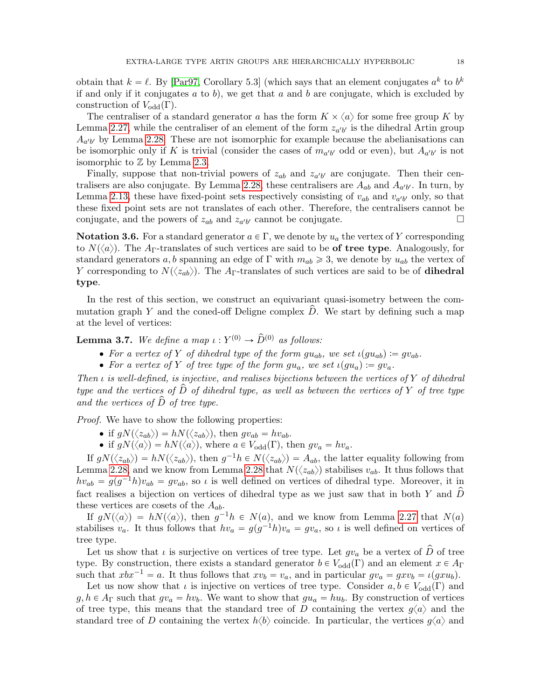obtain that  $k = \ell$ . By [\[Par97,](#page-61-19) Corollary 5.3] (which says that an element conjugates  $a^k$  to  $b^k$ if and only if it conjugates a to b), we get that a and b are conjugate, which is excluded by construction of  $V_{odd}(\Gamma)$ .

The centraliser of a standard generator a has the form  $K \times \langle a \rangle$  for some free group K by Lemma [2.27,](#page-13-1) while the centraliser of an element of the form  $z_{a'b'}$  is the dihedral Artin group  $A_{a'b'}$  by Lemma [2.28.](#page-13-0) These are not isomorphic for example because the abelianisations can be isomorphic only if K is trivial (consider the cases of  $m_{a'b'}$  odd or even), but  $A_{a'b'}$  is not isomorphic to  $\mathbb Z$  by Lemma [2.3.](#page-7-1)

Finally, suppose that non-trivial powers of  $z_{ab}$  and  $z_{a'b'}$  are conjugate. Then their cen-tralisers are also conjugate. By Lemma [2.28,](#page-13-0) these centralisers are  $A_{ab}$  and  $A_{a'b'}$ . In turn, by Lemma [2.13,](#page-9-2) these have fixed-point sets respectively consisting of  $v_{ab}$  and  $v_{a'b'}$  only, so that these fixed point sets are not translates of each other. Therefore, the centralisers cannot be conjugate, and the powers of  $z_{ab}$  and  $z_{a'b'}$  cannot be conjugate.

**Notation 3.6.** For a standard generator  $a \in \Gamma$ , we denote by  $u_a$  the vertex of Y corresponding to  $N(\langle a \rangle)$ . The A<sub>Γ</sub>-translates of such vertices are said to be **of tree type**. Analogously, for standard generators a, b spanning an edge of  $\Gamma$  with  $m_{ab} \geqslant 3$ , we denote by  $u_{ab}$  the vertex of Y corresponding to  $N(\langle z_{ab}\rangle)$ . The A<sub>Γ</sub>-translates of such vertices are said to be of **dihedral** type.

In the rest of this section, we construct an equivariant quasi-isometry between the commutation graph Y and the coned-off Deligne complex  $\hat{D}$ . We start by defining such a map at the level of vertices:

<span id="page-17-0"></span>**Lemma 3.7.** We define a map  $\iota: Y^{(0)} \to \widehat{D}^{(0)}$  as follows:

- For a vertex of Y of dihedral type of the form  $gu_{ab}$ , we set  $\iota(gu_{ab}) := gv_{ab}$ .
- For a vertex of Y of tree type of the form  $qu_a$ , we set  $\iota(qu_a) := qv_a$ .

Then  $\iota$  is well-defined, is injective, and realises bijections between the vertices of Y of dihedral type and the vertices of  $\hat{D}$  of dihedral type, as well as between the vertices of Y of tree type and the vertices of  $\widehat{D}$  of tree type.

Proof. We have to show the following properties:

• if  $gN(\langle z_{ab}\rangle) = hN(\langle z_{ab}\rangle)$ , then  $gv_{ab} = hv_{ab}$ .

• if  $gN(\langle a \rangle) = hN(\langle a \rangle)$ , where  $a \in V_{odd}(\Gamma)$ , then  $gv_a = hv_a$ .

If  $gN(\langle z_{ab}\rangle) = hN(\langle z_{ab}\rangle)$ , then  $g^{-1}h \in N(\langle z_{ab}\rangle) = A_{ab}$ , the latter equality following from Lemma [2.28,](#page-13-0) and we know from Lemma [2.28](#page-13-0) that  $N(\langle z_{ab} \rangle)$  stabilises  $v_{ab}$ . It thus follows that  $hv_{ab} = g(g^{-1}h)v_{ab} = gv_{ab}$ , so *i* is well defined on vertices of dihedral type. Moreover, it in fact realises a bijection on vertices of dihedral type as we just saw that in both Y and  $\hat{D}$ these vertices are cosets of the  $A_{ab}$ .

If  $gN(\langle a \rangle) = hN(\langle a \rangle)$ , then  $g^{-1}h \in N(a)$ , and we know from Lemma [2.27](#page-13-1) that  $N(a)$ stabilises  $v_a$ . It thus follows that  $hv_a = g(g^{-1}h)v_a = gv_a$ , so  $\iota$  is well defined on vertices of tree type.

Let us show that  $\iota$  is surjective on vertices of tree type. Let  $gv_a$  be a vertex of  $\hat{D}$  of tree type. By construction, there exists a standard generator  $b \in V_{odd}(\Gamma)$  and an element  $x \in A_{\Gamma}$ such that  $xbx^{-1} = a$ . It thus follows that  $xv_b = v_a$ , and in particular  $gv_a = g x v_b = \iota(gxu_b)$ .

Let us now show that  $\iota$  is injective on vertices of tree type. Consider  $a, b \in V_{odd}(\Gamma)$  and  $g, h \in A_{\Gamma}$  such that  $gv_a = hv_b$ . We want to show that  $gu_a = hu_b$ . By construction of vertices of tree type, this means that the standard tree of D containing the vertex  $g\langle a \rangle$  and the standard tree of D containing the vertex  $h\langle b \rangle$  coincide. In particular, the vertices  $g\langle a \rangle$  and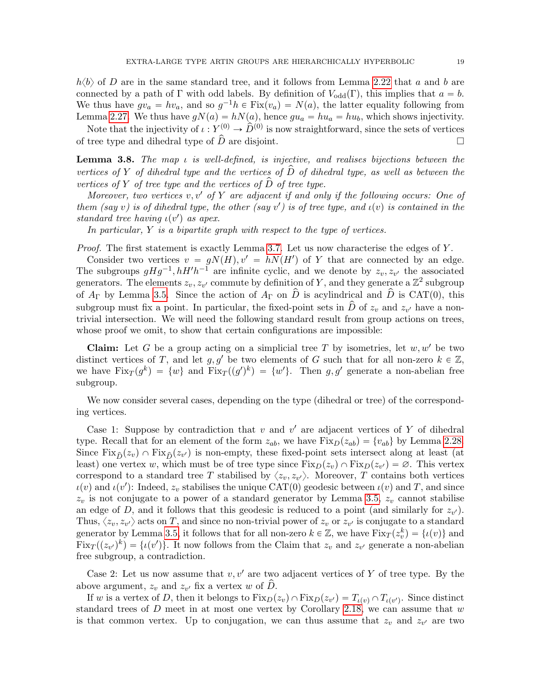$h\langle b\rangle$  of D are in the same standard tree, and it follows from Lemma [2.22](#page-11-1) that a and b are connected by a path of Γ with odd labels. By definition of  $V_{odd}(\Gamma)$ , this implies that  $a = b$ . We thus have  $gv_a = hv_a$ , and so  $g^{-1}h \in Fix(v_a) = N(a)$ , the latter equality following from Lemma [2.27.](#page-13-1) We thus have  $gN(a) = hN(a)$ , hence  $gu_a = hu_a = hu_b$ , which shows injectivity.

Note that the injectivity of  $\iota: Y^{(0)} \to \hat{D}^{(0)}$  is now straightforward, since the sets of vertices of tree type and dihedral type of  $\hat{D}$  are disjoint.

<span id="page-18-0"></span>**Lemma 3.8.** The map  $\iota$  is well-defined, is injective, and realises bijections between the vertices of Y of dihedral type and the vertices of  $\hat{D}$  of dihedral type, as well as between the vertices of Y of tree type and the vertices of  $\hat{D}$  of tree type.

Moreover, two vertices v, v' of Y are adjacent if and only if the following occurs: One of them (say v) is of dihedral type, the other (say v') is of tree type, and  $\iota(v)$  is contained in the standard tree having  $\iota(v')$  as apex.

In particular,  $Y$  is a bipartite graph with respect to the type of vertices.

*Proof.* The first statement is exactly Lemma [3.7.](#page-17-0) Let us now characterise the edges of  $Y$ .

Consider two vertices  $v = gN(H), v' = hN(H')$  of Y that are connected by an edge. The subgroups  $gHg^{-1}$ ,  $hH'h^{-1}$  are infinite cyclic, and we denote by  $z_v, z_{v'}$  the associated generators. The elements  $z_v, z_{v'}$  commute by definition of Y, and they generate a  $\mathbb{Z}^2$  subgroup of  $A_{\Gamma}$  by Lemma [3.5.](#page-16-0) Since the action of  $A_{\Gamma}$  on  $\hat{D}$  is acylindrical and  $\hat{D}$  is CAT(0), this subgroup must fix a point. In particular, the fixed-point sets in  $\hat{D}$  of  $z_v$  and  $z_{v'}$  have a nontrivial intersection. We will need the following standard result from group actions on trees, whose proof we omit, to show that certain configurations are impossible:

**Claim:** Let G be a group acting on a simplicial tree T by isometries, let  $w, w'$  be two distinct vertices of T, and let g, g' be two elements of G such that for all non-zero  $k \in \mathbb{Z}$ , we have  $Fix_T(g^k) = \{w\}$  and  $Fix_T((g')^k) = \{w'\}.$  Then g, g' generate a non-abelian free subgroup.

We now consider several cases, depending on the type (dihedral or tree) of the corresponding vertices.

Case 1: Suppose by contradiction that  $v$  and  $v'$  are adjacent vertices of Y of dihedral type. Recall that for an element of the form  $z_{ab}$ , we have  $Fix_D(z_{ab}) = \{v_{ab}\}\$  by Lemma [2.28.](#page-13-0) Since  $Fix_{\hat{D}}(z_v) \cap Fix_{\hat{D}}(z_{v'})$  is non-empty, these fixed-point sets intersect along at least (at least) one vertex w, which must be of tree type since  $Fix_D(z_v) \cap Fix_D(z_{v'}) = \emptyset$ . This vertex correspond to a standard tree T stabilised by  $\langle z_v, z_{v'} \rangle$ . Moreover, T contains both vertices  $\iota(v)$  and  $\iota(v')$ : Indeed,  $z_v$  stabilises the unique CAT(0) geodesic between  $\iota(v)$  and T, and since  $z_v$  is not conjugate to a power of a standard generator by Lemma [3.5,](#page-16-0)  $z_v$  cannot stabilise an edge of D, and it follows that this geodesic is reduced to a point (and similarly for  $z_{v'}$ ). Thus,  $\langle z_v, z_{v'} \rangle$  acts on T, and since no non-trivial power of  $z_v$  or  $z_{v'}$  is conjugate to a standard generator by Lemma [3.5,](#page-16-0) it follows that for all non-zero  $k \in \mathbb{Z}$ , we have  $\text{Fix}_T(z_v^k) = \{t(v)\}\$ and  $Fix_T((z_{v'})^k) = \{t(v')\}.$  It now follows from the Claim that  $z_v$  and  $z_{v'}$  generate a non-abelian free subgroup, a contradiction.

Case 2: Let us now assume that  $v, v'$  are two adjacent vertices of Y of tree type. By the above argument,  $z_v$  and  $z_{v'}$  fix a vertex w of  $\hat{D}$ .

If w is a vertex of D, then it belongs to  $\text{Fix}_D(z_v) \cap \text{Fix}_D(z_{v'}) = T_{\iota(v)} \cap T_{\iota(v')}$ . Since distinct standard trees of  $D$  meet in at most one vertex by Corollary [2.18,](#page-10-1) we can assume that  $w$ is that common vertex. Up to conjugation, we can thus assume that  $z_v$  and  $z_{v'}$  are two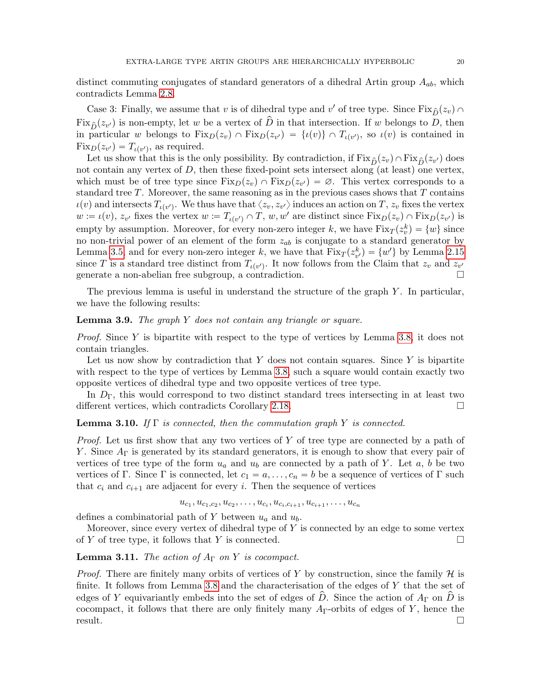distinct commuting conjugates of standard generators of a dihedral Artin group  $A_{ab}$ , which contradicts Lemma [2.8.](#page-8-3)

Case 3: Finally, we assume that v is of dihedral type and v' of tree type. Since  $Fix_{\hat{D}}(z_v) \cap$  $Fix_{\hat{D}}(z_{v'})$  is non-empty, let w be a vertex of  $\hat{D}$  in that intersection. If w belongs to  $D$ , then in particular w belongs to  $Fix_D(z_v) \cap Fix_D(z_{v'}) = \{u(v)\} \cap T_{u(v')}$ , so  $u(v)$  is contained in  $Fix_D(z_{v'}) = T_{\iota(v')}$ , as required.

Let us show that this is the only possibility. By contradiction, if  $Fix_{\hat{D}}(z_v) \cap Fix_{\hat{D}}(z_{v'})$  does not contain any vertex of  $D$ , then these fixed-point sets intersect along (at least) one vertex, which must be of tree type since  $Fix_D(z_v) \cap Fix_D(z_{v'}) = \emptyset$ . This vertex corresponds to a standard tree  $T$ . Moreover, the same reasoning as in the previous cases shows that  $T$  contains  $\iota(v)$  and intersects  $T_{\iota(v')}$ . We thus have that  $\langle z_v, z_{v'} \rangle$  induces an action on  $T, z_v$  fixes the vertex  $w := \iota(v), z_{v'}$  fixes the vertex  $w := T_{\iota(v')} \cap T, w, w'$  are distinct since  $Fix_D(z_v) \cap Fix_D(z_{v'})$  is empty by assumption. Moreover, for every non-zero integer k, we have  $\text{Fix}_T(z_v^k) = \{w\}$  since no non-trivial power of an element of the form  $z_{ab}$  is conjugate to a standard generator by Lemma [3.5,](#page-16-0) and for every non-zero integer k, we have that  $\text{Fix}_T(z_{v'}^k) = \{w'\}\$  by Lemma [2.15](#page-10-0) since T is a standard tree distinct from  $T_{\iota(v')}$ . It now follows from the Claim that  $z_v$  and  $z_{v'}$ generate a non-abelian free subgroup, a contradiction.

The previous lemma is useful in understand the structure of the graph  $Y$ . In particular, we have the following results:

## <span id="page-19-0"></span>**Lemma 3.9.** The graph  $Y$  does not contain any triangle or square.

*Proof.* Since Y is bipartite with respect to the type of vertices by Lemma [3.8,](#page-18-0) it does not contain triangles.

Let us now show by contradiction that  $Y$  does not contain squares. Since  $Y$  is bipartite with respect to the type of vertices by Lemma [3.8,](#page-18-0) such a square would contain exactly two opposite vertices of dihedral type and two opposite vertices of tree type.

In  $D_{\Gamma}$ , this would correspond to two distinct standard trees intersecting in at least two different vertices, which contradicts Corollary [2.18.](#page-10-1)

## <span id="page-19-1"></span>**Lemma 3.10.** If  $\Gamma$  is connected, then the commutation graph Y is connected.

Proof. Let us first show that any two vertices of Y of tree type are connected by a path of Y. Since  $A_{\Gamma}$  is generated by its standard generators, it is enough to show that every pair of vertices of tree type of the form  $u_a$  and  $u_b$  are connected by a path of Y. Let a, b be two vertices of Γ. Since Γ is connected, let  $c_1 = a, \ldots, c_n = b$  be a sequence of vertices of Γ such that  $c_i$  and  $c_{i+1}$  are adjacent for every i. Then the sequence of vertices

 $u_{c_1}, u_{c_1,c_2}, u_{c_2}, \ldots, u_{c_i}, u_{c_i,c_{i+1}}, u_{c_{i+1}}, \ldots, u_{c_n}$ 

defines a combinatorial path of Y between  $u_a$  and  $u_b$ .

Moreover, since every vertex of dihedral type of  $Y$  is connected by an edge to some vertex of Y of tree type, it follows that Y is connected.  $\square$ 

<span id="page-19-2"></span>**Lemma 3.11.** The action of  $A_{\Gamma}$  on Y is cocompact.

*Proof.* There are finitely many orbits of vertices of Y by construction, since the family  $H$  is finite. It follows from Lemma [3.8](#page-18-0) and the characterisation of the edges of Y that the set of edges of Y equivariantly embeds into the set of edges of  $\hat{D}$ . Since the action of  $A_{\Gamma}$  on  $\hat{D}$  is cocompact, it follows that there are only finitely many  $A_{\Gamma}$ -orbits of edges of Y, hence the result.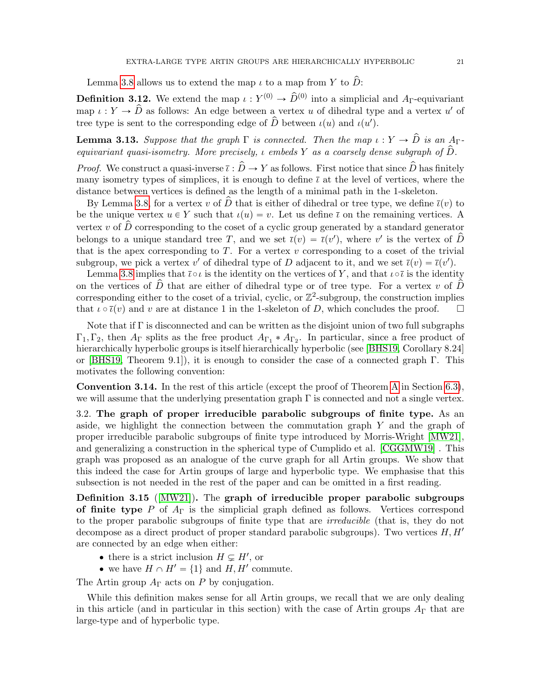Lemma [3.8](#page-18-0) allows us to extend the map  $\iota$  to a map from Y to  $\hat{D}$ :

<span id="page-20-3"></span>**Definition 3.12.** We extend the map  $\iota: Y^{(0)} \to \hat{D}^{(0)}$  into a simplicial and  $A_{\Gamma}$ -equivariant map  $\iota: Y \to \hat{D}$  as follows: An edge between a vertex u of dihedral type and a vertex u' of tree type is sent to the corresponding edge of  $\hat{D}$  between  $\iota(u)$  and  $\iota(u')$ .

<span id="page-20-1"></span>**Lemma 3.13.** Suppose that the graph  $\Gamma$  is connected. Then the map  $\iota: Y \to \hat{D}$  is an A<sub>Γ</sub>equivariant quasi-isometry. More precisely,  $\iota$  embeds Y as a coarsely dense subgraph of  $\hat{D}$ .

*Proof.* We construct a quasi-inverse  $\overline{\iota} : \widehat{D} \to Y$  as follows. First notice that since  $\widehat{D}$  has finitely many isometry types of simplices, it is enough to define  $\bar{\iota}$  at the level of vertices, where the distance between vertices is defined as the length of a minimal path in the 1-skeleton.

By Lemma [3.8,](#page-18-0) for a vertex v of  $\hat{D}$  that is either of dihedral or tree type, we define  $\bar{\iota}(v)$  to be the unique vertex  $u \in Y$  such that  $\iota(u) = v$ . Let us define  $\overline{\iota}$  on the remaining vertices. A vertex v of  $\hat{D}$  corresponding to the coset of a cyclic group generated by a standard generator belongs to a unique standard tree T, and we set  $\bar{\iota}(v) = \bar{\iota}(v')$ , where v' is the vertex of  $\hat{D}$ that is the apex corresponding to  $T$ . For a vertex  $v$  corresponding to a coset of the trivial subgroup, we pick a vertex  $v'$  of dihedral type of D adjacent to it, and we set  $\bar{\iota}(v) = \bar{\iota}(v')$ .

Lemma [3.8](#page-18-0) implies that  $\bar{\iota} \circ \iota$  is the identity on the vertices of Y, and that  $\iota \circ \bar{\iota}$  is the identity on the vertices of  $\hat{D}$  that are either of dihedral type or of tree type. For a vertex v of  $\hat{D}$ corresponding either to the coset of a trivial, cyclic, or  $\mathbb{Z}^2$ -subgroup, the construction implies that  $\iota \circ \bar{\iota}(v)$  and v are at distance 1 in the 1-skeleton of D, which concludes the proof.  $\square$ 

Note that if Γ is disconnected and can be written as the disjoint union of two full subgraphs  $\Gamma_1, \Gamma_2$ , then  $A_{\Gamma}$  splits as the free product  $A_{\Gamma_1} * A_{\Gamma_2}$ . In particular, since a free product of hierarchically hyperbolic groups is itself hierarchically hyperbolic (see [\[BHS19,](#page-60-4) Corollary 8.24] or [\[BHS19,](#page-60-4) Theorem 9.1]), it is enough to consider the case of a connected graph  $\Gamma$ . This motivates the following convention:

<span id="page-20-2"></span>Convention 3.14. In the rest of this article (except the proof of Theorem [A](#page-2-3) in Section [6.3\)](#page-56-0), we will assume that the underlying presentation graph  $\Gamma$  is connected and not a single vertex.

<span id="page-20-0"></span>3.2. The graph of proper irreducible parabolic subgroups of finite type. As an aside, we highlight the connection between the commutation graph  $Y$  and the graph of proper irreducible parabolic subgroups of finite type introduced by Morris-Wright [\[MW21\]](#page-61-13), and generalizing a construction in the spherical type of Cumplido et al. [\[CGGMW19\]](#page-60-15) . This graph was proposed as an analogue of the curve graph for all Artin groups. We show that this indeed the case for Artin groups of large and hyperbolic type. We emphasise that this subsection is not needed in the rest of the paper and can be omitted in a first reading.

Definition 3.15 ([\[MW21\]](#page-61-13)). The graph of irreducible proper parabolic subgroups of finite type P of  $A_{\Gamma}$  is the simplicial graph defined as follows. Vertices correspond to the proper parabolic subgroups of finite type that are irreducible (that is, they do not decompose as a direct product of proper standard parabolic subgroups). Two vertices  $H, H'$ are connected by an edge when either:

- there is a strict inclusion  $H \subsetneq H'$ , or
- we have  $H \cap H' = \{1\}$  and  $H, H'$  commute.

The Artin group  $A_{\Gamma}$  acts on P by conjugation.

While this definition makes sense for all Artin groups, we recall that we are only dealing in this article (and in particular in this section) with the case of Artin groups  $A_{\Gamma}$  that are large-type and of hyperbolic type.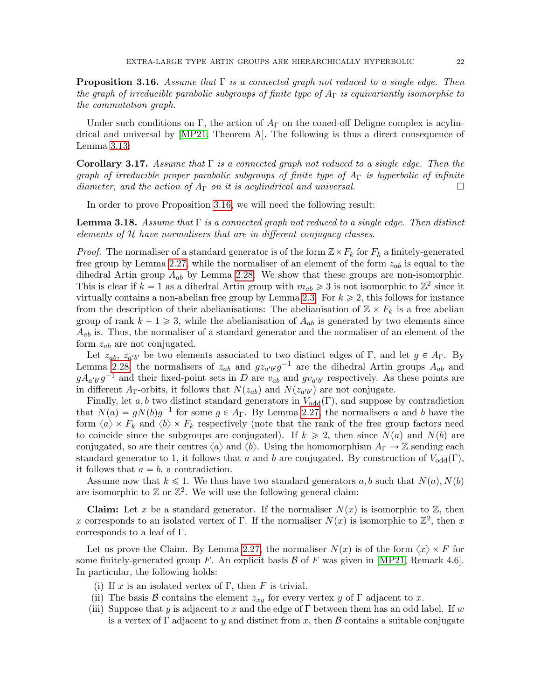<span id="page-21-0"></span>**Proposition 3.16.** Assume that  $\Gamma$  is a connected graph not reduced to a single edge. Then the graph of irreducible parabolic subgroups of finite type of  $A_{\Gamma}$  is equivariantly isomorphic to the commutation graph.

Under such conditions on Γ, the action of  $A_{\Gamma}$  on the coned-off Deligne complex is acylindrical and universal by [\[MP21,](#page-61-6) Theorem A]. The following is thus a direct consequence of Lemma [3.13:](#page-20-1)

**Corollary 3.17.** Assume that  $\Gamma$  is a connected graph not reduced to a single edge. Then the graph of irreducible proper parabolic subgroups of finite type of  $A_{\Gamma}$  is hyperbolic of infinite diameter, and the action of  $A_{\Gamma}$  on it is acylindrical and universal.

In order to prove Proposition [3.16,](#page-21-0) we will need the following result:

<span id="page-21-1"></span>**Lemma 3.18.** Assume that  $\Gamma$  is a connected graph not reduced to a single edge. Then distinct elements of  $H$  have normalisers that are in different conjugacy classes.

*Proof.* The normaliser of a standard generator is of the form  $\mathbb{Z}\times F_k$  for  $F_k$  a finitely-generated free group by Lemma [2.27,](#page-13-1) while the normaliser of an element of the form  $z_{ab}$  is equal to the dihedral Artin group  $A_{ab}$  by Lemma [2.28.](#page-13-0) We show that these groups are non-isomorphic. This is clear if  $k = 1$  as a dihedral Artin group with  $m_{ab} \geq 3$  is not isomorphic to  $\mathbb{Z}^2$  since it virtually contains a non-abelian free group by Lemma [2.3.](#page-7-1) For  $k \geq 2$ , this follows for instance from the description of their abelianisations: The abelianisation of  $\mathbb{Z} \times F_k$  is a free abelian group of rank  $k + 1 \geq 3$ , while the abelianisation of  $A_{ab}$  is generated by two elements since  $A_{ab}$  is. Thus, the normaliser of a standard generator and the normaliser of an element of the form  $z_{ab}$  are not conjugated.

Let  $z_{ab}$ ,  $z_{a'b'}$  be two elements associated to two distinct edges of Γ, and let  $g \in A_{\Gamma}$ . By Lemma [2.28,](#page-13-0) the normalisers of  $z_{ab}$  and  $gz_{a'b'}g^{-1}$  are the dihedral Artin groups  $A_{ab}$  and  $g A_{a'b'} g^{-1}$  and their fixed-point sets in D are  $v_{ab}$  and  $g v_{a'b'}$  respectively. As these points are in different A<sub>Γ</sub>-orbits, it follows that  $N(z_{ab})$  and  $N(z_{a'b'})$  are not conjugate.

Finally, let a, b two distinct standard generators in  $V_{odd}(\Gamma)$ , and suppose by contradiction that  $N(a) = gN(b)g^{-1}$  for some  $g \in A_{\Gamma}$ . By Lemma [2.27,](#page-13-1) the normalisers a and b have the form  $\langle a \rangle \times F_k$  and  $\langle b \rangle \times F_k$  respectively (note that the rank of the free group factors need to coincide since the subgroups are conjugated). If  $k \geq 2$ , then since  $N(a)$  and  $N(b)$  are conjugated, so are their centres  $\langle a \rangle$  and  $\langle b \rangle$ . Using the homomorphism  $A_{\Gamma} \to \mathbb{Z}$  sending each standard generator to 1, it follows that a and b are conjugated. By construction of  $V_{odd}(\Gamma)$ , it follows that  $a = b$ , a contradiction.

Assume now that  $k \leq 1$ . We thus have two standard generators a, b such that  $N(a)$ ,  $N(b)$ are isomorphic to  $\mathbb{Z}$  or  $\mathbb{Z}^2$ . We will use the following general claim:

**Claim:** Let x be a standard generator. If the normaliser  $N(x)$  is isomorphic to Z, then x corresponds to an isolated vertex of  $\Gamma$ . If the normaliser  $N(x)$  is isomorphic to  $\mathbb{Z}^2$ , then x corresponds to a leaf of Γ.

Let us prove the Claim. By Lemma [2.27,](#page-13-1) the normaliser  $N(x)$  is of the form  $\langle x \rangle \times F$  for some finitely-generated group F. An explicit basis  $\mathcal{B}$  of F was given in [\[MP21,](#page-61-6) Remark 4.6]. In particular, the following holds:

- (i) If x is an isolated vertex of Γ, then F is trivial.
- (ii) The basis B contains the element  $z_{xy}$  for every vertex y of  $\Gamma$  adjacent to x.
- (iii) Suppose that y is adjacent to x and the edge of  $\Gamma$  between them has an odd label. If w is a vertex of  $\Gamma$  adjacent to y and distinct from x, then B contains a suitable conjugate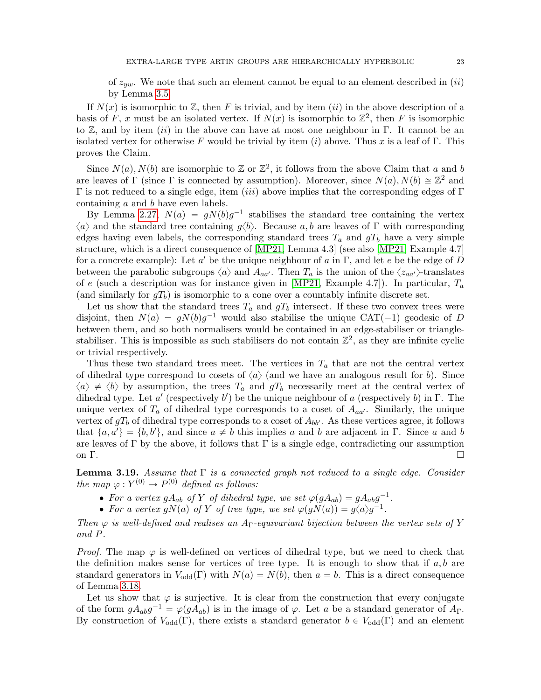of  $z_{yw}$ . We note that such an element cannot be equal to an element described in *(ii)* by Lemma [3.5.](#page-16-0)

If  $N(x)$  is isomorphic to Z, then F is trivial, and by item *(ii)* in the above description of a basis of F, x must be an isolated vertex. If  $N(x)$  is isomorphic to  $\mathbb{Z}^2$ , then F is isomorphic to Z, and by item *(ii)* in the above can have at most one neighbour in Γ. It cannot be an isolated vertex for otherwise F would be trivial by item (i) above. Thus x is a leaf of Γ. This proves the Claim.

Since  $N(a)$ ,  $N(b)$  are isomorphic to Z or  $\mathbb{Z}^2$ , it follows from the above Claim that a and b are leaves of  $\Gamma$  (since  $\Gamma$  is connected by assumption). Moreover, since  $N(a)$ ,  $N(b) \cong \mathbb{Z}^2$  and Γ is not reduced to a single edge, item *(iii)* above implies that the corresponding edges of Γ containing a and b have even labels.

By Lemma [2.27,](#page-13-1)  $N(a) = gN(b)g^{-1}$  stabilises the standard tree containing the vertex  $\langle a \rangle$  and the standard tree containing  $g\langle b \rangle$ . Because a, b are leaves of Γ with corresponding edges having even labels, the corresponding standard trees  $T_a$  and  $gT_b$  have a very simple structure, which is a direct consequence of [\[MP21,](#page-61-6) Lemma 4.3] (see also [\[MP21,](#page-61-6) Example 4.7] for a concrete example): Let  $a'$  be the unique neighbour of a in  $\Gamma$ , and let e be the edge of D between the parabolic subgroups  $\langle a \rangle$  and  $A_{aa'}$ . Then  $T_a$  is the union of the  $\langle z_{aa'} \rangle$ -translates of e (such a description was for instance given in [\[MP21,](#page-61-6) Example 4.7]). In particular,  $T_a$ (and similarly for  $gT_b$ ) is isomorphic to a cone over a countably infinite discrete set.

Let us show that the standard trees  $T_a$  and  $gT_b$  intersect. If these two convex trees were disjoint, then  $N(a) = gN(b)g^{-1}$  would also stabilise the unique CAT(-1) geodesic of D between them, and so both normalisers would be contained in an edge-stabiliser or trianglestabiliser. This is impossible as such stabilisers do not contain  $\mathbb{Z}^2$ , as they are infinite cyclic or trivial respectively.

Thus these two standard trees meet. The vertices in  $T_a$  that are not the central vertex of dihedral type correspond to cosets of  $\langle a \rangle$  (and we have an analogous result for b). Since  $\langle a \rangle \neq \langle b \rangle$  by assumption, the trees  $T_a$  and  $gT_b$  necessarily meet at the central vertex of dihedral type. Let  $a'$  (respectively b') be the unique neighbour of a (respectively b) in  $\Gamma$ . The unique vertex of  $T_a$  of dihedral type corresponds to a coset of  $A_{aa'}$ . Similarly, the unique vertex of  $gT_b$  of dihedral type corresponds to a coset of  $A_{bb'}$ . As these vertices agree, it follows that  $\{a, a'\} = \{b, b'\}$ , and since  $a \neq b$  this implies a and b are adjacent in  $\Gamma$ . Since a and b are leaves of  $\Gamma$  by the above, it follows that  $\Gamma$  is a single edge, contradicting our assumption on  $\Gamma$ .

<span id="page-22-0"></span>**Lemma 3.19.** Assume that  $\Gamma$  is a connected graph not reduced to a single edge. Consider the map  $\varphi: Y^{(0)} \to P^{(0)}$  defined as follows:

- For a vertex  $gA_{ab}$  of Y of dihedral type, we set  $\varphi(gA_{ab}) = gA_{ab}g^{-1}$ .
- For a vertex  $gN(a)$  of Y of tree type, we set  $\varphi(gN(a)) = g\langle a\rangle g^{-1}$ .

Then  $\varphi$  is well-defined and realises an A<sub>Γ</sub>-equivariant bijection between the vertex sets of Y and P.

*Proof.* The map  $\varphi$  is well-defined on vertices of dihedral type, but we need to check that the definition makes sense for vertices of tree type. It is enough to show that if  $a, b$  are standard generators in  $V_{\text{odd}}(\Gamma)$  with  $N(a) = N(b)$ , then  $a = b$ . This is a direct consequence of Lemma [3.18.](#page-21-1)

Let us show that  $\varphi$  is surjective. It is clear from the construction that every conjugate of the form  $gA_{ab}g^{-1} = \varphi(gA_{ab})$  is in the image of  $\varphi$ . Let a be a standard generator of  $A_{\Gamma}$ . By construction of  $V_{odd}(\Gamma)$ , there exists a standard generator  $b \in V_{odd}(\Gamma)$  and an element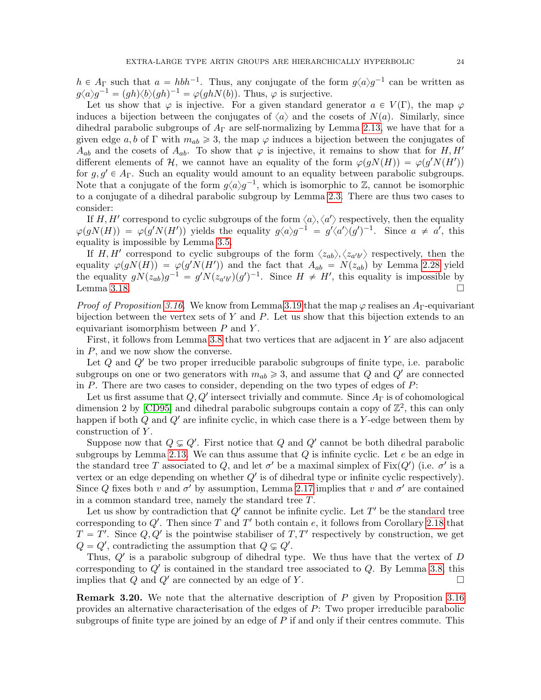$h \in A_{\Gamma}$  such that  $a = h b h^{-1}$ . Thus, any conjugate of the form  $g \langle a \rangle g^{-1}$  can be written as  $g\langle a\rangle g^{-1} = (gh)\langle b\rangle (gh)^{-1} = \varphi(ghN(b)).$  Thus,  $\varphi$  is surjective.

Let us show that  $\varphi$  is injective. For a given standard generator  $a \in V(\Gamma)$ , the map  $\varphi$ induces a bijection between the conjugates of  $\langle a \rangle$  and the cosets of  $N(a)$ . Similarly, since dihedral parabolic subgroups of  $A_{\Gamma}$  are self-normalizing by Lemma [2.13,](#page-9-2) we have that for a given edge a, b of Γ with  $m_{ab} \geq 3$ , the map  $\varphi$  induces a bijection between the conjugates of  $A_{ab}$  and the cosets of  $A_{ab}$ . To show that  $\varphi$  is injective, it remains to show that for H, H' different elements of H, we cannot have an equality of the form  $\varphi(gN(H)) = \varphi(g'N(H'))$ for  $g, g' \in A_{\Gamma}$ . Such an equality would amount to an equality between parabolic subgroups. Note that a conjugate of the form  $g\langle a\rangle g^{-1}$ , which is isomorphic to Z, cannot be isomorphic to a conjugate of a dihedral parabolic subgroup by Lemma [2.3.](#page-7-1) There are thus two cases to consider:

If H, H' correspond to cyclic subgroups of the form  $\langle a \rangle, \langle a' \rangle$  respectively, then the equality  $\varphi(gN(H)) = \varphi(g'N(H'))$  yields the equality  $g\langle a\rangle g^{-1} = g'\langle a'\rangle (g')^{-1}$ . Since  $a \neq a'$ , this equality is impossible by Lemma [3.5.](#page-16-0)

If H, H' correspond to cyclic subgroups of the form  $\langle z_{ab}\rangle$ ,  $\langle z_{a'b'}\rangle$  respectively, then the equality  $\varphi(gN(H)) = \varphi(g'N(H'))$  and the fact that  $A_{ab} = N(z_{ab})$  by Lemma [2.28](#page-13-0) yield the equality  $gN(z_{ab})g^{-1} = g'N(z_{a'b'})(g')^{-1}$ . Since  $H \neq H'$ , this equality is impossible by Lemma [3.18.](#page-21-1)  $\Box$ 

*Proof of Proposition [3.16.](#page-21-0)* We know from Lemma [3.19](#page-22-0) that the map  $\varphi$  realises an A<sub>Γ</sub>-equivariant bijection between the vertex sets of Y and P. Let us show that this bijection extends to an equivariant isomorphism between  $P$  and  $Y$ .

First, it follows from Lemma [3.8](#page-18-0) that two vertices that are adjacent in Y are also adjacent in  $P$ , and we now show the converse.

Let  $Q$  and  $Q'$  be two proper irreducible parabolic subgroups of finite type, i.e. parabolic subgroups on one or two generators with  $m_{ab} \geq 3$ , and assume that Q and Q' are connected in  $P$ . There are two cases to consider, depending on the two types of edges of  $P$ :

Let us first assume that  $Q, Q'$  intersect trivially and commute. Since  $A_{\Gamma}$  is of cohomological dimension 2 by [\[CD95\]](#page-60-19) and dihedral parabolic subgroups contain a copy of  $\mathbb{Z}^2$ , this can only happen if both  $Q$  and  $Q'$  are infinite cyclic, in which case there is a Y-edge between them by construction of Y.

Suppose now that  $Q \subsetneq Q'$ . First notice that Q and Q' cannot be both dihedral parabolic subgroups by Lemma [2.13.](#page-9-2) We can thus assume that  $Q$  is infinite cyclic. Let  $e$  be an edge in the standard tree T associated to Q, and let  $\sigma'$  be a maximal simplex of Fix $(Q')$  (i.e.  $\sigma'$  is a vertex or an edge depending on whether  $Q'$  is of dihedral type or infinite cyclic respectively). Since Q fixes both v and  $\sigma'$  by assumption, Lemma [2.17](#page-10-2) implies that v and  $\sigma'$  are contained in a common standard tree, namely the standard tree T.

Let us show by contradiction that  $Q'$  cannot be infinite cyclic. Let  $T'$  be the standard tree corresponding to  $Q'$ . Then since T and T' both contain e, it follows from Corollary [2.18](#page-10-1) that  $T = T'$ . Since  $Q, Q'$  is the pointwise stabiliser of  $T, T'$  respectively by construction, we get  $Q = Q'$ , contradicting the assumption that  $Q \subsetneq Q'$ .

Thus,  $Q'$  is a parabolic subgroup of dihedral type. We thus have that the vertex of  $D$ corresponding to  $Q'$  is contained in the standard tree associated to  $Q$ . By Lemma [3.8,](#page-18-0) this implies that  $Q$  and  $Q'$  are connected by an edge of Y.

Remark 3.20. We note that the alternative description of P given by Proposition [3.16](#page-21-0) provides an alternative characterisation of the edges of P: Two proper irreducible parabolic subgroups of finite type are joined by an edge of  $P$  if and only if their centres commute. This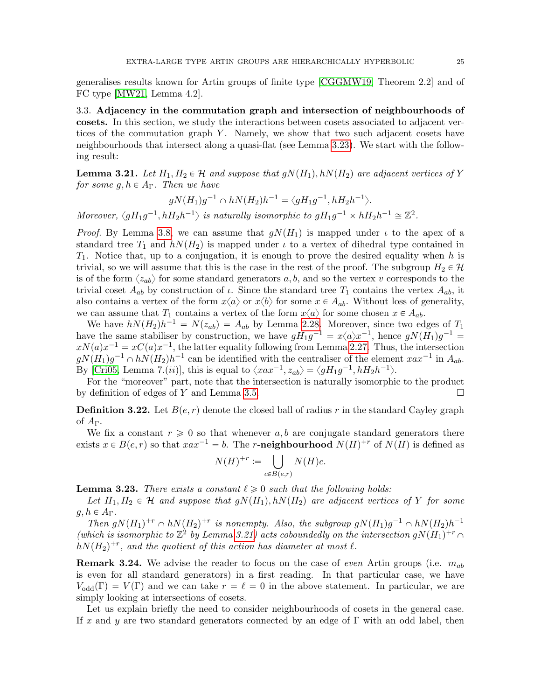generalises results known for Artin groups of finite type [\[CGGMW19,](#page-60-15) Theorem 2.2] and of FC type [\[MW21,](#page-61-13) Lemma 4.2].

<span id="page-24-0"></span>3.3. Adjacency in the commutation graph and intersection of neighbourhoods of cosets. In this section, we study the interactions between cosets associated to adjacent vertices of the commutation graph  $Y$ . Namely, we show that two such adjacent cosets have neighbourhoods that intersect along a quasi-flat (see Lemma [3.23\)](#page-24-1). We start with the following result:

<span id="page-24-2"></span>**Lemma 3.21.** Let  $H_1, H_2 \in \mathcal{H}$  and suppose that  $gN(H_1), hN(H_2)$  are adjacent vertices of Y for some  $g, h \in A_{\Gamma}$ . Then we have

$$
g N(H_1) g^{-1} \cap h N(H_2) h^{-1} = \langle g H_1 g^{-1}, h H_2 h^{-1} \rangle.
$$

Moreover,  $\langle gH_1g^{-1}, hH_2h^{-1} \rangle$  is naturally isomorphic to  $gH_1g^{-1} \times hH_2h^{-1} \cong \mathbb{Z}^2$ .

*Proof.* By Lemma [3.8,](#page-18-0) we can assume that  $gN(H_1)$  is mapped under  $\iota$  to the apex of a standard tree  $T_1$  and  $h(N(H_2))$  is mapped under  $\iota$  to a vertex of dihedral type contained in  $T_1$ . Notice that, up to a conjugation, it is enough to prove the desired equality when h is trivial, so we will assume that this is the case in the rest of the proof. The subgroup  $H_2 \in \mathcal{H}$ is of the form  $\langle z_{ab} \rangle$  for some standard generators a, b, and so the vertex v corresponds to the trivial coset  $A_{ab}$  by construction of  $\iota$ . Since the standard tree  $T_1$  contains the vertex  $A_{ab}$ , it also contains a vertex of the form  $x\langle a \rangle$  or  $x\langle b \rangle$  for some  $x \in A_{ab}$ . Without loss of generality, we can assume that  $T_1$  contains a vertex of the form  $x\langle a \rangle$  for some chosen  $x \in A_{ab}$ .

We have  $h(N(H_2)h^{-1} = N(z_{ab}) = A_{ab}$  by Lemma [2.28.](#page-13-0) Moreover, since two edges of  $T_1$ have the same stabiliser by construction, we have  $gH_1g^{-1} = x \langle a \rangle x^{-1}$ , hence  $gN(H_1)g^{-1} = x \langle a \rangle x^{-1}$  $xN(a)x^{-1} = xC(a)x^{-1}$ , the latter equality following from Lemma [2.27.](#page-13-1) Thus, the intersection  $gN(H_1)g^{-1} \cap hN(H_2)h^{-1}$  can be identified with the centraliser of the element  $xax^{-1}$  in  $A_{ab}$ . By [\[Cri05,](#page-60-17) Lemma 7. $(ii)$ ], this is equal to  $\langle xax^{-1}, z_{ab}\rangle = \langle gH_1g^{-1}, hH_2h^{-1}\rangle$ .

For the "moreover" part, note that the intersection is naturally isomorphic to the product by definition of edges of Y and Lemma [3.5.](#page-16-0)

<span id="page-24-3"></span>**Definition 3.22.** Let  $B(e, r)$  denote the closed ball of radius r in the standard Cayley graph of  $A_{\Gamma}$ .

We fix a constant  $r \geq 0$  so that whenever a, b are conjugate standard generators there exists  $x \in B(e, r)$  so that  $xax^{-1} = b$ . The r-neighbourhood  $N(H)^{+r}$  of  $N(H)$  is defined as

$$
N(H)^{+r} := \bigcup_{c \in B(e,r)} N(H)c.
$$

<span id="page-24-1"></span>**Lemma 3.23.** There exists a constant  $\ell \geq 0$  such that the following holds:

Let  $H_1, H_2 \in \mathcal{H}$  and suppose that  $gN(H_1), hN(H_2)$  are adjacent vertices of Y for some  $q, h \in A_{\Gamma}$ .

Then  $gN(H_1)^{+r} \cap hN(H_2)^{+r}$  is nonempty. Also, the subgroup  $gN(H_1)g^{-1} \cap hN(H_2)h^{-1}$ (which is isomorphic to  $\mathbb{Z}^2$  by Lemma [3.21\)](#page-24-2) acts coboundedly on the intersection  $gN(H_1)^{+r} \cap$  $h(N(H_2)^{+r})$ , and the quotient of this action has diameter at most  $\ell$ .

**Remark 3.24.** We advise the reader to focus on the case of *even* Artin groups (i.e.  $m_{ab}$ ) is even for all standard generators) in a first reading. In that particular case, we have  $V_{\text{odd}}(\Gamma) = V(\Gamma)$  and we can take  $r = \ell = 0$  in the above statement. In particular, we are simply looking at intersections of cosets.

Let us explain briefly the need to consider neighbourhoods of cosets in the general case. If x and y are two standard generators connected by an edge of  $\Gamma$  with an odd label, then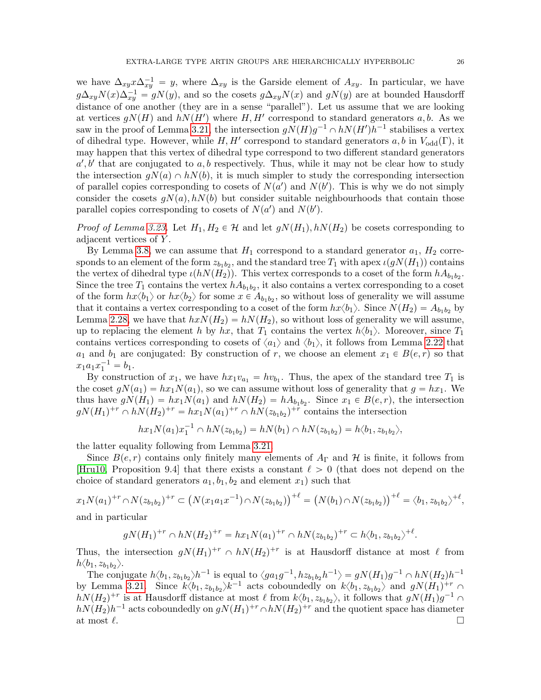we have  $\Delta_{xy} x \Delta_{xy}^{-1} = y$ , where  $\Delta_{xy}$  is the Garside element of  $A_{xy}$ . In particular, we have  $g\Delta_{xy}N(x)\Delta_{xy}^{-1} = gN(y)$ , and so the cosets  $g\Delta_{xy}N(x)$  and  $gN(y)$  are at bounded Hausdorff distance of one another (they are in a sense "parallel"). Let us assume that we are looking at vertices  $g(N(H)$  and  $h(N(H'))$  where  $H, H'$  correspond to standard generators a, b. As we saw in the proof of Lemma [3.21,](#page-24-2) the intersection  $gN(H)g^{-1} \cap hN(H')h^{-1}$  stabilises a vertex of dihedral type. However, while  $H, H'$  correspond to standard generators  $a, b$  in  $V_{odd}(\Gamma)$ , it may happen that this vertex of dihedral type correspond to two different standard generators  $a', b'$  that are conjugated to a, b respectively. Thus, while it may not be clear how to study the intersection  $gN(a) \cap hN(b)$ , it is much simpler to study the corresponding intersection of parallel copies corresponding to cosets of  $N(a')$  and  $N(b')$ . This is why we do not simply consider the cosets  $qN(a)$ ,  $hN(b)$  but consider suitable neighbourhoods that contain those parallel copies corresponding to cosets of  $N(a')$  and  $N(b')$ .

*Proof of Lemma [3.23.](#page-24-1)* Let  $H_1, H_2 \in \mathcal{H}$  and let  $gN(H_1), hN(H_2)$  be cosets corresponding to adjacent vertices of Y .

By Lemma [3.8,](#page-18-0) we can assume that  $H_1$  correspond to a standard generator  $a_1$ ,  $H_2$  corresponds to an element of the form  $z_{b_1b_2}$ , and the standard tree  $T_1$  with apex  $\iota(gN(H_1))$  contains the vertex of dihedral type  $\iota(hN(H_2))$ . This vertex corresponds to a coset of the form  $hA_{b_1b_2}$ . Since the tree  $T_1$  contains the vertex  $hA_{b_1b_2}$ , it also contains a vertex corresponding to a coset of the form  $hx\langle b_1\rangle$  or  $hx\langle b_2\rangle$  for some  $x \in A_{b_1b_2}$ , so without loss of generality we will assume that it contains a vertex corresponding to a coset of the form  $hx\langle b_1 \rangle$ . Since  $N(H_2) = A_{b_1b_2}$  by Lemma [2.28,](#page-13-0) we have that  $h x N(H_2) = h N(H_2)$ , so without loss of generality we will assume, up to replacing the element h by hx, that  $T_1$  contains the vertex  $h\langle b_1\rangle$ . Moreover, since  $T_1$ contains vertices corresponding to cosets of  $\langle a_1 \rangle$  and  $\langle b_1 \rangle$ , it follows from Lemma [2.22](#page-11-1) that  $a_1$  and  $b_1$  are conjugated: By construction of r, we choose an element  $x_1 \in B(e, r)$  so that  $x_1a_1x_1^{-1} = b_1.$ 

By construction of  $x_1$ , we have  $hx_1v_{a_1} = hv_{b_1}$ . Thus, the apex of the standard tree  $T_1$  is the coset  $g(x_1) = hx_1N(a_1)$ , so we can assume without loss of generality that  $g = hx_1$ . We thus have  $gN(H_1) = hx_1N(a_1)$  and  $hN(H_2) = hA_{b_1b_2}$ . Since  $x_1 \in B(e,r)$ , the intersection  $gN(H_1)^{+r} \cap hN(H_2)^{+r} = hx_1N(a_1)^{+r} \cap hN(z_{b_1b_2})^{+r}$  contains the intersection

$$
hx_1N(a_1)x_1^{-1} \cap hN(z_{b_1b_2}) = hN(b_1) \cap hN(z_{b_1b_2}) = h\langle b_1, z_{b_1b_2} \rangle,
$$

the latter equality following from Lemma [3.21.](#page-24-2)

Since  $B(e, r)$  contains only finitely many elements of  $A_{\Gamma}$  and H is finite, it follows from [\[Hru10,](#page-61-20) Proposition 9.4] that there exists a constant  $\ell > 0$  (that does not depend on the choice of standard generators  $a_1, b_1, b_2$  and element  $x_1$ ) such that

$$
x_1N(a_1)^{+r}\cap N(z_{b_1b_2})^{+r}\subset \big(N(x_1a_1x^{-1})\cap N(z_{b_1b_2})\big)^{+l}=\big(N(b_1)\cap N(z_{b_1b_2})\big)^{+l}=\langle b_1,z_{b_1b_2}\rangle^{+l},
$$

and in particular

$$
gN(H_1)^{+r} \cap hN(H_2)^{+r} = hx_1N(a_1)^{+r} \cap hN(z_{b_1b_2})^{+r} \subset h\langle b_1, z_{b_1b_2} \rangle^{+\ell}.
$$

Thus, the intersection  $gN(H_1)^{+r} \cap hN(H_2)^{+r}$  is at Hausdorff distance at most  $\ell$  from  $h \langle b_1, z_{b_1 b_2} \rangle.$ 

The conjugate  $h\langle b_1, z_{b_1b_2}\rangle h^{-1}$  is equal to  $\langle ga_1g^{-1},hz_{b_1b_2}h^{-1}\rangle = gN(H_1)g^{-1} \cap hN(H_2)h^{-1}$ by Lemma [3.21.](#page-24-2) Since  $k\langle b_1, z_{b_1b_2}\rangle k^{-1}$  acts coboundedly on  $k\langle b_1, z_{b_1b_2}\rangle$  and  $gN(H_1)^{+r}$  $h(N(H_2)^{+r}$  is at Hausdorff distance at most  $\ell$  from  $k\langle b_1, z_{b_1b_2}\rangle$ , it follows that  $gN(H_1)g^{-1} \cap$  $h(N(H_2)h^{-1}$  acts coboundedly on  $gN(H_1)^{+r} \cap hN(H_2)^{+r}$  and the quotient space has diameter at most  $\ell$ .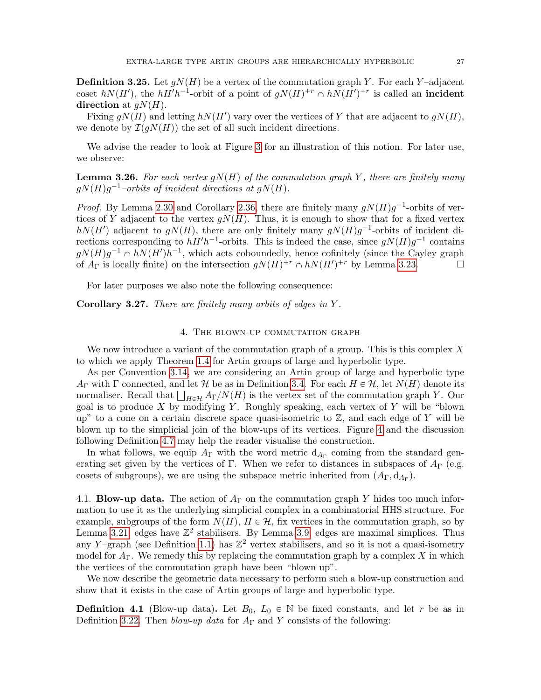<span id="page-26-2"></span>**Definition 3.25.** Let  $qN(H)$  be a vertex of the commutation graph Y. For each Y-adjacent coset  $h(N(H')$ , the  $hH'h^{-1}$ -orbit of a point of  $gN(H)^{+r} \cap hN(H')^{+r}$  is called an **incident** direction at  $qN(H)$ .

Fixing  $gN(H)$  and letting  $hN(H')$  vary over the vertices of Y that are adjacent to  $gN(H)$ , we denote by  $\mathcal{I}(qN(H))$  the set of all such incident directions.

We advise the reader to look at Figure [3](#page-27-0) for an illustration of this notion. For later use, we observe:

<span id="page-26-3"></span>**Lemma 3.26.** For each vertex  $qN(H)$  of the commutation graph Y, there are finitely many  $gN(H)g^{-1}$ -orbits of incident directions at  $gN(H)$ .

*Proof.* By Lemma [2.30](#page-14-2) and Corollary [2.36,](#page-15-3) there are finitely many  $gN(H)g^{-1}$ -orbits of vertices of Y adjacent to the vertex  $gN(H)$ . Thus, it is enough to show that for a fixed vertex  $h(N(H')$  adjacent to  $gN(H)$ , there are only finitely many  $gN(H)g^{-1}$ -orbits of incident directions corresponding to  $hH'h^{-1}$ -orbits. This is indeed the case, since  $gN(H)g^{-1}$  contains  $g(N(H)g^{-1} \cap h(N(H'))h^{-1}$ , which acts coboundedly, hence cofinitely (since the Cayley graph of  $A_{\Gamma}$  is locally finite) on the intersection  $gN(H)^{+r} \cap hN(H')^{+r}$  by Lemma [3.23.](#page-24-1)

For later purposes we also note the following consequence:

<span id="page-26-5"></span>Corollary 3.27. There are finitely many orbits of edges in Y.

### 4. The blown-up commutation graph

<span id="page-26-0"></span>We now introduce a variant of the commutation graph of a group. This is this complex  $X$ to which we apply Theorem [1.4](#page-6-2) for Artin groups of large and hyperbolic type.

As per Convention [3.14,](#page-20-2) we are considering an Artin group of large and hyperbolic type  $A_{\Gamma}$  with  $\Gamma$  connected, and let H be as in Definition [3.4.](#page-16-1) For each  $H \in \mathcal{H}$ , let  $N(H)$  denote its  $A_{\Gamma}$  with  $\Gamma$  connected, and let  $\mathcal H$  be as in Definition 3.4. For each  $H \in \mathcal H$ , let  $N(H)$  denote its normaliser. Recall that  $\bigsqcup_{H \in \mathcal H} A_{\Gamma}/N(H)$  is the vertex set of the commutation graph Y. Our goal is to produce  $X$  by modifying  $Y$ . Roughly speaking, each vertex of  $Y$  will be "blown up" to a cone on a certain discrete space quasi-isometric to  $\mathbb{Z}$ , and each edge of Y will be blown up to the simplicial join of the blow-ups of its vertices. Figure [4](#page-31-0) and the discussion following Definition [4.7](#page-31-1) may help the reader visualise the construction.

In what follows, we equip  $A_{\Gamma}$  with the word metric  $d_{A_{\Gamma}}$  coming from the standard generating set given by the vertices of Γ. When we refer to distances in subspaces of  $A_{\Gamma}$  (e.g. cosets of subgroups), we are using the subspace metric inherited from  $(A_{\Gamma}, d_{A_{\Gamma}})$ .

<span id="page-26-1"></span>4.1. **Blow-up data.** The action of  $A_{\Gamma}$  on the commutation graph Y hides too much information to use it as the underlying simplicial complex in a combinatorial HHS structure. For example, subgroups of the form  $N(H)$ ,  $H \in \mathcal{H}$ , fix vertices in the commutation graph, so by Lemma [3.21,](#page-24-2) edges have  $\mathbb{Z}^2$  stabilisers. By Lemma [3.9,](#page-19-0) edges are maximal simplices. Thus any Y-graph (see Definition [1.1\)](#page-5-3) has  $\mathbb{Z}^2$  vertex stabilisers, and so it is not a quasi-isometry model for  $A_{\Gamma}$ . We remedy this by replacing the commutation graph by a complex X in which the vertices of the commutation graph have been "blown up".

We now describe the geometric data necessary to perform such a blow-up construction and show that it exists in the case of Artin groups of large and hyperbolic type.

<span id="page-26-4"></span>**Definition 4.1** (Blow-up data). Let  $B_0$ ,  $L_0 \in \mathbb{N}$  be fixed constants, and let r be as in Definition [3.22.](#page-24-3) Then blow-up data for  $A_{\Gamma}$  and Y consists of the following: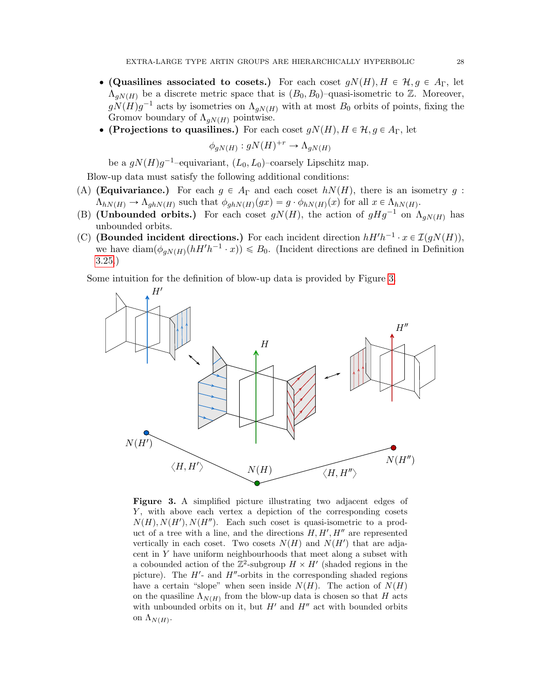- (Quasilines associated to cosets.) For each coset  $gN(H), H \in \mathcal{H}, g \in A_{\Gamma}$ , let  $\Lambda_{qN(H)}$  be a discrete metric space that is  $(B_0, B_0)$ –quasi-isometric to Z. Moreover,  $g(N(H)g^{-1}$  acts by isometries on  $\Lambda_{gN(H)}$  with at most  $B_0$  orbits of points, fixing the Gromov boundary of  $\Lambda_{qN(H)}$  pointwise.
- $\bullet$  (Projections to quasilines.) For each coset  $gN(H), H \in \mathcal{H}, g \in A_{\Gamma}$ , let

$$
\phi_{gN(H)}: gN(H)^{+r} \to \Lambda_{gN(H)}
$$

be a  $gN(H)g^{-1}$ -equivariant,  $(L_0, L_0)$ -coarsely Lipschitz map.

Blow-up data must satisfy the following additional conditions:

- <span id="page-27-2"></span>(A) (Equivariance.) For each  $g \in A_{\Gamma}$  and each coset  $h(N(H))$ , there is an isometry g:  $\Lambda_{hN(H)} \to \Lambda_{ghN(H)}$  such that  $\phi_{ghN(H)}(gx) = g \cdot \phi_{hN(H)}(x)$  for all  $x \in \Lambda_{hN(H)}$ .
- <span id="page-27-3"></span>(B) (Unbounded orbits.) For each coset  $gN(H)$ , the action of  $gHg^{-1}$  on  $\Lambda_{gN(H)}$  has unbounded orbits.
- <span id="page-27-1"></span>(C) (Bounded incident directions.) For each incident direction  $hH'h^{-1} \cdot x \in \mathcal{I}(gN(H))$ , we have  $\text{diam}(\phi_{gN(H)}(hH'h^{-1} \cdot x)) \leq B_0$ . (Incident directions are defined in Definition [3.25.](#page-26-2))

<span id="page-27-0"></span>Some intuition for the definition of blow-up data is provided by Figure [3.](#page-27-0)



Figure 3. A simplified picture illustrating two adjacent edges of Y, with above each vertex a depiction of the corresponding cosets  $N(H), N(H'), N(H'')$ . Each such coset is quasi-isometric to a product of a tree with a line, and the directions  $H, H', H''$  are represented vertically in each coset. Two cosets  $N(H)$  and  $N(H')$  that are adjacent in Y have uniform neighbourhoods that meet along a subset with a cobounded action of the  $\mathbb{Z}^2$ -subgroup  $H \times H'$  (shaded regions in the picture). The  $H'$ - and  $H''$ -orbits in the corresponding shaded regions have a certain "slope" when seen inside  $N(H)$ . The action of  $N(H)$ on the quasiline  $\Lambda_{N(H)}$  from the blow-up data is chosen so that H acts with unbounded orbits on it, but  $H'$  and  $H''$  act with bounded orbits on  $\Lambda_{N(H)}$ .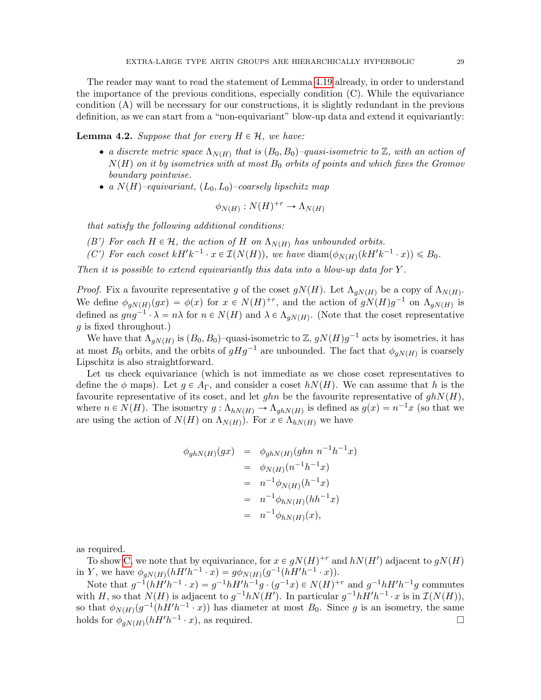The reader may want to read the statement of Lemma [4.19](#page-34-1) already, in order to understand the importance of the previous conditions, especially condition  $(C)$ . While the equivariance condition (A) will be necessary for our constructions, it is slightly redundant in the previous definition, as we can start from a "non-equivariant" blow-up data and extend it equivariantly:

<span id="page-28-0"></span>**Lemma 4.2.** Suppose that for every  $H \in \mathcal{H}$ , we have:

- a discrete metric space  $\Lambda_{N(H)}$  that is  $(B_0, B_0)$ -quasi-isometric to  $\mathbb{Z}$ , with an action of  $N(H)$  on it by isometries with at most  $B_0$  orbits of points and which fixes the Gromov boundary pointwise.
- a  $N(H)$ –equivariant,  $(L_0, L_0)$ –coarsely lipschitz map

$$
\phi_{N(H)}: N(H)^{+r} \to \Lambda_{N(H)}
$$

that satisfy the following additional conditions:

- (B') For each  $H \in \mathcal{H}$ , the action of H on  $\Lambda_{N(H)}$  has unbounded orbits.
- (C') For each coset  $kH'k^{-1} \cdot x \in \mathcal{I}(N(H))$ , we have  $\text{diam}(\phi_{N(H)}(kH'k^{-1} \cdot x)) \leq B_0$ .

Then it is possible to extend equivariantly this data into a blow-up data for  $Y$ .

*Proof.* Fix a favourite representative g of the coset  $gN(H)$ . Let  $\Lambda_{gN(H)}$  be a copy of  $\Lambda_{N(H)}$ . We define  $\phi_{gN(H)}(gx) = \phi(x)$  for  $x \in N(H)^{+r}$ , and the action of  $gN(H)g^{-1}$  on  $\Lambda_{gN(H)}$  is defined as  $gng^{-1} \cdot \lambda = n\lambda$  for  $n \in N(H)$  and  $\lambda \in \Lambda_{gN(H)}$ . (Note that the coset representative g is fixed throughout.)

We have that  $\Lambda_{gN(H)}$  is  $(B_0, B_0)$ -quasi-isometric to Z,  $gN(H)g^{-1}$  acts by isometries, it has at most  $B_0$  orbits, and the orbits of  $gHg^{-1}$  are unbounded. The fact that  $\phi_{gN(H)}$  is coarsely Lipschitz is also straightforward.

Let us check equivariance (which is not immediate as we chose coset representatives to define the  $\phi$  maps). Let  $g \in A_{\Gamma}$ , and consider a coset  $h(N(H))$ . We can assume that h is the favourite representative of its coset, and let ghn be the favourite representative of  $ghN(H)$ , where  $n \in N(H)$ . The isometry  $g: \Lambda_{hN(H)} \to \Lambda_{ghN(H)}$  is defined as  $g(x) = n^{-1}x$  (so that we are using the action of  $N(H)$  on  $\Lambda_{N(H)}$ ). For  $x \in \Lambda_{hN(H)}$  we have

$$
\begin{array}{rcl}\n\phi_{ghN(H)}(gx) & = & \phi_{ghN(H)}(ghn \ n^{-1}h^{-1}x) \\
& = & \phi_{N(H)}(n^{-1}h^{-1}x) \\
& = & n^{-1}\phi_{N(H)}(h^{-1}x) \\
& = & n^{-1}\phi_{hN(H)}(hh^{-1}x) \\
& = & n^{-1}\phi_{hN(H)}(x),\n\end{array}
$$

as required.

To show [C,](#page-27-1) we note that by equivariance, for  $x \in gN(H)^{+r}$  and  $hN(H')$  adjacent to  $gN(H)$ in Y, we have  $\phi_{gN(H)}(hH'h^{-1} \cdot x) = g\phi_{N(H)}(g^{-1}(hH'h^{-1} \cdot x)).$ 

Note that  $g^{-1}(hH'h^{-1} \cdot x) = g^{-1}hH'h^{-1}g \cdot (g^{-1}x) \in N(H)^{+r}$  and  $g^{-1}hH'h^{-1}g$  commutes with H, so that  $N(H)$  is adjacent to  $g^{-1}hN(H')$ . In particular  $g^{-1}hH'h^{-1} \cdot x$  is in  $\mathcal{I}(N(H))$ , so that  $\phi_{N(H)}(g^{-1}(hH'h^{-1} \cdot x))$  has diameter at most  $B_0$ . Since g is an isometry, the same holds for  $\phi_{gN(H)}(hH'h^{-1} \cdot x)$ , as required.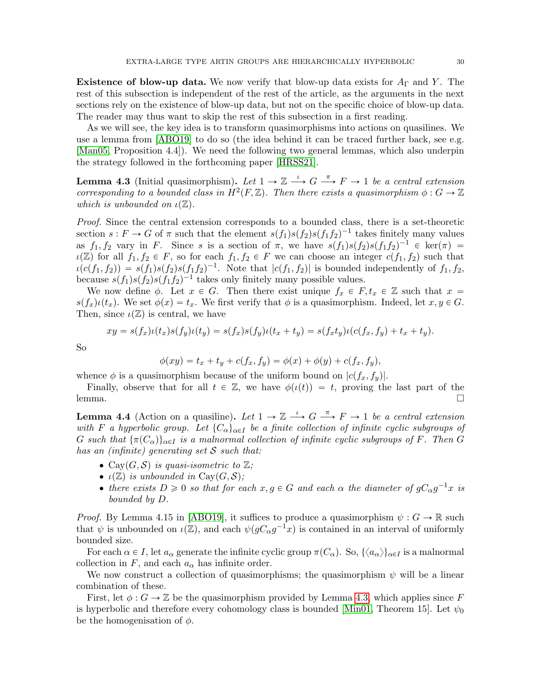Existence of blow-up data. We now verify that blow-up data exists for  $A_{\Gamma}$  and Y. The rest of this subsection is independent of the rest of the article, as the arguments in the next sections rely on the existence of blow-up data, but not on the specific choice of blow-up data. The reader may thus want to skip the rest of this subsection in a first reading.

As we will see, the key idea is to transform quasimorphisms into actions on quasilines. We use a lemma from [\[ABO19\]](#page-59-4) to do so (the idea behind it can be traced further back, see e.g. [\[Man05,](#page-61-21) Proposition 4.4]). We need the following two general lemmas, which also underpin the strategy followed in the forthcoming paper [\[HRSS21\]](#page-61-16).

<span id="page-29-0"></span>**Lemma 4.3** (Initial quasimorphism). Let  $1 \to \mathbb{Z} \stackrel{\iota}{\longrightarrow} G \stackrel{\pi}{\longrightarrow} F \to 1$  be a central extension corresponding to a bounded class in  $H^2(F, \mathbb{Z})$ . Then there exists a quasimorphism  $\phi : G \to \mathbb{Z}$ which is unbounded on  $\iota(\mathbb{Z})$ .

Proof. Since the central extension corresponds to a bounded class, there is a set-theoretic section  $s: F \to G$  of  $\pi$  such that the element  $s(f_1)s(f_2)s(f_1f_2)^{-1}$  takes finitely many values as  $f_1, f_2$  vary in F. Since s is a section of  $\pi$ , we have  $s(f_1)s(f_2)s(f_1f_2)^{-1} \in \text{ker}(\pi) =$  $\iota(\mathbb{Z})$  for all  $f_1, f_2 \in F$ , so for each  $f_1, f_2 \in F$  we can choose an integer  $c(f_1, f_2)$  such that  $\iota(c(f_1, f_2)) = s(f_1)s(f_2)s(f_1f_2)^{-1}$ . Note that  $|c(f_1, f_2)|$  is bounded independently of  $f_1, f_2$ , because  $s(f_1)s(f_2)s(f_1f_2)^{-1}$  takes only finitely many possible values.

We now define  $\phi$ . Let  $x \in G$ . Then there exist unique  $f_x \in F, t_x \in \mathbb{Z}$  such that  $x =$  $s(f_x)\iota(t_x)$ . We set  $\phi(x) = t_x$ . We first verify that  $\phi$  is a quasimorphism. Indeed, let  $x, y \in G$ . Then, since  $\iota(\mathbb{Z})$  is central, we have

$$
xy = s(f_x)\iota(t_x)s(f_y)\iota(t_y) = s(f_x)s(f_y)\iota(t_x + t_y) = s(f_x t_y)\iota(c(f_x, f_y) + t_x + t_y).
$$

So

$$
\phi(xy) = t_x + t_y + c(f_x, f_y) = \phi(x) + \phi(y) + c(f_x, f_y),
$$

whence  $\phi$  is a quasimorphism because of the uniform bound on  $|c(f_x, f_y)|$ .

Finally, observe that for all  $t \in \mathbb{Z}$ , we have  $\phi(t(t)) = t$ , proving the last part of the lemma. □

<span id="page-29-1"></span>**Lemma 4.4** (Action on a quasiline). Let  $1 \to \mathbb{Z} \stackrel{\iota}{\longrightarrow} G \stackrel{\pi}{\longrightarrow} F \to 1$  be a central extension with F a hyperbolic group. Let  ${C_{\alpha}}_{\alpha\in I}$  be a finite collection of infinite cyclic subgroups of G such that  $\{\pi(C_{\alpha})\}_{\alpha\in I}$  is a malnormal collection of infinite cyclic subgroups of F. Then G has an (infinite) generating set  $S$  such that:

- Cay $(G, \mathcal{S})$  is quasi-isometric to  $\mathbb{Z}$ ;
- $\iota(\mathbb{Z})$  is unbounded in Cay( $G, \mathcal{S}$ );
- there exists  $D \ge 0$  so that for each  $x, g \in G$  and each  $\alpha$  the diameter of  $gC_{\alpha}g^{-1}x$  is bounded by D.

*Proof.* By Lemma 4.15 in [\[ABO19\]](#page-59-4), it suffices to produce a quasimorphism  $\psi : G \to \mathbb{R}$  such that  $\psi$  is unbounded on  $\iota(\mathbb{Z})$ , and each  $\psi(gC_\alpha g^{-1}x)$  is contained in an interval of uniformly bounded size.

For each  $\alpha \in I$ , let  $a_{\alpha}$  generate the infinite cyclic group  $\pi(C_{\alpha})$ . So,  $\{\langle a_{\alpha}\rangle\}_{\alpha\in I}$  is a malnormal collection in F, and each  $a_{\alpha}$  has infinite order.

We now construct a collection of quasimorphisms; the quasimorphism  $\psi$  will be a linear combination of these.

First, let  $\phi$ :  $G \to \mathbb{Z}$  be the quasimorphism provided by Lemma [4.3,](#page-29-0) which applies since F is hyperbolic and therefore every cohomology class is bounded [\[Min01,](#page-61-22) Theorem 15]. Let  $\psi_0$ be the homogenisation of  $\phi$ .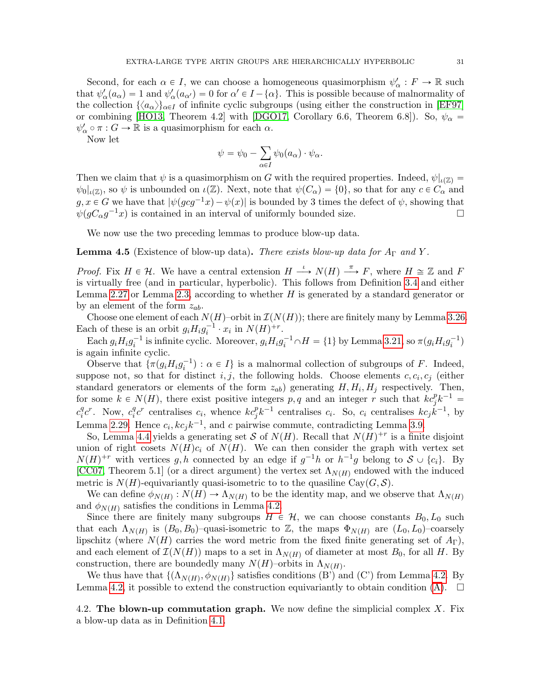Second, for each  $\alpha \in I$ , we can choose a homogeneous quasimorphism  $\psi_{\alpha}': F \to \mathbb{R}$  such that  $\psi'_\alpha(a_\alpha) = 1$  and  $\psi'_\alpha(a_{\alpha'}) = 0$  for  $\alpha' \in I - \{\alpha\}$ . This is possible because of malnormality of the collection  $\{\langle a_{\alpha}\rangle\}_{\alpha\in I}$  of infinite cyclic subgroups (using either the construction in [\[EF97\]](#page-60-20) or combining [\[HO13,](#page-61-23) Theorem 4.2] with [\[DGO17,](#page-60-21) Corollary 6.6, Theorem 6.8]). So,  $\psi_{\alpha} =$  $\psi'_\alpha \circ \pi : G \to \mathbb{R}$  is a quasimorphism for each  $\alpha$ .

Now let

$$
\psi = \psi_0 - \sum_{\alpha \in I} \psi_0(a_\alpha) \cdot \psi_\alpha.
$$

Then we claim that  $\psi$  is a quasimorphism on G with the required properties. Indeed,  $\psi|_{\iota(\mathbb{Z})} =$  $\psi_0|_{\iota(\mathbb{Z})}$ , so  $\psi$  is unbounded on  $\iota(\mathbb{Z})$ . Next, note that  $\psi(C_\alpha) = \{0\}$ , so that for any  $c \in C_\alpha$  and  $g, x \in G$  we have that  $|\psi(gcg^{-1}x) - \psi(x)|$  is bounded by 3 times the defect of  $\psi$ , showing that  $\psi(gC_{\alpha}g^{-1}x)$  is contained in an interval of uniformly bounded size.

We now use the two preceding lemmas to produce blow-up data.

<span id="page-30-1"></span>**Lemma 4.5** (Existence of blow-up data). There exists blow-up data for  $A_{\Gamma}$  and Y.

*Proof.* Fix  $H \in \mathcal{H}$ . We have a central extension  $H \xrightarrow{\iota} N(H) \xrightarrow{\pi} F$ , where  $H \cong \mathbb{Z}$  and F is virtually free (and in particular, hyperbolic). This follows from Definition [3.4](#page-16-1) and either Lemma [2.27](#page-13-1) or Lemma [2.3,](#page-7-1) according to whether  $H$  is generated by a standard generator or by an element of the form  $z_{ab}$ .

Choose one element of each  $N(H)$ –orbit in  $\mathcal{I}(N(H))$ ; there are finitely many by Lemma [3.26.](#page-26-3) Each of these is an orbit  $g_i H_i g_i^{-1} \cdot x_i$  in  $N(H)^{+r}$ .

Each  $g_i H_i g_i^{-1}$  is infinite cyclic. Moreover,  $g_i H_i g_i^{-1} \cap H = \{1\}$  by Lemma [3.21,](#page-24-2) so  $\pi(g_i H_i g_i^{-1})$ is again infinite cyclic.

Observe that  $\{\pi(g_iH_ig_i^{-1}) : \alpha \in I\}$  is a malnormal collection of subgroups of F. Indeed, suppose not, so that for distinct  $i, j$ , the following holds. Choose elements  $c, c_i, c_j$  (either standard generators or elements of the form  $z_{ab}$ ) generating  $H, H_i, H_j$  respectively. Then, for some  $k \in N(H)$ , there exist positive integers p, q and an integer r such that  $k c_j^p k^{-1} =$  $c_i^q$  $i<sup>q</sup>c<sup>r</sup>$ . Now,  $c<sub>i</sub><sup>q</sup>$  $i<sup>q</sup>c<sup>r</sup>$  centralises  $c_i$ , whence  $kc_j^p k^{-1}$  centralises  $c_i$ . So,  $c_i$  centralises  $kc_jk^{-1}$ , by Lemma [2.29.](#page-14-3) Hence  $c_i, kc_jk^{-1}$ , and c pairwise commute, contradicting Lemma [3.9.](#page-19-0)

So, Lemma [4.4](#page-29-1) yields a generating set S of  $N(H)$ . Recall that  $N(H)^{+r}$  is a finite disjoint union of right cosets  $N(H)c_i$  of  $N(H)$ . We can then consider the graph with vertex set  $N(H)^{+r}$  with vertices g, h connected by an edge if  $g^{-1}h$  or  $h^{-1}g$  belong to  $S \cup \{c_i\}$ . By [\[CC07,](#page-60-22) Theorem 5.1] (or a direct argument) the vertex set  $\Lambda_{N(H)}$  endowed with the induced metric is  $N(H)$ -equivariantly quasi-isometric to to the quasiline Cay $(G, S)$ .

We can define  $\phi_{N(H)}: N(H) \to \Lambda_{N(H)}$  to be the identity map, and we observe that  $\Lambda_{N(H)}$ and  $\phi_{N(H)}$  satisfies the conditions in Lemma [4.2.](#page-28-0)

Since there are finitely many subgroups  $H \in \mathcal{H}$ , we can choose constants  $B_0, L_0$  such that each  $\Lambda_{N(H)}$  is  $(B_0, B_0)$ -quasi-isometric to Z, the maps  $\Phi_{N(H)}$  are  $(L_0, L_0)$ -coarsely lipschitz (where  $N(H)$  carries the word metric from the fixed finite generating set of  $A_{\Gamma}$ ), and each element of  $\mathcal{I}(N(H))$  maps to a set in  $\Lambda_{N(H)}$  of diameter at most  $B_0$ , for all H. By construction, there are boundedly many  $N(H)$ –orbits in  $\Lambda_{N(H)}$ .

We thus have that  $\{(\Lambda_{N(H)}, \phi_{N(H)}\}$  satisfies conditions (B') and (C') from Lemma [4.2.](#page-28-0) By Lemma [4.2,](#page-28-0) it possible to extend the construction equivariantly to obtain condition [\(A\)](#page-27-2).  $\Box$ 

<span id="page-30-0"></span>4.2. The blown-up commutation graph. We now define the simplicial complex  $X$ . Fix a blow-up data as in Definition [4.1.](#page-26-4)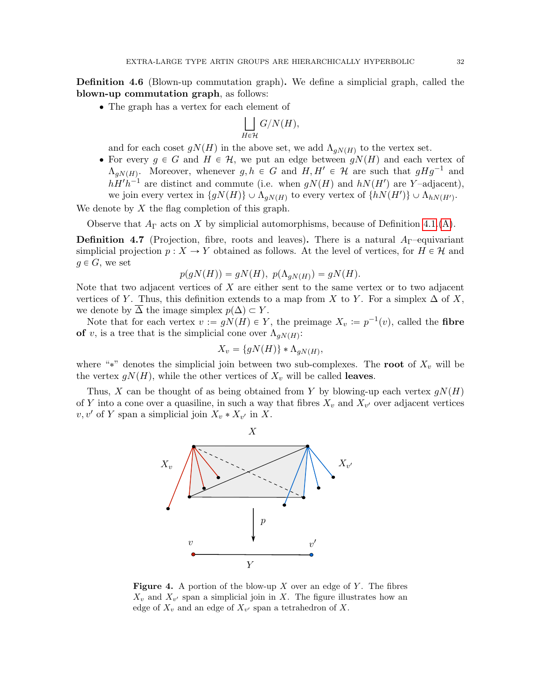<span id="page-31-2"></span>Definition 4.6 (Blown-up commutation graph). We define a simplicial graph, called the blown-up commutation graph, as follows:

• The graph has a vertex for each element of

$$
\bigsqcup_{H\in\mathcal{H}} G/N(H),
$$

and for each coset  $g(N(H))$  in the above set, we add  $\Lambda_{gN(H)}$  to the vertex set.

• For every  $g \in G$  and  $H \in \mathcal{H}$ , we put an edge between  $gN(H)$  and each vertex of  $\Lambda_{gN(H)}$ . Moreover, whenever  $g, h \in G$  and  $H, H' \in \mathcal{H}$  are such that  $gHg^{-1}$  and  $hH'h^{-1}$  are distinct and commute (i.e. when  $gN(H)$  and  $hN(H')$  are Y-adjacent), we join every vertex in  $\{gN(H)\}\cup \Lambda_{gN(H)}$  to every vertex of  $\{hN(H')\}\cup \Lambda_{hN(H')}$ .

We denote by  $X$  the flag completion of this graph.

Observe that  $A_{\Gamma}$  acts on X by simplicial automorphisms, because of Definition [4.1.](#page-26-4)[\(A\)](#page-27-2).

<span id="page-31-1"></span>**Definition 4.7** (Projection, fibre, roots and leaves). There is a natural  $A_{\Gamma}$ -equivariant simplicial projection  $p : X \to Y$  obtained as follows. At the level of vertices, for  $H \in \mathcal{H}$  and  $g \in G$ , we set

$$
p(gN(H)) = gN(H), p(\Lambda_{gN(H)}) = gN(H).
$$

Note that two adjacent vertices of X are either sent to the same vertex or to two adjacent vertices of Y. Thus, this definition extends to a map from X to Y. For a simplex  $\Delta$  of X, we denote by  $\overline{\Delta}$  the image simplex  $p(\Delta) \subset Y$ .

Note that for each vertex  $v := gN(H) \in Y$ , the preimage  $X_v := p^{-1}(v)$ , called the fibre of v, is a tree that is the simplicial cone over  $\Lambda_{gN(H)}$ :

$$
X_v = \{gN(H)\} * \Lambda_{gN(H)},
$$

where "\*" denotes the simplicial join between two sub-complexes. The root of  $X_v$  will be the vertex  $g(t)$ , while the other vertices of  $X_v$  will be called leaves.

<span id="page-31-0"></span>Thus, X can be thought of as being obtained from Y by blowing-up each vertex  $qN(H)$ of Y into a cone over a quasiline, in such a way that fibres  $X_v$  and  $X_{v'}$  over adjacent vertices  $v, v'$  of Y span a simplicial join  $X_v * X_{v'}$  in X.



**Figure 4.** A portion of the blow-up  $X$  over an edge of  $Y$ . The fibres  $X_v$  and  $X_{v'}$  span a simplicial join in X. The figure illustrates how an edge of  $X_v$  and an edge of  $X_{v'}$  span a tetrahedron of X.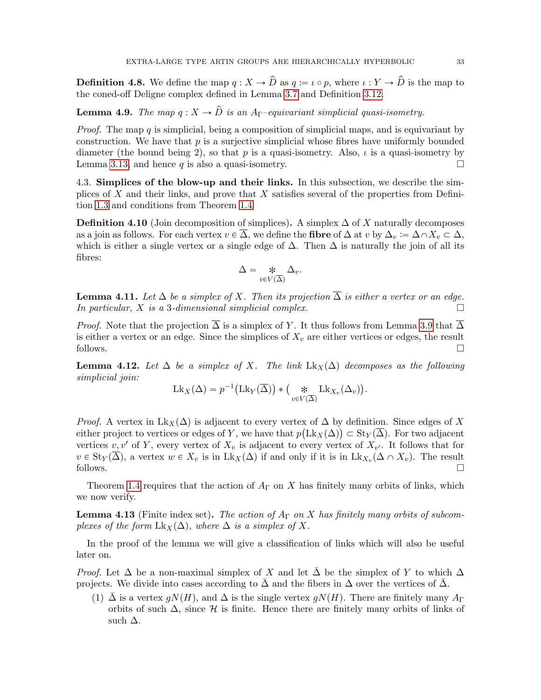**Definition 4.8.** We define the map  $q: X \to \hat{D}$  as  $q := \iota \circ p$ , where  $\iota: Y \to \hat{D}$  is the map to the coned-off Deligne complex defined in Lemma [3.7](#page-17-0) and Definition [3.12.](#page-20-3)

<span id="page-32-3"></span>**Lemma 4.9.** The map  $q: X \to \hat{D}$  is an A<sub>Γ</sub>–equivariant simplicial quasi-isometry.

*Proof.* The map  $q$  is simplicial, being a composition of simplicial maps, and is equivariant by construction. We have that  $p$  is a surjective simplicial whose fibres have uniformly bounded diameter (the bound being 2), so that p is a quasi-isometry. Also,  $\iota$  is a quasi-isometry by Lemma [3.13,](#page-20-1) and hence q is also a quasi-isometry.  $\Box$ 

<span id="page-32-0"></span>4.3. Simplices of the blow-up and their links. In this subsection, we describe the simplices of  $X$  and their links, and prove that  $X$  satisfies several of the properties from Definition [1.3](#page-5-2) and conditions from Theorem [1.4.](#page-6-2)

**Definition 4.10** (Join decomposition of simplices). A simplex  $\Delta$  of X naturally decomposes as a join as follows. For each vertex  $v \in \overline{\Delta}$ , we define the **fibre** of  $\Delta$  at v by  $\Delta_v := \Delta \cap X_v \subset \Delta$ , which is either a single vertex or a single edge of  $\Delta$ . Then  $\Delta$  is naturally the join of all its fibres:

$$
\Delta = \underset{v \in V(\overline{\Delta})}{\ast} \Delta_v.
$$

**Lemma 4.11.** Let  $\Delta$  be a simplex of X. Then its projection  $\overline{\Delta}$  is either a vertex or an edge. In particular, X is a 3-dimensional simplicial complex.  $\Box$ 

*Proof.* Note that the projection  $\overline{\Delta}$  is a simplex of Y. It thus follows from Lemma [3.9](#page-19-0) that  $\overline{\Delta}$ is either a vertex or an edge. Since the simplices of  $X<sub>v</sub>$  are either vertices or edges, the result follows.  $\Box$ 

<span id="page-32-2"></span>**Lemma 4.12.** Let  $\Delta$  be a simplex of X. The link  $Lk_X(\Delta)$  decomposes as the following simplicial join:

$$
\mathrm{Lk}_X(\Delta) = p^{-1}(\mathrm{Lk}_Y(\overline{\Delta})) * (\mathop{\ast}_{v \in V(\overline{\Delta})} \mathrm{Lk}_{X_v}(\Delta_v)).
$$

*Proof.* A vertex in  $Lk_X(\Delta)$  is adjacent to every vertex of  $\Delta$  by definition. Since edges of X either project to vertices or edges of Y, we have that  $p(\text{Lk}_X(\Delta)) \subset \text{St}_Y(\overline{\Delta})$ . For two adjacent vertices v, v' of Y, every vertex of  $X_v$  is adjacent to every vertex of  $X_{v'}$ . It follows that for  $v \in \text{St}_Y(\Delta)$ , a vertex  $w \in X_v$  is in  $Lk_X(\Delta)$  if and only if it is in  $Lk_{X_v}(\Delta \cap X_v)$ . The result follows.  $\Box$ 

Theorem [1.4](#page-6-2) requires that the action of  $A_{\Gamma}$  on X has finitely many orbits of links, which we now verify.

<span id="page-32-1"></span>**Lemma 4.13** (Finite index set). The action of  $A_{\Gamma}$  on X has finitely many orbits of subcomplexes of the form  $Lk_X(\Delta)$ , where  $\Delta$  is a simplex of X.

In the proof of the lemma we will give a classification of links which will also be useful later on.

*Proof.* Let  $\Delta$  be a non-maximal simplex of X and let  $\Delta$  be the simplex of Y to which  $\Delta$ projects. We divide into cases according to  $\Delta$  and the fibers in  $\Delta$  over the vertices of  $\Delta$ .

(1)  $\bar{\Delta}$  is a vertex  $g(N(H))$ , and  $\Delta$  is the single vertex  $g(N(H))$ . There are finitely many  $A_{\Gamma}$ orbits of such  $\Delta$ , since H is finite. Hence there are finitely many orbits of links of such  $\Delta$ .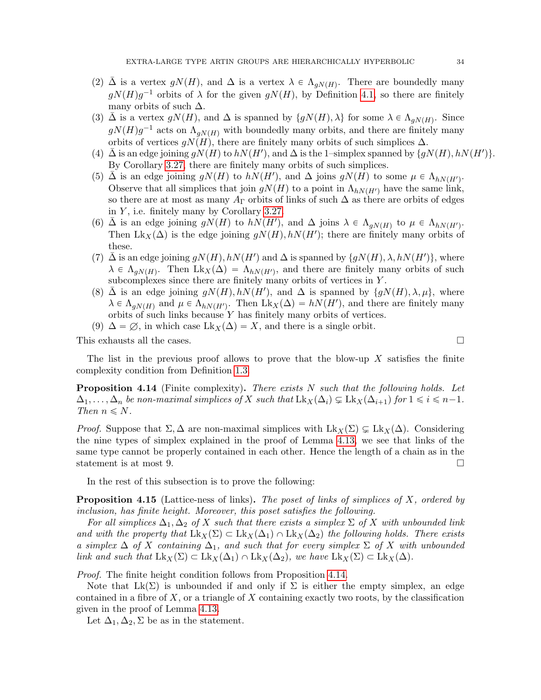- (2)  $\bar{\Delta}$  is a vertex  $gN(H)$ , and  $\Delta$  is a vertex  $\lambda \in \Lambda_{gN(H)}$ . There are boundedly many  $g(N(H)g^{-1}$  orbits of  $\lambda$  for the given  $g(N(H))$ , by Definition [4.1,](#page-26-4) so there are finitely many orbits of such  $\Delta$ .
- (3)  $\bar{\Delta}$  is a vertex  $gN(H)$ , and  $\Delta$  is spanned by  $\{gN(H), \lambda\}$  for some  $\lambda \in \Lambda_{gN(H)}$ . Since  $g(N(H)g^{-1}$  acts on  $\Lambda_{gN(H)}$  with boundedly many orbits, and there are finitely many orbits of vertices  $qN(H)$ , there are finitely many orbits of such simplices  $\Delta$ .
- (4)  $\bar{\Delta}$  is an edge joining  $gN(H)$  to  $hN(H')$ , and  $\Delta$  is the 1–simplex spanned by  $\{gN(H), hN(H')\}.$ By Corollary [3.27,](#page-26-5) there are finitely many orbits of such simplices.
- (5)  $\overline{\Delta}$  is an edge joining  $g(N(H)$  to  $h\dot{N}(H')$ , and  $\Delta$  joins  $gN(H)$  to some  $\mu \in \Lambda_{hN(H')}$ . Observe that all simplices that join  $g(t)$  to a point in  $\Lambda_{hN(H')}$  have the same link, so there are at most as many  $A_{\Gamma}$  orbits of links of such  $\Delta$  as there are orbits of edges in  $Y$ , i.e. finitely many by Corollary [3.27.](#page-26-5)
- (6)  $\bar{\Delta}$  is an edge joining  $gN(H)$  to  $hN(H')$ , and  $\Delta$  joins  $\lambda \in \Lambda_{gN(H)}$  to  $\mu \in \Lambda_{hN(H')}$ . Then Lk<sub>X</sub>( $\Delta$ ) is the edge joining  $gN(H)$ ,  $hN(H')$ ; there are finitely many orbits of these.
- (7)  $\bar{\Delta}$  is an edge joining  $gN(H)$ ,  $hN(H')$  and  $\Delta$  is spanned by  $\{gN(H), \lambda, hN(H')\}$ , where  $\lambda \in \Lambda_{gN(H)}$ . Then  $Lk_X(\Delta) = \Lambda_{hN(H')}$ , and there are finitely many orbits of such subcomplexes since there are finitely many orbits of vertices in Y .
- (8)  $\bar{\Delta}$  is an edge joining  $gN(H), hN(H')$ , and  $\Delta$  is spanned by  $\{gN(H), \lambda, \mu\}$ , where  $\lambda \in \Lambda_{gN(H)}$  and  $\mu \in \Lambda_{hN(H')}$ . Then  $Lk_X(\Delta) = hN(H')$ , and there are finitely many orbits of such links because  $Y$  has finitely many orbits of vertices.
- (9)  $\Delta = \emptyset$ , in which case  $\text{Lk}_X(\Delta) = X$ , and there is a single orbit.

This exhausts all the cases.  $\Box$ 

The list in the previous proof allows to prove that the blow-up  $X$  satisfies the finite complexity condition from Definition [1.3.](#page-5-2)

<span id="page-33-0"></span>**Proposition 4.14** (Finite complexity). There exists  $N$  such that the following holds. Let  $\Delta_1, \ldots, \Delta_n$  be non-maximal simplices of X such that  $Lk_X(\Delta_i) \subsetneq Lk_X(\Delta_{i+1})$  for  $1 \leq i \leq n-1$ . Then  $n \leq N$ .

*Proof.* Suppose that  $\Sigma, \Delta$  are non-maximal simplices with  $Lk_X(\Sigma) \subsetneq Lk_X(\Delta)$ . Considering the nine types of simplex explained in the proof of Lemma [4.13,](#page-32-1) we see that links of the same type cannot be properly contained in each other. Hence the length of a chain as in the statement is at most 9.

In the rest of this subsection is to prove the following:

<span id="page-33-1"></span>**Proposition 4.15** (Lattice-ness of links). The poset of links of simplices of X, ordered by inclusion, has finite height. Moreover, this poset satisfies the following.

For all simplices  $\Delta_1, \Delta_2$  of X such that there exists a simplex  $\Sigma$  of X with unbounded link and with the property that  $Lk_X(\Sigma) \subset Lk_X(\Delta_1) \cap Lk_X(\Delta_2)$  the following holds. There exists a simplex  $\Delta$  of X containing  $\Delta_1$ , and such that for every simplex  $\Sigma$  of X with unbounded link and such that  $\text{Lk}_X(\Sigma) \subset \text{Lk}_X(\Delta_1) \cap \text{Lk}_X(\Delta_2)$ , we have  $\text{Lk}_X(\Sigma) \subset \text{Lk}_X(\Delta)$ .

Proof. The finite height condition follows from Proposition [4.14.](#page-33-0)

Note that  $Lk(\Sigma)$  is unbounded if and only if  $\Sigma$  is either the empty simplex, an edge contained in a fibre of  $X$ , or a triangle of  $X$  containing exactly two roots, by the classification given in the proof of Lemma [4.13.](#page-32-1)

Let  $\Delta_1, \Delta_2, \Sigma$  be as in the statement.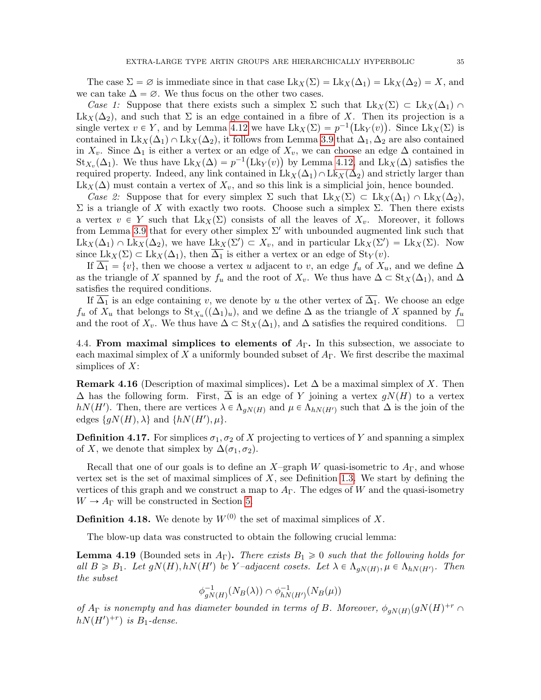The case  $\Sigma = \emptyset$  is immediate since in that case  $Lk_X(\Sigma) = Lk_X(\Delta_1) = Lk_X(\Delta_2) = X$ , and we can take  $\Delta = \emptyset$ . We thus focus on the other two cases.

Case 1: Suppose that there exists such a simplex  $\Sigma$  such that  $Lk_X(\Sigma) \subset Lk_X(\Delta_1) \cap$  $Lk_X(\Delta_2)$ , and such that  $\Sigma$  is an edge contained in a fibre of X. Then its projection is a single vertex  $v \in Y$ , and by Lemma [4.12](#page-32-2) we have  $Lk_X(\Sigma) = p^{-1}(Lk_Y(v))$ . Since  $Lk_X(\Sigma)$  is contained in Lk<sub>X</sub>( $\Delta_1$ )  $\cap$  Lk<sub>X</sub>( $\Delta_2$ ), it follows from Lemma [3.9](#page-19-0) that  $\Delta_1$ ,  $\Delta_2$  are also contained in  $X_v$ . Since  $\Delta_1$  is either a vertex or an edge of  $X_v$ , we can choose an edge  $\Delta$  contained in  $\text{St}_{X_v}(\Delta_1)$ . We thus have  $\text{Lk}_X(\Delta) = p^{-1}(\text{Lk}_Y(v))$  by Lemma [4.12,](#page-32-2) and  $\text{Lk}_X(\Delta)$  satisfies the required property. Indeed, any link contained in  $Lk_X(\Delta_1)\cap Lk_X(\Delta_2)$  and strictly larger than  $Lk_X(\Delta)$  must contain a vertex of  $X_v$ , and so this link is a simplicial join, hence bounded.

Case 2: Suppose that for every simplex  $\Sigma$  such that  $Lk_X(\Sigma) \subset Lk_X(\Delta_1) \cap Lk_X(\Delta_2)$ ,  $\Sigma$  is a triangle of X with exactly two roots. Choose such a simplex  $\Sigma$ . Then there exists a vertex  $v \in Y$  such that  $Lk_X(\Sigma)$  consists of all the leaves of  $X_v$ . Moreover, it follows from Lemma [3.9](#page-19-0) that for every other simplex  $\Sigma'$  with unbounded augmented link such that  $\text{Lk}_X(\Delta_1) \cap \text{Lk}_X(\Delta_2)$ , we have  $\text{Lk}_X(\Sigma') \subset X_v$ , and in particular  $\text{Lk}_X(\Sigma') = \text{Lk}_X(\Sigma)$ . Now since  $Lk_X(\Sigma) \subset Lk_X(\Delta_1)$ , then  $\Delta_1$  is either a vertex or an edge of  $St_Y(v)$ .

If  $\overline{\Delta_1} = \{v\}$ , then we choose a vertex u adjacent to v, an edge  $f_u$  of  $X_u$ , and we define  $\Delta$ as the triangle of X spanned by  $f_u$  and the root of  $X_v$ . We thus have  $\Delta \subset \text{St}_X(\Delta_1)$ , and  $\Delta$ satisfies the required conditions.

If  $\overline{\Delta_1}$  is an edge containing v, we denote by u the other vertex of  $\overline{\Delta_1}$ . We choose an edge  $f_u$  of  $X_u$  that belongs to  $\text{St}_{X_u}((\Delta_1)_u)$ , and we define  $\Delta$  as the triangle of X spanned by  $f_u$ and the root of  $X_v$ . We thus have  $\Delta \subset St_X(\Delta_1)$ , and  $\Delta$  satisfies the required conditions.  $\Box$ 

<span id="page-34-0"></span>4.4. From maximal simplices to elements of  $A_{\Gamma}$ . In this subsection, we associate to each maximal simplex of X a uniformly bounded subset of  $A<sub>\Gamma</sub>$ . We first describe the maximal simplices of  $X$ :

<span id="page-34-2"></span>**Remark 4.16** (Description of maximal simplices). Let  $\Delta$  be a maximal simplex of X. Then  $\Delta$  has the following form. First,  $\overline{\Delta}$  is an edge of Y joining a vertex  $gN(H)$  to a vertex hN(H'). Then, there are vertices  $\lambda \in \Lambda_{gN(H)}$  and  $\mu \in \Lambda_{hN(H')}$  such that  $\Delta$  is the join of the edges  $\{gN(H),\lambda\}$  and  $\{hN(H'),\mu\}.$ 

<span id="page-34-3"></span>**Definition 4.17.** For simplices  $\sigma_1$ ,  $\sigma_2$  of X projecting to vertices of Y and spanning a simplex of X, we denote that simplex by  $\Delta(\sigma_1, \sigma_2)$ .

Recall that one of our goals is to define an X–graph W quasi-isometric to  $A_{\Gamma}$ , and whose vertex set is the set of maximal simplices of  $X$ , see Definition [1.3.](#page-5-2) We start by defining the vertices of this graph and we construct a map to  $A_{\Gamma}$ . The edges of W and the quasi-isometry  $W \to A_{\Gamma}$  will be constructed in Section [5.](#page-37-0)

**Definition 4.18.** We denote by  $W^{(0)}$  the set of maximal simplices of X.

The blow-up data was constructed to obtain the following crucial lemma:

<span id="page-34-1"></span>**Lemma 4.19** (Bounded sets in  $A_{\Gamma}$ ). There exists  $B_1 \geq 0$  such that the following holds for all  $B \ge B_1$ . Let  $gN(H), hN(H')$  be Y-adjacent cosets. Let  $\lambda \in \Lambda_{gN(H)}, \mu \in \Lambda_{hN(H')}$ . Then the subset

$$
\phi_{gN(H)}^{-1}(N_B(\lambda)) \cap \phi_{hN(H')}^{-1}(N_B(\mu))
$$

of  $A_{\Gamma}$  is nonempty and has diameter bounded in terms of B. Moreover,  $\phi_{gN(H)}(gN(H)^{+r} \cap$  $hN(H')^{+r}$ ) is  $B_1$ -dense.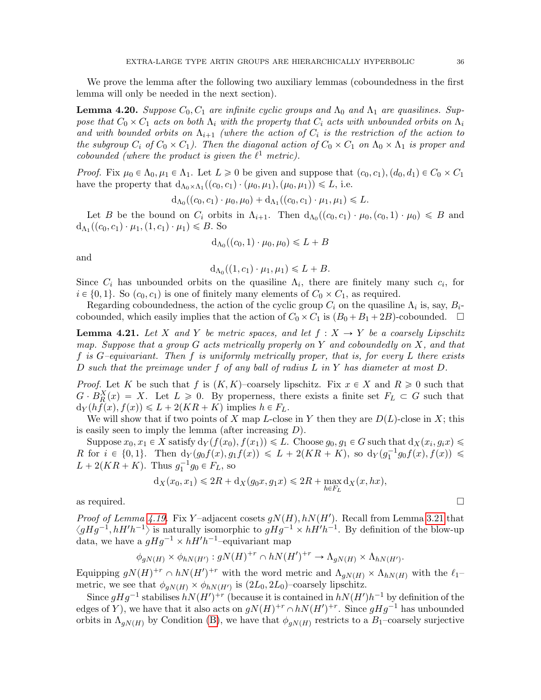We prove the lemma after the following two auxiliary lemmas (coboundedness in the first lemma will only be needed in the next section).

<span id="page-35-0"></span>**Lemma 4.20.** Suppose  $C_0$ ,  $C_1$  are infinite cyclic groups and  $\Lambda_0$  and  $\Lambda_1$  are quasilines. Suppose that  $C_0 \times C_1$  acts on both  $\Lambda_i$  with the property that  $C_i$  acts with unbounded orbits on  $\Lambda_i$ and with bounded orbits on  $\Lambda_{i+1}$  (where the action of  $C_i$  is the restriction of the action to the subgroup  $C_i$  of  $C_0 \times C_1$ ). Then the diagonal action of  $C_0 \times C_1$  on  $\Lambda_0 \times \Lambda_1$  is proper and cobounded (where the product is given the  $\ell^1$  metric).

Proof. Fix  $\mu_0 \in \Lambda_0, \mu_1 \in \Lambda_1$ . Let  $L \geq 0$  be given and suppose that  $(c_0, c_1), (d_0, d_1) \in C_0 \times C_1$ have the property that  $d_{\Lambda_0 \times \Lambda_1}((c_0, c_1) \cdot (\mu_0, \mu_1), (\mu_0, \mu_1)) \leq L$ , i.e.

$$
d_{\Lambda_0}((c_0,c_1)\cdot \mu_0,\mu_0)+d_{\Lambda_1}((c_0,c_1)\cdot \mu_1,\mu_1)\leq L.
$$

Let B be the bound on  $C_i$  orbits in  $\Lambda_{i+1}$ . Then  $d_{\Lambda_0}((c_0, c_1) \cdot \mu_0, (c_0, 1) \cdot \mu_0) \le B$  and  $d_{\Lambda_1}((c_0, c_1) \cdot \mu_1, (1, c_1) \cdot \mu_1) \le B$ . So

$$
d_{\Lambda_0}((c_0,1)\cdot\mu_0,\mu_0)\leqslant L+B
$$

and

 $d_{\Lambda_0}((1, c_1) \cdot \mu_1, \mu_1) \leq L + B.$ 

Since  $C_i$  has unbounded orbits on the quasiline  $\Lambda_i$ , there are finitely many such  $c_i$ , for  $i \in \{0, 1\}$ . So  $(c_0, c_1)$  is one of finitely many elements of  $C_0 \times C_1$ , as required.

Regarding coboundedness, the action of the cyclic group  $C_i$  on the quasiline  $\Lambda_i$  is, say,  $B_i$ cobounded, which easily implies that the action of  $C_0 \times C_1$  is  $(B_0 + B_1 + 2B)$ -cobounded.  $\square$ 

<span id="page-35-1"></span>**Lemma 4.21.** Let X and Y be metric spaces, and let  $f : X \rightarrow Y$  be a coarsely Lipschitz map. Suppose that a group  $G$  acts metrically properly on Y and coboundedly on X, and that f is  $G$ -equivariant. Then f is uniformly metrically proper, that is, for every L there exists D such that the preimage under f of any ball of radius  $L$  in  $Y$  has diameter at most  $D$ .

*Proof.* Let K be such that f is  $(K, K)$ –coarsely lipschitz. Fix  $x \in X$  and  $R \geq 0$  such that  $G \cdot B_R^X(x) = X$ . Let  $L \ge 0$ . By properness, there exists a finite set  $F_L \subset G$  such that  $d_Y(hf(x), f(x)) \le L + 2(KR + K)$  implies  $h \in F_L$ .

We will show that if two points of X map L-close in Y then they are  $D(L)$ -close in X; this is easily seen to imply the lemma (after increasing  $D$ ).

Suppose  $x_0, x_1 \in X$  satisfy  $d_Y(f(x_0), f(x_1)) \leq L$ . Choose  $g_0, g_1 \in G$  such that  $d_X(x_i, g_ix) \leq$ R for  $i \in \{0, 1\}$ . Then  $d_Y(g_0f(x), g_1f(x)) \leq L + 2(KR + K)$ , so  $d_Y(g_1^{-1}g_0f(x), f(x)) \leq$  $L + 2(KR + K)$ . Thus  $g_1^{-1}g_0 \in F_L$ , so

$$
d_X(x_0,x_1)\leqslant 2R+ d_X(g_0x,g_1x)\leqslant 2R+\max_{h\in F_L}d_X(x,hx),
$$
 as required.

*Proof of Lemma [4.19.](#page-34-1)* Fix Y-adjacent cosets  $gN(H)$ ,  $hN(H')$ . Recall from Lemma [3.21](#page-24-2) that  $\langle gHg^{-1}, hH'h^{-1}\rangle$  is naturally isomorphic to  $gHg^{-1} \times hH'h^{-1}$ . By definition of the blow-up data, we have a  $gHg^{-1} \times hH'h^{-1}$ -equivariant map

$$
\phi_{gN(H)} \times \phi_{hN(H')} : gN(H)^{+r} \cap hN(H')^{+r} \to \Lambda_{gN(H)} \times \Lambda_{hN(H')}.
$$

Equipping  $gN(H)^{+r} \cap hN(H')^{+r}$  with the word metric and  $\Lambda_{gN(H)} \times \Lambda_{hN(H)}$  with the  $\ell_1$ – metric, we see that  $\phi_{gN(H)} \times \phi_{hN(H')}$  is  $(2L_0, 2L_0)$ -coarsely lipschitz.

Since  $gHg^{-1}$  stabilises  $hN(H')^{+r}$  (because it is contained in  $hN(H')h^{-1}$  by definition of the edges of Y), we have that it also acts on  $gN(H)^{+r} \cap hN(H')^{+r}$ . Since  $gHg^{-1}$  has unbounded orbits in  $\Lambda_{gN(H)}$  by Condition [\(B\)](#page-27-3), we have that  $\phi_{gN(H)}$  restricts to a  $B_1$ –coarsely surjective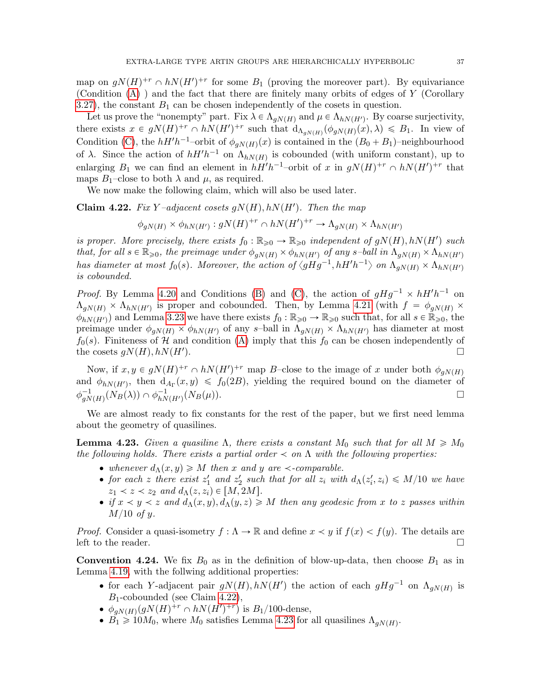map on  $gN(H)^{+r} \cap hN(H')^{+r}$  for some  $B_1$  (proving the moreover part). By equivariance (Condition [\(A\)](#page-27-2) ) and the fact that there are finitely many orbits of edges of Y (Corollary [3.27\)](#page-26-5), the constant  $B_1$  can be chosen independently of the cosets in question.

Let us prove the "nonempty" part. Fix  $\lambda \in \Lambda_{gN(H)}$  and  $\mu \in \Lambda_{hN(H')}$ . By coarse surjectivity, there exists  $x \in gN(H)^{+r} \cap hN(H')^{+r}$  such that  $d_{\Lambda_{gN(H)}}(\phi_{gN(H)}(x),\lambda) \leq B_1$ . In view of Condition [\(C\)](#page-27-1), the  $hH'h^{-1}$ -orbit of  $\phi_{gN(H)}(x)$  is contained in the  $(B_0 + B_1)$ -neighbourhood of  $\lambda$ . Since the action of  $hH'h^{-1}$  on  $\Lambda_{hN(H)}$  is cobounded (with uniform constant), up to enlarging  $B_1$  we can find an element in  $hH'h^{-1}$ -orbit of x in  $gN(H)^{+r} \cap hN(H')^{+r}$  that maps  $B_1$ –close to both  $\lambda$  and  $\mu$ , as required.

We now make the following claim, which will also be used later.

<span id="page-36-0"></span>Claim 4.22. Fix Y-adjacent cosets  $gN(H)$ ,  $hN(H')$ . Then the map

$$
\phi_{gN(H)} \times \phi_{hN(H')} : gN(H)^{+r} \cap hN(H')^{+r} \to \Lambda_{gN(H)} \times \Lambda_{hN(H')}
$$

is proper. More precisely, there exists  $f_0 : \mathbb{R}_{\geqslant 0} \to \mathbb{R}_{\geqslant 0}$  independent of  $gN(H), hN(H')$  such that, for all  $s \in \mathbb{R}_{\geqslant 0}$ , the preimage under  $\phi_{aN(H)} \times \phi_{hN(H')}$  of any s-ball in  $\Lambda_{aN(H)} \times \Lambda_{hN(H')}$ has diameter at most  $f_0(s)$ . Moreover, the action of  $\langle gHg^{-1}, hH'h^{-1} \rangle$  on  $\Lambda_{gN(H)} \times \Lambda_{hN(H')}$ is cobounded.

*Proof.* By Lemma [4.20](#page-35-0) and Conditions [\(B\)](#page-27-3) and [\(C\)](#page-27-1), the action of  $gHg^{-1} \times hH'h^{-1}$  on  $\Lambda_{gN(H)} \times \Lambda_{hN(H')}$  is proper and cobounded. Then, by Lemma [4.21](#page-35-1) (with  $f = \phi_{gN(H)} \times$  $\phi_{hN(H')}$  and Lemma [3.23](#page-24-1) we have there exists  $f_0 : \mathbb{R}_{\geqslant 0} \to \mathbb{R}_{\geqslant 0}$  such that, for all  $s \in \mathbb{R}_{\geqslant 0}$ , the preimage under  $\phi_{gN(H)} \times \phi_{hN(H')}$  of any s-ball in  $\Lambda_{gN(H)} \times \Lambda_{hN(H')}$  has diameter at most  $f_0(s)$ . Finiteness of H and condition [\(A\)](#page-27-2) imply that this  $f_0$  can be chosen independently of the cosets  $g(N(H), hN(H'))$ . ).  $\Box$ 

Now, if  $x, y \in gN(H)^{+r} \cap hN(H')^{+r}$  map B-close to the image of x under both  $\phi_{gN(H)}$ and  $\phi_{hN(H')}$ , then  $d_{A_{\Gamma}}(x,y) \leq f_0(2B)$ , yielding the required bound on the diameter of  $\phi_{aN}^{-1}$  $\frac{-1}{gN(H)}(N_B(\lambda)) \cap \phi_{hN}^{-1}$  $\frac{-1}{hN(H')}(N_B(\mu)).$ 

We are almost ready to fix constants for the rest of the paper, but we first need lemma about the geometry of quasilines.

<span id="page-36-1"></span>**Lemma 4.23.** Given a quasiline  $\Lambda$ , there exists a constant  $M_0$  such that for all  $M \geq M_0$ the following holds. There exists a partial order  $\prec$  on  $\Lambda$  with the following properties:

- whenever  $d_{\Lambda}(x, y) \geqslant M$  then x and y are  $\prec$ -comparable.
- for each z there exist  $z'_1$  and  $z'_2$  such that for all  $z_i$  with  $d_{\Lambda}(z'_i, z_i) \leq M/10$  we have  $z_1 \lt z \lt z_2$  and  $d_{\Lambda}(z, z_i) \in [M, 2M].$
- if  $x \lt y \lt z$  and  $d_{\Lambda}(x, y), d_{\Lambda}(y, z) \geq M$  then any geodesic from x to z passes within  $M/10$  of y.

*Proof.* Consider a quasi-isometry  $f : \Lambda \to \mathbb{R}$  and define  $x \lt y$  if  $f(x) \lt f(y)$ . The details are left to the reader.  $\Box$ 

<span id="page-36-2"></span>**Convention 4.24.** We fix  $B_0$  as in the definition of blow-up-data, then choose  $B_1$  as in Lemma [4.19,](#page-34-1) with the follwing additional properties:

- for each Y-adjacent pair  $gN(H)$ ,  $hN(H')$  the action of each  $gHg^{-1}$  on  $\Lambda_{gN(H)}$  is  $B_1$ -cobounded (see Claim [4.22\)](#page-36-0),
- $\phi_{gN(H)}(gN(H)^{+r} \cap hN(H')^{+r})$  is  $B_1/100$ -dense,
- $B_1 \geq 10M_0$ , where  $M_0$  satisfies Lemma [4.23](#page-36-1) for all quasilines  $\Lambda_{gN(H)}$ .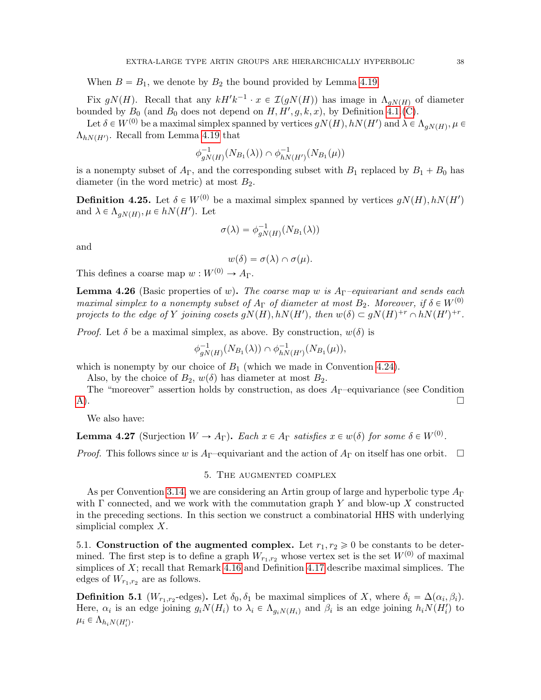When  $B = B_1$ , we denote by  $B_2$  the bound provided by Lemma [4.19.](#page-34-1)

Fix  $gN(H)$ . Recall that any  $kH'k^{-1} \cdot x \in \mathcal{I}(gN(H))$  has image in  $\Lambda_{gN(H)}$  of diameter bounded by  $B_0$  (and  $B_0$  does not depend on  $H, H', g, k, x$ ), by Definition [4.1.](#page-26-4)[\(C\)](#page-27-1).

Let  $\delta\in W^{(0)}$  be a maximal simplex spanned by vertices  $gN(H), hN(H')$  and  $\lambda\in \Lambda_{gN(H)}, \mu\in$  $\Lambda_{hN(H')}$ . Recall from Lemma [4.19](#page-34-1) that

$$
\phi_{gN(H)}^{-1}(N_{B_1}(\lambda)) \cap \phi_{hN(H')}^{-1}(N_{B_1}(\mu))
$$

is a nonempty subset of  $A_{\Gamma}$ , and the corresponding subset with  $B_1$  replaced by  $B_1 + B_0$  has diameter (in the word metric) at most  $B_2$ .

<span id="page-37-3"></span>**Definition 4.25.** Let  $\delta \in W^{(0)}$  be a maximal simplex spanned by vertices  $gN(H)$ ,  $hN(H')$ and  $\lambda \in \Lambda_{gN(H)}, \mu \in hN(H')$ . Let

$$
\sigma(\lambda) = \phi_{gN(H)}^{-1}(N_{B_1}(\lambda))
$$

and

$$
w(\delta) = \sigma(\lambda) \cap \sigma(\mu).
$$

This defines a coarse map  $w: W^{(0)} \to A_{\Gamma}$ .

<span id="page-37-5"></span>**Lemma 4.26** (Basic properties of w). The coarse map w is  $A_{\Gamma}$ -equivariant and sends each maximal simplex to a nonempty subset of  $A_{\Gamma}$  of diameter at most  $B_2$ . Moreover, if  $\delta \in W^{(0)}$ projects to the edge of Y joining cosets  $gN(H)$ ,  $hN(H')$ , then  $w(\delta) \subset gN(H)^{+r} \cap hN(H')^{+r}$ .

*Proof.* Let  $\delta$  be a maximal simplex, as above. By construction,  $w(\delta)$  is

$$
\phi_{gN(H)}^{-1}(N_{B_1}(\lambda)) \cap \phi_{hN(H')}^{-1}(N_{B_1}(\mu)),
$$

which is nonempty by our choice of  $B_1$  (which we made in Convention [4.24\)](#page-36-2).

Also, by the choice of  $B_2$ ,  $w(\delta)$  has diameter at most  $B_2$ .

The "moreover" assertion holds by construction, as does  $A_{\Gamma}$ -equivariance (see Condition  $\Box$ 

We also have:

<span id="page-37-4"></span>**Lemma 4.27** (Surjection  $W \to A_{\Gamma}$ ). Each  $x \in A_{\Gamma}$  satisfies  $x \in w(\delta)$  for some  $\delta \in W^{(0)}$ .

<span id="page-37-0"></span>*Proof.* This follows since w is  $A_{\Gamma}$ -equivariant and the action of  $A_{\Gamma}$  on itself has one orbit.  $\Box$ 

#### 5. The augmented complex

As per Convention [3.14,](#page-20-2) we are considering an Artin group of large and hyperbolic type  $A_{\Gamma}$ with  $\Gamma$  connected, and we work with the commutation graph Y and blow-up X constructed in the preceding sections. In this section we construct a combinatorial HHS with underlying simplicial complex X.

<span id="page-37-1"></span>5.1. Construction of the augmented complex. Let  $r_1, r_2 \geq 0$  be constants to be determined. The first step is to define a graph  $W_{r_1,r_2}$  whose vertex set is the set  $W^{(0)}$  of maximal simplices of  $X$ ; recall that Remark [4.16](#page-34-2) and Definition [4.17](#page-34-3) describe maximal simplices. The edges of  $W_{r_1,r_2}$  are as follows.

<span id="page-37-2"></span>**Definition 5.1** ( $W_{r_1,r_2}$ -edges). Let  $\delta_0, \delta_1$  be maximal simplices of X, where  $\delta_i = \Delta(\alpha_i, \beta_i)$ . Here,  $\alpha_i$  is an edge joining  $g_i N(H_i)$  to  $\lambda_i \in \Lambda_{g_i N(H_i)}$  and  $\beta_i$  is an edge joining  $h_i N(H_i')$  to  $\mu_i \in \Lambda_{h_i N(H_i')}.$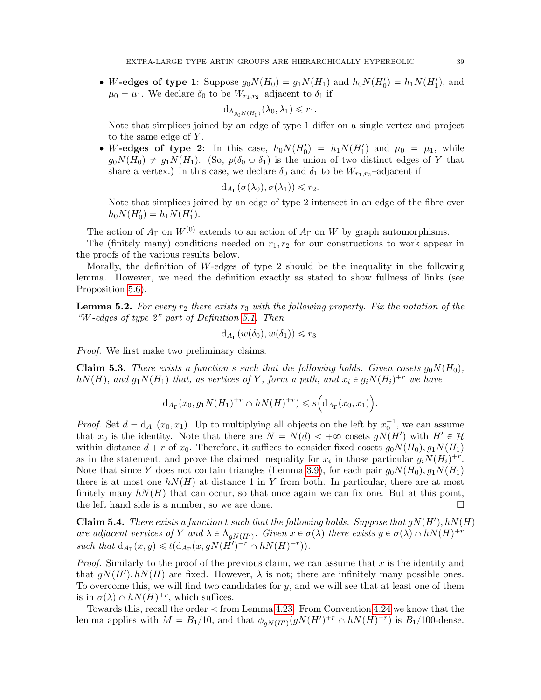• W-edges of type 1: Suppose  $g_0N(H_0) = g_1N(H_1)$  and  $h_0N(H_0') = h_1N(H_1')$ , and  $\mu_0 = \mu_1$ . We declare  $\delta_0$  to be  $W_{r_1,r_2}$ -adjacent to  $\delta_1$  if

$$
d_{\Lambda_{g_0N(H_0)}}(\lambda_0,\lambda_1) \leq r_1.
$$

Note that simplices joined by an edge of type 1 differ on a single vertex and project to the same edge of  $Y$ .

• W-edges of type 2: In this case,  $h_0 N(H'_0) = h_1 N(H'_1)$  and  $\mu_0 = \mu_1$ , while  $g_0N(H_0) \neq g_1N(H_1)$ . (So,  $p(\delta_0 \cup \delta_1)$  is the union of two distinct edges of Y that share a vertex.) In this case, we declare  $\delta_0$  and  $\delta_1$  to be  $W_{r_1,r_2}$ -adjacent if

$$
d_{A_{\Gamma}}(\sigma(\lambda_0), \sigma(\lambda_1)) \leq r_2.
$$

Note that simplices joined by an edge of type 2 intersect in an edge of the fibre over  $h_0 N(H'_0) = h_1 N(H'_1).$ 

The action of  $A_{\Gamma}$  on  $W^{(0)}$  extends to an action of  $A_{\Gamma}$  on W by graph automorphisms.

The (finitely many) conditions needed on  $r_1, r_2$  for our constructions to work appear in the proofs of the various results below.

Morally, the definition of W-edges of type 2 should be the inequality in the following lemma. However, we need the definition exactly as stated to show fullness of links (see Proposition [5.6\)](#page-41-1).

<span id="page-38-0"></span>**Lemma 5.2.** For every  $r_2$  there exists  $r_3$  with the following property. Fix the notation of the "W-edges of type 2" part of Definition [5.1.](#page-37-2) Then

$$
d_{A_{\Gamma}}(w(\delta_0), w(\delta_1)) \leq r_3.
$$

Proof. We first make two preliminary claims.

**Claim 5.3.** There exists a function s such that the following holds. Given cosets  $g_0N(H_0)$ ,  $h(N(H)$ , and  $g_1N(H_1)$  that, as vertices of Y, form a path, and  $x_i \in g_iN(H_i)^{+r}$  we have

$$
d_{A_{\Gamma}}(x_0, g_1 N(H_1)^{+r} \cap h N(H)^{+r}) \leq s\Big(d_{A_{\Gamma}}(x_0, x_1)\Big).
$$

*Proof.* Set  $d = d_{A_{\Gamma}}(x_0, x_1)$ . Up to multiplying all objects on the left by  $x_0^{-1}$ , we can assume that  $x_0$  is the identity. Note that there are  $N = N(d) < +\infty$  cosets  $gN(H')$  with  $H' \in \mathcal{H}$ within distance  $d + r$  of  $x_0$ . Therefore, it suffices to consider fixed cosets  $g_0N(H_0), g_1N(H_1)$ as in the statement, and prove the claimed inequality for  $x_i$  in those particular  $g_i N(H_i)^{+r}$ . Note that since Y does not contain triangles (Lemma [3.9\)](#page-19-0), for each pair  $g_0N(H_0), g_1N(H_1)$ there is at most one  $h(NH)$  at distance 1 in Y from both. In particular, there are at most finitely many  $h(NH)$  that can occur, so that once again we can fix one. But at this point, the left hand side is a number, so we are done.

**Claim 5.4.** There exists a function t such that the following holds. Suppose that  $gN(H')$ ,  $hN(H)$ are adjacent vertices of Y and  $\lambda \in \Lambda_{gN(H')}$ . Given  $x \in \sigma(\lambda)$  there exists  $y \in \sigma(\lambda) \cap hN(H)^{+r}$ such that  $d_{A_{\Gamma}}(x, y) \leq t(d_{A_{\Gamma}}(x, gN(\tilde{H}')^{+r} \cap hN(H)^{+r})).$ 

*Proof.* Similarly to the proof of the previous claim, we can assume that  $x$  is the identity and that  $gN(H')$ ,  $hN(H)$  are fixed. However,  $\lambda$  is not; there are infinitely many possible ones. To overcome this, we will find two candidates for y, and we will see that at least one of them is in  $\sigma(\lambda) \cap hN(H)^{+r}$ , which suffices.

Towards this, recall the order  $\prec$  from Lemma [4.23.](#page-36-1) From Convention [4.24](#page-36-2) we know that the lemma applies with  $M = B_1/10$ , and that  $\phi_{gN(H')}(gN(H')^{+r} \cap hN(H)^{+r})$  is  $B_1/100$ -dense.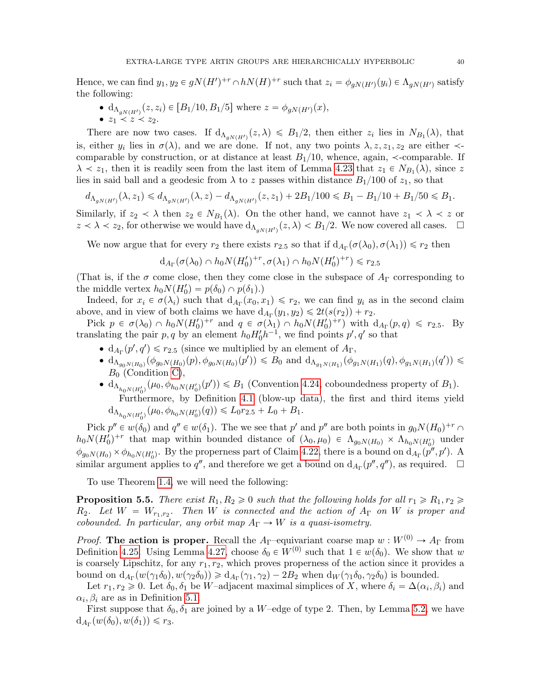Hence, we can find  $y_1, y_2 \in gN(H')^{+r} \cap hN(H)^{+r}$  such that  $z_i = \phi_{gN(H')}(y_i) \in \Lambda_{gN(H')}$  satisfy the following:

•  $d_{\Lambda_{gN(H')}}(z, z_i) \in [B_1/10, B_1/5]$  where  $z = \phi_{gN(H')}(x)$ ,  $\bullet$   $z_1 \prec z \prec z_2$ .

There are now two cases. If  $d_{\Lambda_{gN(H')}}(z,\lambda) \leq B_1/2$ , then either  $z_i$  lies in  $N_{B_1}(\lambda)$ , that is, either  $y_i$  lies in  $\sigma(\lambda)$ , and we are done. If not, any two points  $\lambda, z, z_1, z_2$  are either  $\prec$ comparable by construction, or at distance at least  $B<sub>1</sub>/10$ , whence, again,  $\prec$ -comparable. If  $\lambda \leq z_1$ , then it is readily seen from the last item of Lemma [4.23](#page-36-1) that  $z_1 \in N_{B_1}(\lambda)$ , since z lies in said ball and a geodesic from  $\lambda$  to z passes within distance  $B_1/100$  of  $z_1$ , so that

$$
d_{\Lambda_{gN(H')}}(\lambda, z_1) \le d_{\Lambda_{gN(H')}}(\lambda, z) - d_{\Lambda_{gN(H')}}(z, z_1) + 2B_1/100 \le B_1 - B_1/10 + B_1/50 \le B_1.
$$

Similarly, if  $z_2 \lt \lambda$  then  $z_2 \in N_{B_1}(\lambda)$ . On the other hand, we cannot have  $z_1 \lt \lambda \lt z$  or  $z \prec \lambda \prec z_2$ , for otherwise we would have  $d_{\Lambda_{gN(H')}}(z,\lambda) < B_1/2$ . We now covered all cases.  $\Box$ 

We now argue that for every  $r_2$  there exists  $r_{2.5}$  so that if  $d_{A_{\Gamma}}(\sigma(\lambda_0), \sigma(\lambda_1)) \leq r_2$  then

$$
d_{A_{\Gamma}}(\sigma(\lambda_0) \cap h_0 N(H'_0)^{+r}, \sigma(\lambda_1) \cap h_0 N(H'_0)^{+r}) \le r_{2.5}
$$

(That is, if the  $\sigma$  come close, then they come close in the subspace of  $A_{\Gamma}$  corresponding to the middle vertex  $h_0 N(H'_0) = p(\delta_0) \cap p(\delta_1)$ .

Indeed, for  $x_i \in \sigma(\lambda_i)$  such that  $d_{A_{\Gamma}}(x_0, x_1) \leq r_2$ , we can find  $y_i$  as in the second claim above, and in view of both claims we have  $d_{A_{\Gamma}}(y_1, y_2) \leq 2t(s(r_2)) + r_2$ .

Pick  $p \in \sigma(\lambda_0) \cap h_0 N(H_0')^{+r}$  and  $q \in \sigma(\lambda_1) \cap h_0 N(H_0')^{+r}$  with  $d_{A_{\Gamma}}(p,q) \le r_{2.5}$ . By translating the pair  $p, q$  by an element  $h_0 H_0 h^{-1}$ , we find points  $p', q'$  so that

- $d_{A_{\Gamma}}(p', q') \le r_{2.5}$  (since we multiplied by an element of  $A_{\Gamma}$ ,
- $d_{\Lambda_{g_0N(H_0)}}(\phi_{g_0N(H_0)}(p), \phi_{g_0N(H_0)}(p')) \leq B_0$  and  $d_{\Lambda_{g_1N(H_1)}}(\phi_{g_1N(H_1)}(q), \phi_{g_1N(H_1)}(q')) \leq$  $B_0$  (Condition [C\)](#page-27-1),
- $d_{\Lambda_{h_0N(H_0')}}(\mu_0, \phi_{h_0N(H_0')}(p')) \leq B_1$  (Convention [4.24,](#page-36-2) coboundedness property of  $B_1$ ). Furthermore, by Definition [4.1](#page-26-4) (blow-up data), the first and third items yield  $d_{\Lambda_{h_0N(H_0')}}(\mu_0, \phi_{h_0N(H_0')}(q)) \leq L_0r_{2.5} + L_0 + B_1.$

Pick  $p'' \in w(\delta_0)$  and  $q'' \in w(\delta_1)$ . The we see that  $p'$  and  $p''$  are both points in  $g_0 N(H_0)^{+r} \cap$  $h_0N(H'_0)^{+r}$  that map within bounded distance of  $(\lambda_0, \mu_0) \in \Lambda_{g_0N(H_0)} \times \Lambda_{h_0N(H'_0)}$  under  $\phi_{g_0N(H_0)} \times \phi_{h_0N(H_0')}$ . By the properness part of Claim [4.22,](#page-36-0) there is a bound on  $d_{A_{\Gamma}}(p'',p')$ . A similar argument applies to  $q''$ , and therefore we get a bound on  $d_{A_{\Gamma}}(p'', q'')$ , as required.  $\Box$ 

To use Theorem [1.4,](#page-6-2) we will need the following:

<span id="page-39-0"></span>**Proposition 5.5.** There exist  $R_1, R_2 \geq 0$  such that the following holds for all  $r_1 \geq R_1, r_2 \geq 0$  $R_2$ . Let  $W = W_{r_1,r_2}$ . Then W is connected and the action of  $A_{\Gamma}$  on W is proper and cobounded. In particular, any orbit map  $A_{\Gamma} \to W$  is a quasi-isometry.

*Proof.* The action is proper. Recall the A<sub>Γ</sub>-equivariant coarse map  $w: W^{(0)} \to A_{\Gamma}$  from Definition [4.25.](#page-37-3) Using Lemma [4.27,](#page-37-4) choose  $\delta_0 \in W^{(0)}$  such that  $1 \in w(\delta_0)$ . We show that w is coarsely Lipschitz, for any  $r_1, r_2$ , which proves properness of the action since it provides a bound on  $d_{A_{\Gamma}}(w(\gamma_1\delta_0), w(\gamma_2\delta_0)) \ge d_{A_{\Gamma}}(\gamma_1, \gamma_2) - 2B_2$  when  $d_W(\gamma_1\delta_0, \gamma_2\delta_0)$  is bounded.

Let  $r_1, r_2 \geq 0$ . Let  $\delta_0, \delta_1$  be W–adjacent maximal simplices of X, where  $\delta_i = \Delta(\alpha_i, \beta_i)$  and  $\alpha_i, \beta_i$  are as in Definition [5.1.](#page-37-2)

First suppose that  $\delta_0$ ,  $\delta_1$  are joined by a W–edge of type 2. Then, by Lemma [5.2,](#page-38-0) we have  $d_{A_{\Gamma}}(w(\delta_0), w(\delta_1)) \leq r_3.$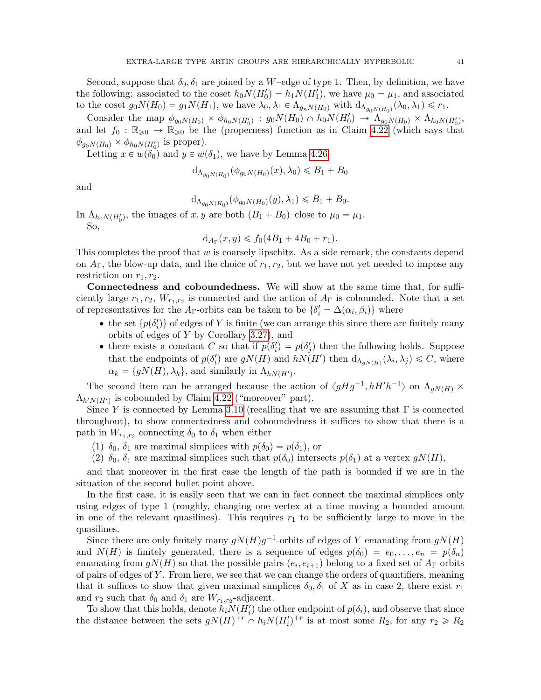Second, suppose that  $\delta_0$ ,  $\delta_1$  are joined by a W–edge of type 1. Then, by definition, we have the following: associated to the coset  $h_0 N(H'_0) = h_1 N(H'_1)$ , we have  $\mu_0 = \mu_1$ , and associated to the coset  $g_0N(H_0) = g_1N(H_1)$ , we have  $\lambda_0, \lambda_1 \in \Lambda_{g_nN(H_0)}$  with  $d_{\Lambda_{g_0N(H_0)}}(\lambda_0, \lambda_1) \leq r_1$ .

Consider the map  $\phi_{g_0N(H_0)} \times \phi_{h_0N(H_0')} : g_0N(H_0) \cap h_0N(H_0') \to \Lambda_{g_0N(H_0)} \times \Lambda_{h_0N(H_0')}$ and let  $f_0 : \mathbb{R}_{\geqslant 0} \to \mathbb{R}_{\geqslant 0}$  be the (properness) function as in Claim [4.22](#page-36-0) (which says that  $\phi_{g_0N(H_0)} \times \phi_{h_0N(H_0')}$  is proper).

Letting  $x \in w(\delta_0)$  and  $y \in w(\delta_1)$ , we have by Lemma [4.26:](#page-37-5)

$$
d_{\Lambda_{g_0 N(H_0)}}(\phi_{g_0 N(H_0)}(x), \lambda_0) \leq B_1 + B_0
$$

and

$$
d_{\Lambda_{g_0 N(H_0)}}(\phi_{g_0 N(H_0)}(y), \lambda_1) \leq B_1 + B_0.
$$

In  $\Lambda_{h_0N(H_0')}$ , the images of x, y are both  $(B_1 + B_0)$ -close to  $\mu_0 = \mu_1$ . So,

$$
d_{A_{\Gamma}}(x, y) \le f_0(4B_1 + 4B_0 + r_1).
$$

This completes the proof that  $w$  is coarsely lipschitz. As a side remark, the constants depend on  $A_{\Gamma}$ , the blow-up data, and the choice of  $r_1, r_2$ , but we have not yet needed to impose any restriction on  $r_1, r_2$ .

Connectedness and coboundedness. We will show at the same time that, for sufficiently large  $r_1, r_2, W_{r_1,r_2}$  is connected and the action of  $A_{\Gamma}$  is cobounded. Note that a set of representatives for the A<sub>Γ</sub>-orbits can be taken to be  $\{\delta'_i = \Delta(\alpha_i, \beta_i)\}\$  where

- the set  $\{p(\delta_i')\}$  of edges of Y is finite (we can arrange this since there are finitely many orbits of edges of Y by Corollary [3.27\)](#page-26-5), and
- there exists a constant C so that if  $p(\delta_i') = p(\delta_j')$  then the following holds. Suppose that the endpoints of  $p(\delta_i')$  are  $gN(H)$  and  $hN(H')$  then  $d_{\Lambda_{gN(H)}}(\lambda_i, \lambda_j) \leq C$ , where  $\alpha_k = \{gN(H), \lambda_k\},\$  and similarly in  $\Lambda_{hN(H')}$ .

The second item can be arranged because the action of  $\langle gHg^{-1}, hH'h^{-1}\rangle$  on  $\Lambda_{gN(H)} \times$  $\Lambda_{h'N(H')}$  is cobounded by Claim [4.22](#page-36-0) ("moreover" part).

Since Y is connected by Lemma [3.10](#page-19-1) (recalling that we are assuming that  $\Gamma$  is connected throughout), to show connectedness and coboundedness it suffices to show that there is a path in  $W_{r_1,r_2}$  connecting  $\delta_0$  to  $\delta_1$  when either

(1)  $\delta_0$ ,  $\delta_1$  are maximal simplices with  $p(\delta_0) = p(\delta_1)$ , or

(2)  $\delta_0$ ,  $\delta_1$  are maximal simplices such that  $p(\delta_0)$  intersects  $p(\delta_1)$  at a vertex  $gN(H)$ ,

and that moreover in the first case the length of the path is bounded if we are in the situation of the second bullet point above.

In the first case, it is easily seen that we can in fact connect the maximal simplices only using edges of type 1 (roughly, changing one vertex at a time moving a bounded amount in one of the relevant quasilines). This requires  $r_1$  to be sufficiently large to move in the quasilines.

Since there are only finitely many  $gN(H)g^{-1}$ -orbits of edges of Y emanating from  $gN(H)$ and  $N(H)$  is finitely generated, there is a sequence of edges  $p(\delta_0) = e_0, \ldots, e_n = p(\delta_n)$ emanating from  $g(N(H))$  so that the possible pairs  $(e_i, e_{i+1})$  belong to a fixed set of  $A_{\Gamma}$ -orbits of pairs of edges of Y . From here, we see that we can change the orders of quantifiers, meaning that it suffices to show that given maximal simplices  $\delta_0, \delta_1$  of X as in case 2, there exist  $r_1$ and  $r_2$  such that  $\delta_0$  and  $\delta_1$  are  $W_{r_1,r_2}$ -adjacent.

To show that this holds, denote  $h_i N(H_i')$  the other endpoint of  $p(\delta_i)$ , and observe that since the distance between the sets  $gN(H)^{+r} \cap h_i N(H_i')^{+r}$  is at most some  $R_2$ , for any  $r_2 \ge R_2$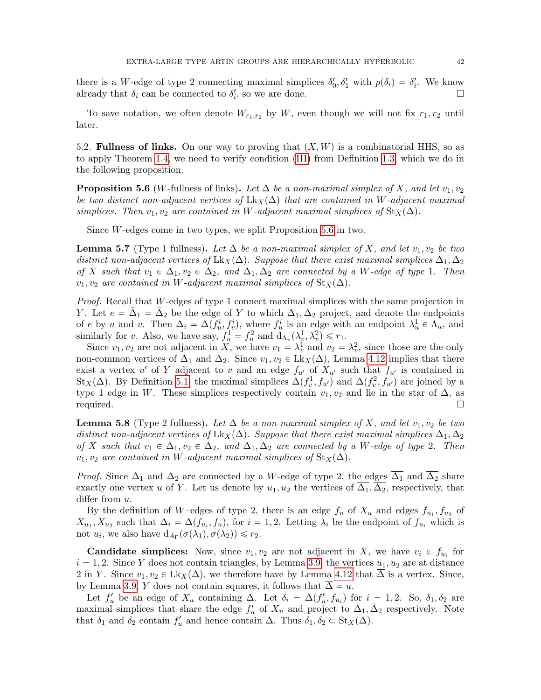there is a W-edge of type 2 connecting maximal simplices  $\delta'_0, \delta'_1$  with  $p(\delta_i) = \delta'_i$ . We know already that  $\delta_i$  can be connected to  $\delta'_i$ , so we are done.

To save notation, we often denote  $W_{r_1,r_2}$  by W, even though we will not fix  $r_1, r_2$  until later.

<span id="page-41-0"></span>5.2. Fullness of links. On our way to proving that  $(X, W)$  is a combinatorial HHS, so as to apply Theorem [1.4,](#page-6-2) we need to verify condition [\(III\)](#page-5-4) from Definition [1.3,](#page-5-2) which we do in the following proposition.

<span id="page-41-1"></span>**Proposition 5.6** (W-fullness of links). Let  $\Delta$  be a non-maximal simplex of X, and let  $v_1, v_2$ be two distinct non-adjacent vertices of Lk<sub>X</sub>( $\Delta$ ) that are contained in W-adjacent maximal simplices. Then  $v_1, v_2$  are contained in W-adjacent maximal simplices of  $St_{X}(\Delta)$ .

Since W-edges come in two types, we split Proposition [5.6](#page-41-1) in two.

<span id="page-41-2"></span>**Lemma 5.7** (Type 1 fullness). Let  $\Delta$  be a non-maximal simplex of X, and let  $v_1, v_2$  be two distinct non-adjacent vertices of Lk<sub>X</sub>( $\Delta$ ). Suppose that there exist maximal simplices  $\Delta_1, \Delta_2$ of X such that  $v_1 \in \Delta_1, v_2 \in \Delta_2$ , and  $\Delta_1, \Delta_2$  are connected by a W-edge of type 1. Then  $v_1, v_2$  are contained in W-adjacent maximal simplices of St<sub>X</sub>( $\Delta$ ).

Proof. Recall that W-edges of type 1 connect maximal simplices with the same projection in Y. Let  $e = \bar{\Delta}_1 = \bar{\Delta}_2$  be the edge of Y to which  $\Delta_1, \Delta_2$  project, and denote the endpoints of e by u and v. Then  $\Delta_i = \Delta(f_u^i, f_v^i)$ , where  $f_u^i$  is an edge with an endpoint  $\lambda_u^1 \in \Lambda_u$ , and similarly for v. Also, we have say,  $f_u^1 = f_u^2$  and  $d_{\Lambda_v}(\lambda_v^1, \lambda_v^2) \le r_1$ .

Since  $v_1, v_2$  are not adjacent in X, we have  $v_1 = \lambda_v^1$  and  $v_2 = \lambda_v^2$ , since those are the only non-common vertices of  $\Delta_1$  and  $\Delta_2$ . Since  $v_1, v_2 \in Lk_X(\Delta)$ , Lemma [4.12](#page-32-2) implies that there exist a vertex u' of Y adjacent to v and an edge  $f_{u'}$  of  $X_{u'}$  such that  $f_{u'}$  is contained in St<sub>X</sub>( $\Delta$ ). By Definition [5.1,](#page-37-2) the maximal simplices  $\Delta(f_v^1, f_{u'})$  and  $\Delta(f_v^2, f_{u'})$  are joined by a type 1 edge in W. These simplices respectively contain  $v_1, v_2$  and lie in the star of  $\Delta$ , as required.

<span id="page-41-3"></span>**Lemma 5.8** (Type 2 fullness). Let  $\Delta$  be a non-maximal simplex of X, and let  $v_1, v_2$  be two distinct non-adjacent vertices of Lk<sub>X</sub>( $\Delta$ ). Suppose that there exist maximal simplices  $\Delta_1, \Delta_2$ of X such that  $v_1 \in \Delta_1, v_2 \in \Delta_2$ , and  $\Delta_1, \Delta_2$  are connected by a W-edge of type 2. Then  $v_1, v_2$  are contained in W-adjacent maximal simplices of  $\text{St}_X(\Delta)$ .

*Proof.* Since  $\Delta_1$  and  $\Delta_2$  are connected by a W-edge of type 2, the edges  $\overline{\Delta_1}$  and  $\overline{\Delta_2}$  share exactly one vertex u of Y. Let us denote by  $u_1, u_2$  the vertices of  $\overline{\Delta_1}, \overline{\Delta_2}$ , respectively, that differ from  $u$ .

By the definition of W-edges of type 2, there is an edge  $f_u$  of  $X_u$  and edges  $f_{u_1}, f_{u_2}$  of  $X_{u_1}, X_{u_2}$  such that  $\Delta_i = \Delta(f_{u_i}, f_u)$ , for  $i = 1, 2$ . Letting  $\lambda_i$  be the endpoint of  $f_{u_i}$  which is not  $u_i$ , we also have  $d_{A_{\Gamma}}(\sigma(\lambda_1), \sigma(\lambda_2)) \leq r_2$ .

**Candidate simplices:** Now, since  $v_1, v_2$  are not adjacent in X, we have  $v_i \in f_{u_i}$  for  $i = 1, 2$ . Since Y does not contain triangles, by Lemma [3.9,](#page-19-0) the vertices  $u_1, u_2$  are at distance 2 in Y. Since  $v_1, v_2 \in Lk_X(\Delta)$ , we therefore have by Lemma [4.12](#page-32-2) that  $\overline{\Delta}$  is a vertex. Since, by Lemma [3.9,](#page-19-0) Y does not contain squares, it follows that  $\overline{\Delta} = u$ .

Let  $f'_u$  be an edge of  $X_u$  containing  $\Delta$ . Let  $\delta_i = \Delta(f'_u, f_{u_i})$  for  $i = 1, 2$ . So,  $\delta_1, \delta_2$  are maximal simplices that share the edge  $f'_u$  of  $X_u$  and project to  $\bar{\Delta}_1, \bar{\Delta}_2$  respectively. Note that  $\delta_1$  and  $\delta_2$  contain  $f'_u$  and hence contain  $\Delta$ . Thus  $\delta_1, \delta_2 \subset \text{St}_X(\Delta)$ .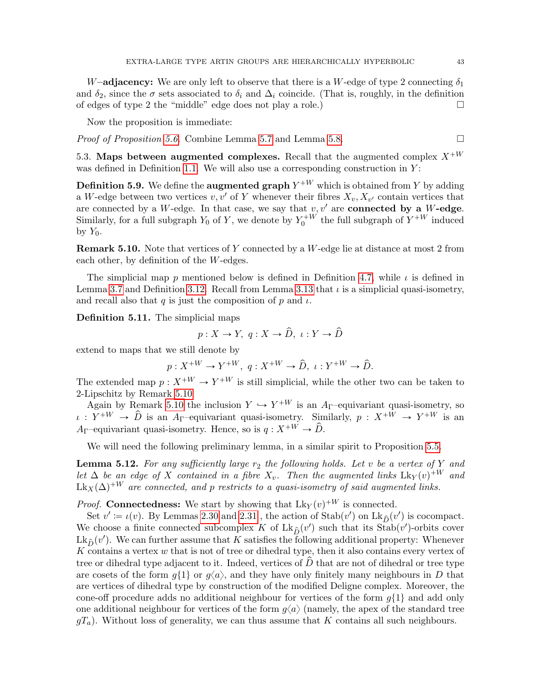W–adjacency: We are only left to observe that there is a W-edge of type 2 connecting  $\delta_1$ and  $\delta_2$ , since the  $\sigma$  sets associated to  $\delta_i$  and  $\Delta_i$  coincide. (That is, roughly, in the definition of edges of type 2 the "middle" edge does not play a role.)

Now the proposition is immediate:

*Proof of Proposition [5.6.](#page-41-1)* Combine Lemma [5.7](#page-41-2) and Lemma [5.8.](#page-41-3)  $\Box$ 

<span id="page-42-0"></span>5.3. Maps between augmented complexes. Recall that the augmented complex  $X^{+W}$ was defined in Definition [1.1.](#page-5-3) We will also use a corresponding construction in  $Y$ :

**Definition 5.9.** We define the **augmented graph**  $Y^{+W}$  which is obtained from Y by adding a W-edge between two vertices  $v, v'$  of Y whenever their fibres  $X_v, X_{v'}$  contain vertices that are connected by a W-edge. In that case, we say that  $v, v'$  are **connected by a** W-edge. Similarly, for a full subgraph  $Y_0$  of Y, we denote by  $Y_0^{+W}$  the full subgraph of  $Y^{+W}$  induced by  $Y_0$ .

<span id="page-42-1"></span>Remark 5.10. Note that vertices of Y connected by a W-edge lie at distance at most 2 from each other, by definition of the W-edges.

The simplicial map p mentioned below is defined in Definition [4.7,](#page-31-1) while  $\iota$  is defined in Lemma [3.7](#page-17-0) and Definition [3.12.](#page-20-3) Recall from Lemma [3.13](#page-20-1) that  $\iota$  is a simplicial quasi-isometry, and recall also that q is just the composition of p and  $\iota$ .

<span id="page-42-3"></span>Definition 5.11. The simplicial maps

$$
p:X\to Y,\; q:X\to \hat{D},\; \iota:Y\to \hat{D}
$$

extend to maps that we still denote by

 $p: X^{+W} \to Y^{+W}, q: X^{+W} \to \hat{D}, \iota: Y^{+W} \to \hat{D}.$ 

The extended map  $p: X^{+W} \to Y^{+W}$  is still simplicial, while the other two can be taken to 2-Lipschitz by Remark [5.10](#page-42-1)

Again by Remark [5.10](#page-42-1) the inclusion  $Y \hookrightarrow Y^{+W}$  is an A<sub>Γ</sub>-equivariant quasi-isometry, so  $\iota : Y^{+W} \to \hat{D}$  is an A<sub>Γ</sub>-equivariant quasi-isometry. Similarly,  $p : X^{+W} \to Y^{+W}$  is an A<sub>Γ</sub>–equivariant quasi-isometry. Hence, so is  $q: X^{+W} \to \hat{D}$ .

We will need the following preliminary lemma, in a similar spirit to Proposition [5.5.](#page-39-0)

<span id="page-42-2"></span>**Lemma 5.12.** For any sufficiently large  $r_2$  the following holds. Let v be a vertex of Y and let  $\Delta$  be an edge of X contained in a fibre  $X_v$ . Then the augmented links  $Lk_Y(v)^{+W}$  and  $\mathrm{Lk}_X(\Delta)^{+W}$  are connected, and p restricts to a quasi-isometry of said augmented links.

*Proof.* Connectedness: We start by showing that  $Lk_Y(v)^{+W}$  is connected.

Set  $v' := \iota(v)$ . By Lemmas [2.30](#page-14-2) and [2.31](#page-14-1), the action of  $\text{Stab}(v')$  on  $\text{Lk}_{\hat{D}}(v')$  is cocompact. We choose a finite connected subcomplex K of  $Lk_{\hat{D}}(v')$  such that its  $\text{Stab}(v')$ -orbits cover  $\text{Lk}_{\hat{D}}(v')$ . We can further assume that K satisfies the following additional property: Whenever K contains a vertex  $w$  that is not of tree or dihedral type, then it also contains every vertex of tree or dihedral type adjacent to it. Indeed, vertices of  $\ddot{D}$  that are not of dihedral or tree type are cosets of the form  $q\{1\}$  or  $q\langle a \rangle$ , and they have only finitely many neighbours in D that are vertices of dihedral type by construction of the modified Deligne complex. Moreover, the cone-off procedure adds no additional neighbour for vertices of the form  $g\{1\}$  and add only one additional neighbour for vertices of the form  $g\langle a \rangle$  (namely, the apex of the standard tree  $gT_a$ ). Without loss of generality, we can thus assume that K contains all such neighbours.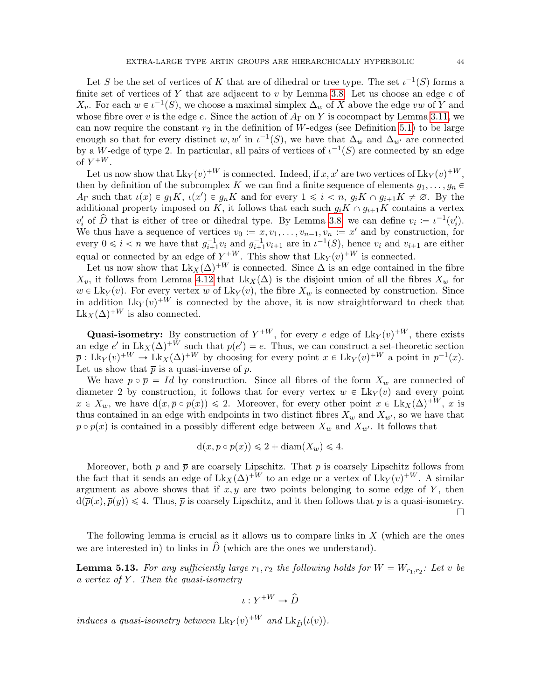Let S be the set of vertices of K that are of dihedral or tree type. The set  $\iota^{-1}(S)$  forms a finite set of vertices of Y that are adjacent to v by Lemma [3.8.](#page-18-0) Let us choose an edge  $e$  of  $X_v$ . For each  $w \in \iota^{-1}(S)$ , we choose a maximal simplex  $\Delta_w$  of X above the edge vw of Y and whose fibre over v is the edge e. Since the action of  $A_{\Gamma}$  on Y is cocompact by Lemma [3.11,](#page-19-2) we can now require the constant  $r_2$  in the definition of W-edges (see Definition [5.1\)](#page-37-2) to be large enough so that for every distinct w, w' in  $\iota^{-1}(S)$ , we have that  $\Delta_w$  and  $\Delta_{w'}$  are connected by a W-edge of type 2. In particular, all pairs of vertices of  $\iota^{-1}(S)$  are connected by an edge of  $Y^{+W}$ .

Let us now show that  $Lk_Y(v)^{+W}$  is connected. Indeed, if  $x, x'$  are two vertices of  $Lk_Y(v)^{+W}$ , then by definition of the subcomplex K we can find a finite sequence of elements  $g_1, \ldots, g_n \in$  $A_{\Gamma}$  such that  $\iota(x) \in g_1K$ ,  $\iota(x') \in g_nK$  and for every  $1 \leq i \leq n$ ,  $g_iK \cap g_{i+1}K \neq \emptyset$ . By the additional property imposed on K, it follows that each such  $g_iK \cap g_{i+1}K$  contains a vertex  $v'_i$  of  $\hat{D}$  that is either of tree or dihedral type. By Lemma [3.8,](#page-18-0) we can define  $v_i := \iota^{-1}(v'_i)$ . We thus have a sequence of vertices  $v_0 := x, v_1, \ldots, v_{n-1}, v_n := x'$  and by construction, for every  $0 \leq i < n$  we have that  $g_{i+1}^{-1}v_i$  and  $g_{i+1}^{-1}v_{i+1}$  are in  $\iota^{-1}(S)$ , hence  $v_i$  and  $v_{i+1}$  are either equal or connected by an edge of  $Y^{+W}$ . This show that  $Lk_Y(v)^{+W}$  is connected.

Let us now show that  $Lk_X(\Delta)^{+W}$  is connected. Since  $\Delta$  is an edge contained in the fibre  $X_v$ , it follows from Lemma [4.12](#page-32-2) that  $Lk_X(\Delta)$  is the disjoint union of all the fibres  $X_w$  for  $w \in Lk_Y(v)$ . For every vertex w of  $Lk_Y(v)$ , the fibre  $X_w$  is connected by construction. Since in addition  $Lk_Y(v)^{+W}$  is connected by the above, it is now straightforward to check that  $Lk_X(\Delta)^{+W}$  is also connected.

**Quasi-isometry:** By construction of  $Y^{+W}$ , for every e edge of  $Lk_Y(v)^{+W}$ , there exists an edge e' in  $Lk_X(\Delta)^{+W}$  such that  $p(e') = e$ . Thus, we can construct a set-theoretic section  $\overline{p}: Lk_Y(v)^{+W} \to Lk_X(\Delta)^{+W}$  by choosing for every point  $x \in Lk_Y(v)^{+W}$  a point in  $p^{-1}(x)$ . Let us show that  $\bar{p}$  is a quasi-inverse of  $p$ .

We have  $p \circ \overline{p} = Id$  by construction. Since all fibres of the form  $X_w$  are connected of diameter 2 by construction, it follows that for every vertex  $w \in Lk_Y(v)$  and every point  $x \in X_w$ , we have  $d(x, \overline{p} \circ p(x)) \leq 2$ . Moreover, for every other point  $x \in Lk_X(\Delta)^{+W}$ , x is thus contained in an edge with endpoints in two distinct fibres  $X_w$  and  $X_{w'}$ , so we have that  $\bar{p} \circ p(x)$  is contained in a possibly different edge between  $X_w$  and  $X_{w'}$ . It follows that

$$
d(x, \overline{p} \circ p(x)) \leq 2 + diam(X_w) \leq 4.
$$

Moreover, both p and  $\bar{p}$  are coarsely Lipschitz. That p is coarsely Lipschitz follows from the fact that it sends an edge of  $Lk_X(\Delta)^{+W}$  to an edge or a vertex of  $Lk_Y(v)^{+W}$ . A similar argument as above shows that if  $x, y$  are two points belonging to some edge of Y, then  $d(\overline{p}(x), \overline{p}(y)) \leq 4$ . Thus,  $\overline{p}$  is coarsely Lipschitz, and it then follows that p is a quasi-isometry. П

The following lemma is crucial as it allows us to compare links in  $X$  (which are the ones we are interested in) to links in  $\hat{D}$  (which are the ones we understand).

<span id="page-43-0"></span>**Lemma 5.13.** For any sufficiently large  $r_1, r_2$  the following holds for  $W = W_{r_1,r_2}$ : Let v be a vertex of  $Y$ . Then the quasi-isometry

$$
\iota: Y^{+W} \to \hat D
$$

induces a quasi-isometry between  $Lk_Y(v)^{+W}$  and  $Lk_{\hat{D}}(\iota(v))$ .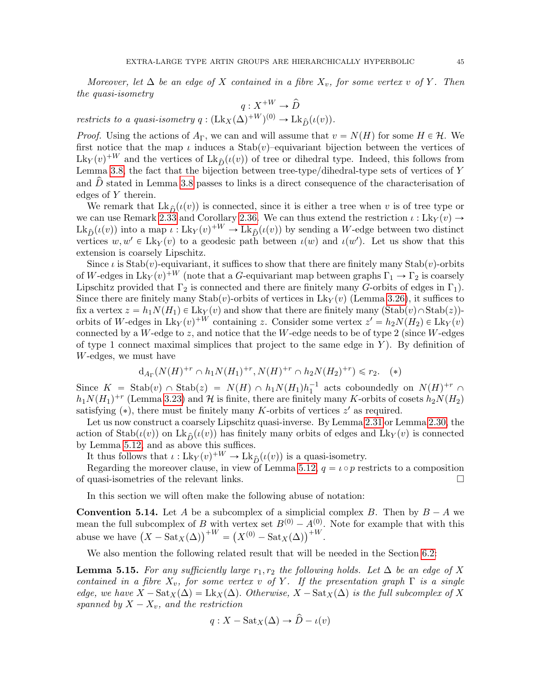Moreover, let  $\Delta$  be an edge of X contained in a fibre  $X_v$ , for some vertex v of Y. Then the quasi-isometry

$$
q:X^{+W}\to \hat D
$$

restricts to a quasi-isometry  $q: (\text{Lk}_X(\Delta)^{+W})^{(0)} \to \text{Lk}_{\hat{D}}(\iota(v)).$ 

*Proof.* Using the actions of  $A_{\Gamma}$ , we can and will assume that  $v = N(H)$  for some  $H \in \mathcal{H}$ . We first notice that the map  $\iota$  induces a Stab $(v)$ –equivariant bijection between the vertices of  $Lk_Y(v)^{+W}$  and the vertices of  $Lk_{\hat{D}}(\iota(v))$  of tree or dihedral type. Indeed, this follows from Lemma [3.8,](#page-18-0) the fact that the bijection between tree-type/dihedral-type sets of vertices of Y and  $\overline{D}$  stated in Lemma [3.8](#page-18-0) passes to links is a direct consequence of the characterisation of edges of Y therein.

We remark that  $Lk_{\hat{D}}(\iota(v))$  is connected, since it is either a tree when v is of tree type or we can use Remark [2.33](#page-15-4) and Corollary [2.36.](#page-15-3) We can thus extend the restriction  $\iota : Lk_Y(v) \rightarrow$  $Lk_{\hat{D}}(\iota(v))$  into a map  $\iota : Lk_Y(v)^{+W} \to Lk_{\hat{D}}(\iota(v))$  by sending a W-edge between two distinct vertices  $w, w' \in Lk_Y(v)$  to a geodesic path between  $\iota(w)$  and  $\iota(w')$ . Let us show that this extension is coarsely Lipschitz.

Since  $\iota$  is Stab $(v)$ -equivariant, it suffices to show that there are finitely many Stab $(v)$ -orbits of W-edges in  $Lk_Y(v)^{+W}$  (note that a G-equivariant map between graphs  $\Gamma_1 \to \Gamma_2$  is coarsely Lipschitz provided that  $\Gamma_2$  is connected and there are finitely many G-orbits of edges in  $\Gamma_1$ ). Since there are finitely many Stab $(v)$ -orbits of vertices in Lk<sub>Y</sub> $(v)$  (Lemma [3.26\)](#page-26-3), it suffices to fix a vertex  $z = h_1 N(H_1) \in Lk_Y(v)$  and show that there are finitely many  $(\text{Stab}(v) \cap \text{Stab}(z))$ orbits of W-edges in  $Lk_Y(v)^{+W}$  containing z. Consider some vertex  $z' = h_2N(H_2) \in Lk_Y(v)$ connected by a W-edge to z, and notice that the W-edge needs to be of type 2 (since W-edges of type 1 connect maximal simplices that project to the same edge in  $Y$ ). By definition of W-edges, we must have

$$
d_{A_{\Gamma}}(N(H)^{+r} \cap h_1 N(H_1)^{+r}, N(H)^{+r} \cap h_2 N(H_2)^{+r}) \leq r_2. \quad (*)
$$

Since  $K = \text{Stab}(v) \cap \text{Stab}(z) = N(H) \cap h_1N(H_1)h_1^{-1}$  acts coboundedly on  $N(H)^{+r} \cap$  $h_1N(H_1)^{+r}$  (Lemma [3.23\)](#page-24-1) and H is finite, there are finitely many K-orbits of cosets  $h_2N(H_2)$ satisfying  $(*)$ , there must be finitely many K-orbits of vertices  $z'$  as required.

Let us now construct a coarsely Lipschitz quasi-inverse. By Lemma [2.31](#page-14-1) or Lemma [2.30,](#page-14-2) the action of Stab $(\iota(v))$  on Lk $\hat{\rho}(\iota(v))$  has finitely many orbits of edges and Lk<sub>Y</sub> $(v)$  is connected by Lemma [5.12,](#page-42-2) and as above this suffices.

It thus follows that  $\iota : Lk_Y(v)^{+W} \to Lk_{\hat{D}}(\iota(v))$  is a quasi-isometry.

Regarding the moreover clause, in view of Lemma [5.12,](#page-42-2)  $q = \iota \circ p$  restricts to a composition of quasi-isometries of the relevant links.

In this section we will often make the following abuse of notation:

**Convention 5.14.** Let A be a subcomplex of a simplicial complex B. Then by  $B - A$  we mean the full subcomplex of B with vertex set  $B^{(0)} - A^{(0)}_{\mu\nu}$ . Note for example that with this mean the full subcomplex of B with vertex set  $B^{(0)} - A^{(0)}$ .<br>abuse we have  $(X - \text{Sat}_X(\Delta))^{+W} = (X^{(0)} - \text{Sat}_X(\Delta))^{+W}$ .

We also mention the following related result that will be needed in the Section [6.2:](#page-48-0)

<span id="page-44-0"></span>**Lemma 5.15.** For any sufficiently large  $r_1, r_2$  the following holds. Let  $\Delta$  be an edge of X contained in a fibre  $X_v$ , for some vertex v of Y. If the presentation graph  $\Gamma$  is a single edge, we have  $X - \text{Sat}_X(\Delta) = \text{Lk}_X(\Delta)$ . Otherwise,  $X - \text{Sat}_X(\Delta)$  is the full subcomplex of X spanned by  $X - X_v$ , and the restriction

$$
q: X - \text{Sat}_X(\Delta) \to \hat{D} - \iota(v)
$$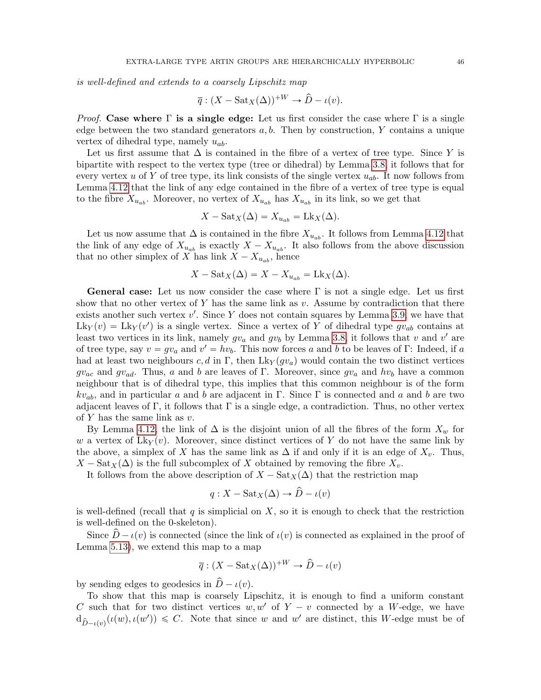is well-defined and extends to a coarsely Lipschitz map

$$
\overline{q}:(X-\text{Sat}_X(\Delta))^{+W}\to \widehat{D}-\iota(v).
$$

*Proof.* Case where  $\Gamma$  is a single edge: Let us first consider the case where  $\Gamma$  is a single edge between the two standard generators  $a, b$ . Then by construction, Y contains a unique vertex of dihedral type, namely  $u_{ab}$ .

Let us first assume that  $\Delta$  is contained in the fibre of a vertex of tree type. Since Y is bipartite with respect to the vertex type (tree or dihedral) by Lemma [3.8,](#page-18-0) it follows that for every vertex u of Y of tree type, its link consists of the single vertex  $u_{ab}$ . It now follows from Lemma [4.12](#page-32-2) that the link of any edge contained in the fibre of a vertex of tree type is equal to the fibre  $X_{u_{ab}}$ . Moreover, no vertex of  $X_{u_{ab}}$  has  $X_{u_{ab}}$  in its link, so we get that

$$
X - \text{Sat}_X(\Delta) = X_{u_{ab}} = \text{Lk}_X(\Delta).
$$

Let us now assume that  $\Delta$  is contained in the fibre  $X_{u_{ab}}$ . It follows from Lemma [4.12](#page-32-2) that the link of any edge of  $X_{u_{ab}}$  is exactly  $X - X_{u_{ab}}$ . It also follows from the above discussion that no other simplex of X has link  $X - X_{u_{ab}}$ , hence

$$
X - \text{Sat}_X(\Delta) = X - X_{u_{ab}} = \text{Lk}_X(\Delta).
$$

**General case:** Let us now consider the case where  $\Gamma$  is not a single edge. Let us first show that no other vertex of Y has the same link as  $v$ . Assume by contradiction that there exists another such vertex  $v'$ . Since Y does not contain squares by Lemma [3.9,](#page-19-0) we have that  $Lk_Y(v) = Lk_Y(v')$  is a single vertex. Since a vertex of Y of dihedral type  $gv_{ab}$  contains at least two vertices in its link, namely  $gv_a$  and  $gv_b$  by Lemma [3.8,](#page-18-0) it follows that v and v' are of tree type, say  $v = gv_a$  and  $v' = hv_b$ . This now forces a and b to be leaves of Γ: Indeed, if a had at least two neighbours c, d in Γ, then  $Lk_Y(gv_a)$  would contain the two distinct vertices  $gv_{ac}$  and  $gv_{ad}$ . Thus, a and b are leaves of Γ. Moreover, since  $gv_a$  and  $hv_b$  have a common neighbour that is of dihedral type, this implies that this common neighbour is of the form  $kv_{ab}$ , and in particular a and b are adjacent in Γ. Since Γ is connected and a and b are two adjacent leaves of Γ, it follows that Γ is a single edge, a contradiction. Thus, no other vertex of  $Y$  has the same link as  $v$ .

By Lemma [4.12,](#page-32-2) the link of  $\Delta$  is the disjoint union of all the fibres of the form  $X_w$  for w a vertex of  $Lk_Y(v)$ . Moreover, since distinct vertices of Y do not have the same link by the above, a simplex of X has the same link as  $\Delta$  if and only if it is an edge of  $X_v$ . Thus,  $X - \text{Sat}_X(\Delta)$  is the full subcomplex of X obtained by removing the fibre  $X_v$ .

It follows from the above description of  $X - \text{Sat}_X(\Delta)$  that the restriction map

$$
q: X - \text{Sat}_X(\Delta) \to \hat{D} - \iota(v)
$$

is well-defined (recall that  $q$  is simplicial on  $X$ , so it is enough to check that the restriction is well-defined on the 0-skeleton).

Since  $\overline{D}-\iota(v)$  is connected (since the link of  $\iota(v)$  is connected as explained in the proof of Lemma [5.13\)](#page-43-0), we extend this map to a map

$$
\overline{q}:(X-\text{Sat}_X(\Delta))^{+W}\to \hat{D}-\iota(v)
$$

by sending edges to geodesics in  $\hat{D} - \iota(v)$ .

To show that this map is coarsely Lipschitz, it is enough to find a uniform constant C such that for two distinct vertices  $w, w'$  of  $Y - v$  connected by a W-edge, we have  $d_{\hat{D}-\iota(v)}(\iota(w),\iota(w')) \leq C$ . Note that since w and w' are distinct, this W-edge must be of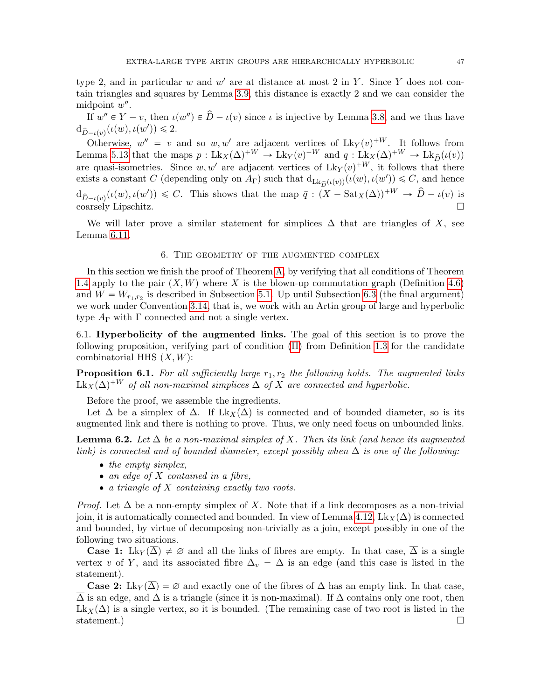type 2, and in particular  $w$  and  $w'$  are at distance at most 2 in Y. Since Y does not contain triangles and squares by Lemma [3.9,](#page-19-0) this distance is exactly 2 and we can consider the midpoint  $w''$ .

If  $w'' \in Y - v$ , then  $\iota(w'') \in \hat{D} - \iota(v)$  since  $\iota$  is injective by Lemma [3.8,](#page-18-0) and we thus have  $d_{\hat{D}-\iota(v)}(\iota(w),\iota(w')) \leq 2.$ 

Otherwise,  $w'' = v$  and so  $w, w'$  are adjacent vertices of  $Lk_Y(v)^{+W}$ . It follows from Lemma [5.13](#page-43-0) that the maps  $p: Lk_X(\Delta)^{+W} \to Lk_Y(v)^{+W}$  and  $q: Lk_X(\Delta)^{+W} \to Lk_{\hat{D}}(\iota(v))$ are quasi-isometries. Since  $w, w'$  are adjacent vertices of  $Lk_Y(v)^{+W}$ , it follows that there exists a constant C (depending only on  $A_{\Gamma}$ ) such that  $d_{Lk_{\widehat{D}}(\iota(v))}(\iota(w), \iota(w')) \leq C$ , and hence  $d_{\hat{D}-\iota(v)}(\iota(w), \iota(w')) \leqslant C$ . This shows that the map  $\bar{q}: (X-\text{Sat}_X(\Delta))^{+W} \to \hat{D}-\iota(v)$  is  $\Box$ coarsely Lipschitz.

We will later prove a similar statement for simplices  $\Delta$  that are triangles of X, see Lemma [6.11.](#page-50-0)

### 6. The geometry of the augmented complex

<span id="page-46-0"></span>In this section we finish the proof of Theorem [A,](#page-2-3) by verifying that all conditions of Theorem [1.4](#page-6-2) apply to the pair  $(X, W)$  where X is the blown-up commutation graph (Definition [4.6\)](#page-31-2) and  $W = W_{r_1,r_2}$  is described in Subsection [5.1.](#page-37-1) Up until Subsection [6.3](#page-56-0) (the final argument) we work under Convention [3.14,](#page-20-2) that is, we work with an Artin group of large and hyperbolic type  $A_{\Gamma}$  with  $\Gamma$  connected and not a single vertex.

<span id="page-46-1"></span>6.1. Hyperbolicity of the augmented links. The goal of this section is to prove the following proposition, verifying part of condition [\(II\)](#page-5-5) from Definition [1.3](#page-5-2) for the candidate combinatorial HHS  $(X, W)$ :

<span id="page-46-2"></span>**Proposition 6.1.** For all sufficiently large  $r_1, r_2$  the following holds. The augmented links  $\text{Lk}_X(\Delta)^{+W}$  of all non-maximal simplices  $\Delta$  of X are connected and hyperbolic.

Before the proof, we assemble the ingredients.

Let  $\Delta$  be a simplex of  $\Delta$ . If Lk<sub>X</sub>( $\Delta$ ) is connected and of bounded diameter, so is its augmented link and there is nothing to prove. Thus, we only need focus on unbounded links.

**Lemma 6.2.** Let  $\Delta$  be a non-maximal simplex of X. Then its link (and hence its augmented link) is connected and of bounded diameter, except possibly when  $\Delta$  is one of the following:

- $\bullet$  the empty simplex,
- $\bullet$  an edge of X contained in a fibre,
- ' a triangle of X containing exactly two roots.

*Proof.* Let  $\Delta$  be a non-empty simplex of X. Note that if a link decomposes as a non-trivial join, it is automatically connected and bounded. In view of Lemma [4.12,](#page-32-2) Lk<sub>X</sub> $(\Delta)$  is connected and bounded, by virtue of decomposing non-trivially as a join, except possibly in one of the following two situations.

**Case 1:** Lky  $(\overline{\Delta}) \neq \emptyset$  and all the links of fibres are empty. In that case,  $\overline{\Delta}$  is a single vertex v of Y, and its associated fibre  $\Delta_v = \Delta$  is an edge (and this case is listed in the statement).

**Case 2:** Lky( $\Delta$ ) =  $\varnothing$  and exactly one of the fibres of  $\Delta$  has an empty link. In that case,  $\overline{\Delta}$  is an edge, and  $\Delta$  is a triangle (since it is non-maximal). If  $\Delta$  contains only one root, then  $Lk_X(\Delta)$  is a single vertex, so it is bounded. (The remaining case of two root is listed in the statement.)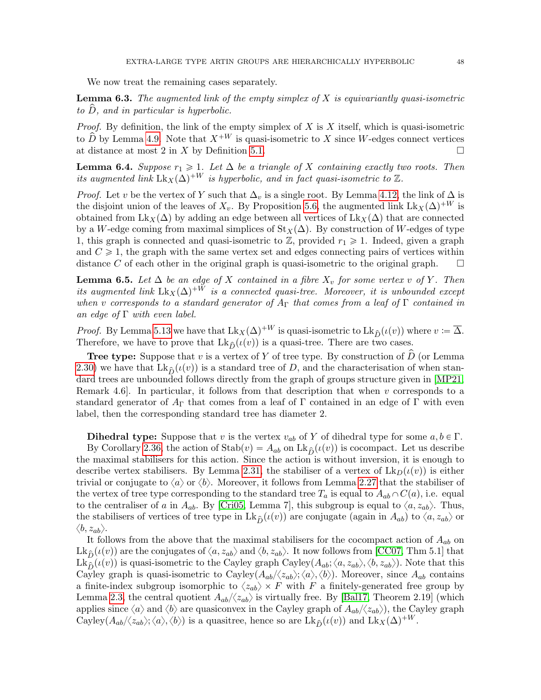We now treat the remaining cases separately.

<span id="page-47-1"></span>**Lemma 6.3.** The augmented link of the empty simplex of  $X$  is equivariantly quasi-isometric to  $D$ , and in particular is hyperbolic.

*Proof.* By definition, the link of the empty simplex of  $X$  is  $X$  itself, which is quasi-isometric to  $\hat{D}$  by Lemma [4.9.](#page-32-3) Note that  $X^{+W}$  is quasi-isometric to X since W-edges connect vertices at distance at most 2 in X by Definition [5.1.](#page-37-2)  $\Box$ 

<span id="page-47-0"></span>**Lemma 6.4.** Suppose  $r_1 \geq 1$ . Let  $\Delta$  be a triangle of X containing exactly two roots. Then its augmented link  $Lk_X(\Delta)^{+W}$  is hyperbolic, and in fact quasi-isometric to Z.

*Proof.* Let v be the vertex of Y such that  $\Delta_v$  is a single root. By Lemma [4.12,](#page-32-2) the link of  $\Delta$  is the disjoint union of the leaves of  $X_v$ . By Proposition [5.6,](#page-41-1) the augmented link Lk<sub>X</sub>( $\Delta$ )<sup>+W</sup> is obtained from Lk<sub>X</sub> $(\Delta)$  by adding an edge between all vertices of Lk<sub>X</sub> $(\Delta)$  that are connected by a W-edge coming from maximal simplices of  $St<sub>X</sub>(\Delta)$ . By construction of W-edges of type 1, this graph is connected and quasi-isometric to  $\mathbb{Z}$ , provided  $r_1 \geq 1$ . Indeed, given a graph and  $C \geq 1$ , the graph with the same vertex set and edges connecting pairs of vertices within distance C of each other in the original graph is quasi-isometric to the original graph.  $\square$ 

<span id="page-47-2"></span>**Lemma 6.5.** Let  $\Delta$  be an edge of X contained in a fibre  $X_v$  for some vertex v of Y. Then its augmented link  $Lk_X(\Delta)^{+W}$  is a connected quasi-tree. Moreover, it is unbounded except when v corresponds to a standard generator of  $A_{\Gamma}$  that comes from a leaf of  $\Gamma$  contained in an edge of  $\Gamma$  with even label.

*Proof.* By Lemma [5.13](#page-43-0) we have that  $Lk_X(\Delta)^{+W}$  is quasi-isometric to  $Lk_{\hat{D}}(\iota(v))$  where  $v := \overline{\Delta}$ . Therefore, we have to prove that  $Lk_{\hat{D}}(\iota(v))$  is a quasi-tree. There are two cases.

**Tree type:** Suppose that v is a vertex of Y of tree type. By construction of  $\hat{D}$  (or Lemma [2.30\)](#page-14-2) we have that  $Lk_{\hat{D}}(\iota(v))$  is a standard tree of D, and the characterisation of when standard trees are unbounded follows directly from the graph of groups structure given in [\[MP21,](#page-61-6) Remark 4.6. In particular, it follows from that description that when  $v$  corresponds to a standard generator of  $A_{\Gamma}$  that comes from a leaf of  $\Gamma$  contained in an edge of  $\Gamma$  with even label, then the corresponding standard tree has diameter 2.

**Dihedral type:** Suppose that v is the vertex  $v_{ab}$  of Y of dihedral type for some  $a, b \in \Gamma$ .

By Corollary [2.36,](#page-15-3) the action of  $\text{Stab}(v) = A_{ab}$  on  $\text{Lk}_{\hat{D}}(\iota(v))$  is cocompact. Let us describe the maximal stabilisers for this action. Since the action is without inversion, it is enough to describe vertex stabilisers. By Lemma [2.31,](#page-14-1) the stabiliser of a vertex of  $\text{Lk}_D(\iota(v))$  is either trivial or conjugate to  $\langle a \rangle$  or  $\langle b \rangle$ . Moreover, it follows from Lemma [2.27](#page-13-1) that the stabiliser of the vertex of tree type corresponding to the standard tree  $T_a$  is equal to  $A_{ab} \cap C(a)$ , i.e. equal to the centraliser of a in  $A_{ab}$ . By [\[Cri05,](#page-60-17) Lemma 7], this subgroup is equal to  $\langle a, z_{ab} \rangle$ . Thus, the stabilisers of vertices of tree type in Lk<sub>p</sub> $(\iota(v))$  are conjugate (again in  $A_{ab}$ ) to  $\langle a, z_{ab} \rangle$  or  $\langle b, z_{ab} \rangle$ .

It follows from the above that the maximal stabilisers for the cocompact action of  $A_{ab}$  on  $Lk_{\hat{D}}(\iota(v))$  are the conjugates of  $\langle a, z_{ab}\rangle$  and  $\langle b, z_{ab}\rangle$ . It now follows from [\[CC07,](#page-60-22) Thm 5.1] that  $Lk_{\hat{D}}(\iota(v))$  is quasi-isometric to the Cayley graph Cayley $(A_{ab}; \langle a, z_{ab}\rangle, \langle b, z_{ab}\rangle)$ . Note that this Cayley graph is quasi-isometric to Cayley $(A_{ab}/\langle z_{ab}\rangle;\langle a\rangle,\langle b\rangle)$ . Moreover, since  $A_{ab}$  contains a finite-index subgroup isomorphic to  $\langle z_{ab} \rangle \times F$  with F a finitely-generated free group by Lemma [2.3,](#page-7-1) the central quotient  $A_{ab}/\langle z_{ab}\rangle$  is virtually free. By [\[Bal17,](#page-59-5) Theorem 2.19] (which applies since  $\langle a \rangle$  and  $\langle b \rangle$  are quasiconvex in the Cayley graph of  $A_{ab}/\langle z_{ab} \rangle$ , the Cayley graph Cayley $(A_{ab}\langle z_{ab}\rangle;\langle a\rangle,\langle b\rangle)$  is a quasitree, hence so are  $\mathrm{Lk}_{\hat{D}}(\iota(v))$  and  $\mathrm{Lk}_X(\Delta)^{+W}$ .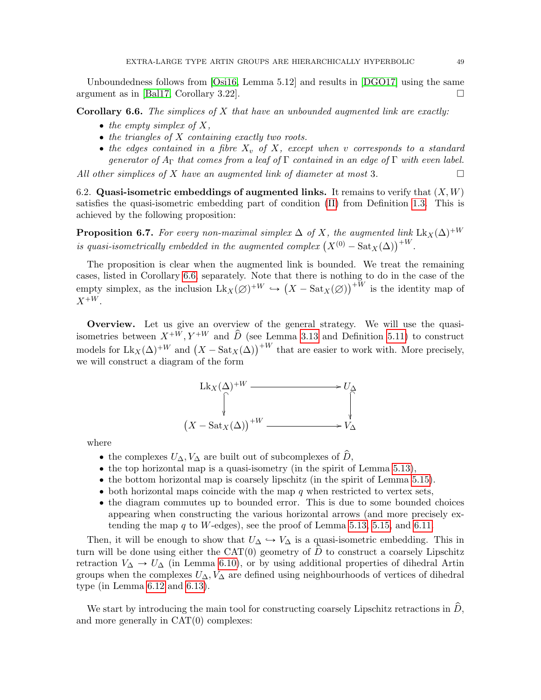Unboundedness follows from [\[Osi16,](#page-61-0) Lemma 5.12] and results in [\[DGO17\]](#page-60-21) using the same argument as in [\[Bal17,](#page-59-5) Corollary 3.22].

<span id="page-48-1"></span>**Corollary 6.6.** The simplices of  $X$  that have an unbounded augmented link are exactly:

- $\bullet$  the empty simplex of X,
- $\bullet$  the triangles of X containing exactly two roots.
- the edges contained in a fibre  $X_v$  of X, except when v corresponds to a standard generator of  $A_{\Gamma}$  that comes from a leaf of  $\Gamma$  contained in an edge of  $\Gamma$  with even label.

All other simplices of X have an augmented link of diameter at most 3.

<span id="page-48-0"></span>6.2. Quasi-isometric embeddings of augmented links. It remains to verify that  $(X, W)$ satisfies the quasi-isometric embedding part of condition [\(II\)](#page-5-5) from Definition [1.3.](#page-5-2) This is achieved by the following proposition:

<span id="page-48-2"></span>**Proposition 6.7.** For every non-maximal simplex  $\Delta$  of X, the augmented link  $Lk_X(\Delta)^{+W}$  is quasi-isometrically embedded in the augmented complex  $(X^{(0)} - Sat_X(\Delta))^{+W}$ .

The proposition is clear when the augmented link is bounded. We treat the remaining cases, listed in Corollary [6.6,](#page-48-1) separately. Note that there is nothing to do in the case of the empty simplex, as the inclusion  $Lk_X(\emptyset)^{+W} \hookrightarrow$ at there is nothing to do in the case of the  $(X - \text{Sat}_X(\emptyset))^{+W}$  is the identity map of  $X^{+W}$ .

Overview. Let us give an overview of the general strategy. We will use the quasiisometries between  $X^{+W}$ ,  $Y^{+W}$  and  $\hat{D}$  (see Lemma [3.13](#page-20-1) and Definition [5.11\)](#page-42-3) to construct isometries between  $X^{(W)}, Y^{(W)}$  and  $D$  (see Lemma 3.13 and Definition 5.11) to construct models for  $Lk_X(\Delta)^{+W}$  and  $(X - \text{Sat}_X(\Delta))^{+W}$  that are easier to work with. More precisely, we will construct a diagram of the form



where

- the complexes  $U_{\Delta}$ ,  $V_{\Delta}$  are built out of subcomplexes of  $\hat{D}$ ,
- $\bullet$  the top horizontal map is a quasi-isometry (in the spirit of Lemma [5.13\)](#page-43-0),
- ' the bottom horizontal map is coarsely lipschitz (in the spirit of Lemma [5.15\)](#page-44-0).
- $\bullet$  both horizontal maps coincide with the map q when restricted to vertex sets,
- ' the diagram commutes up to bounded error. This is due to some bounded choices appearing when constructing the various horizontal arrows (and more precisely ex-tending the map q to W-edges), see the proof of Lemma [5.13,](#page-43-0) [5.15,](#page-44-0) and [6.11.](#page-50-0)

Then, it will be enough to show that  $U_{\Delta} \hookrightarrow V_{\Delta}$  is a quasi-isometric embedding. This in turn will be done using either the  $CAT(0)$  geometry of D to construct a coarsely Lipschitz retraction  $V_{\Delta} \rightarrow U_{\Delta}$  (in Lemma [6.10\)](#page-49-0), or by using additional properties of dihedral Artin groups when the complexes  $U_{\Delta}$ ,  $V_{\Delta}$  are defined using neighbourhoods of vertices of dihedral type (in Lemma [6.12](#page-52-0) and [6.13\)](#page-53-0).

We start by introducing the main tool for constructing coarsely Lipschitz retractions in  $D$ , and more generally in CAT(0) complexes: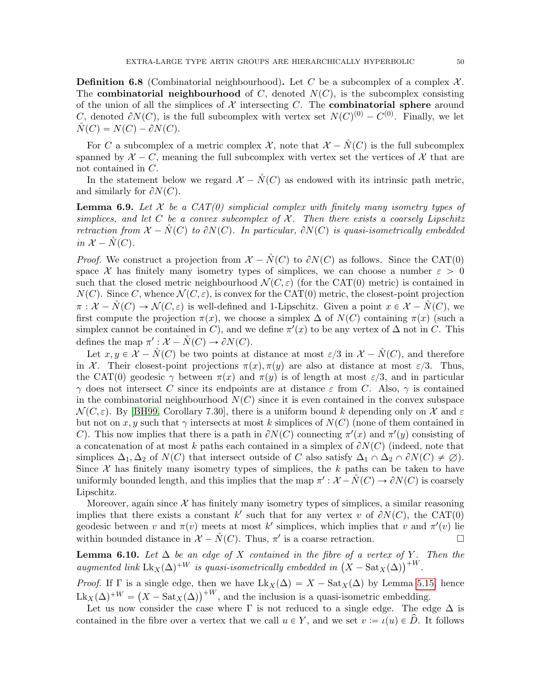**Definition 6.8** (Combinatorial neighbourhood). Let C be a subcomplex of a complex  $\mathcal{X}$ . The **combinatorial neighbourhood** of C, denoted  $N(C)$ , is the subcomplex consisting of the union of all the simplices of  $\mathcal X$  intersecting C. The **combinatorial sphere** around C, denoted  $\partial N(C)$ , is the full subcomplex with vertex set  $N(C)^{(0)} - C^{(0)}$ . Finally, we let  $\tilde{N}(C) = N(C) - \partial N(C).$ 

For C a subcomplex of a metric complex X, note that  $\mathcal{X} - N(C)$  is the full subcomplex spanned by  $\mathcal{X} - C$ , meaning the full subcomplex with vertex set the vertices of  $\mathcal{X}$  that are not contained in C.

In the statement below we regard  $\mathcal{X} - N(C)$  as endowed with its intrinsic path metric, and similarly for  $\partial N(C)$ .

<span id="page-49-1"></span>**Lemma 6.9.** Let  $X$  be a  $CAT(0)$  simplicial complex with finitely many isometry types of simplices, and let C be a convex subcomplex of  $\mathcal{X}$ . Then there exists a coarsely Lipschitz retraction from  $\mathcal{X} - N(C)$  to  $\partial N(C)$ . In particular,  $\partial N(C)$  is quasi-isometrically embedded in  $\mathcal{X} - N(C)$ .

*Proof.* We construct a projection from  $\mathcal{X} - \mathcal{N}(C)$  to  $\partial N(C)$  as follows. Since the CAT(0) space X has finitely many isometry types of simplices, we can choose a number  $\varepsilon > 0$ such that the closed metric neighbourhood  $\mathcal{N}(C, \varepsilon)$  (for the CAT(0) metric) is contained in  $N(C)$ . Since C, whence  $\mathcal{N}(C, \varepsilon)$ , is convex for the CAT(0) metric, the closest-point projection  $\pi : \mathcal{X} - \mathring{N}(C) \to \mathcal{N}(C, \varepsilon)$  is well-defined and 1-Lipschitz. Given a point  $x \in \mathcal{X} - \mathring{N}(C)$ , we first compute the projection  $\pi(x)$ , we choose a simplex  $\Delta$  of  $N(C)$  containing  $\pi(x)$  (such a simplex cannot be contained in C), and we define  $\pi'(x)$  to be any vertex of  $\Delta$  not in C. This defines the map  $\pi': \mathcal{X} - \overset{\circ}{N}(C) \to \partial N(C)$ .

Let  $x, y \in \mathcal{X} - \tilde{N}(C)$  be two points at distance at most  $\varepsilon/3$  in  $\mathcal{X} - \tilde{N}(C)$ , and therefore in X. Their closest-point projections  $\pi(x)$ ,  $\pi(y)$  are also at distance at most  $\varepsilon/3$ . Thus, the CAT(0) geodesic  $\gamma$  between  $\pi(x)$  and  $\pi(y)$  is of length at most  $\varepsilon/3$ , and in particular  $\gamma$  does not intersect C since its endpoints are at distance  $\varepsilon$  from C. Also,  $\gamma$  is contained in the combinatorial neighbourhood  $N(C)$  since it is even contained in the convex subspace  $\mathcal{N}(C, \varepsilon)$ . By [\[BH99,](#page-60-23) Corollary 7.30], there is a uniform bound k depending only on X and  $\varepsilon$ but not on x, y such that  $\gamma$  intersects at most k simplices of  $N(C)$  (none of them contained in C). This now implies that there is a path in  $\partial N(C)$  connecting  $\pi'(x)$  and  $\pi'(y)$  consisting of a concatenation of at most k paths each contained in a simplex of  $\partial N(C)$  (indeed, note that simplices  $\Delta_1, \Delta_2$  of  $N(C)$  that intersect outside of C also satisfy  $\Delta_1 \cap \Delta_2 \cap \partial N(C) \neq \emptyset$ . Since  $\mathcal X$  has finitely many isometry types of simplices, the k paths can be taken to have uniformly bounded length, and this implies that the map  $\pi': \mathcal{X} - \mathring{N}(C) \to \partial N(C)$  is coarsely Lipschitz.

Moreover, again since  $\mathcal X$  has finitely many isometry types of simplices, a similar reasoning implies that there exists a constant k' such that for any vertex v of  $\partial N(C)$ , the CAT(0) geodesic between v and  $\pi(v)$  meets at most k' simplices, which implies that v and  $\pi'(v)$  lie within bounded distance in  $\mathcal{X} - \mathring{N}(C)$ . Thus,  $\pi'$  is a coarse retraction.

<span id="page-49-0"></span>**Lemma 6.10.** Let  $\Delta$  be an edge of X contained in the fibre of a vertex of Y. Then the **Lemma 6.10.** Let  $\Delta$  be an edge of X contained in the fibre of a vertex of Y.<br>augmented link  $\text{Lk}_X(\Delta)^{+W}$  is quasi-isometrically embedded in  $(X - \text{Sat}_X(\Delta))^{+W}$ .

*Proof.* If  $\Gamma$  is a single edge, then we have  $Lk_X(\Delta) = X - \text{Sat}_X(\Delta)$  by Lemma [5.15,](#page-44-0) hence *Proof.* If I is a single edge, then we have  $LK_X(\Delta) = \Lambda - \text{sat}_X(\Delta)$  by Lemma 5.13<br> $Lk_X(\Delta)^{+W} = (X - \text{Sat}_X(\Delta))^{+W}$ , and the inclusion is a quasi-isometric embedding.

Let us now consider the case where  $\Gamma$  is not reduced to a single edge. The edge  $\Delta$  is contained in the fibre over a vertex that we call  $u \in Y$ , and we set  $v := \iota(u) \in \hat{D}$ . It follows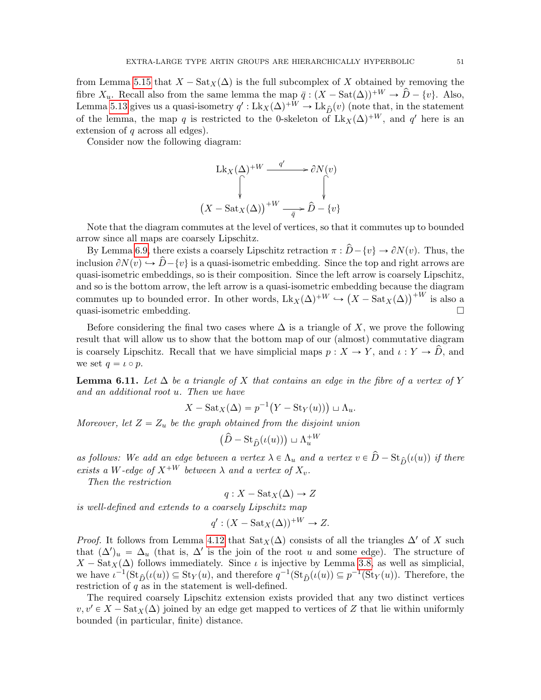from Lemma [5.15](#page-44-0) that  $X - \text{Sat}_X(\Delta)$  is the full subcomplex of X obtained by removing the fibre  $X_u$ . Recall also from the same lemma the map  $\bar{q} : (X - \text{Sat}(\Delta))^{+W} \to \hat{D} - \{v\}$ . Also, Lemma [5.13](#page-43-0) gives us a quasi-isometry  $q': Lk_X(\Delta)^{+W} \to Lk_{\hat{D}}(v)$  (note that, in the statement of the lemma, the map q is restricted to the 0-skeleton of  $Lk_X(\Delta)^{+W}$ , and q' here is an extension of  $q$  across all edges).

Consider now the following diagram:

$$
\operatorname{Lk}_X(\Delta)^{+W} \xrightarrow{q'} \partial N(v)
$$

$$
\left(\bigvee_{X \text{ - Sat}_X(\Delta)\right)^{+W} \xrightarrow{\bar{q}} \hat{D} - \{v\}}
$$

Note that the diagram commutes at the level of vertices, so that it commutes up to bounded arrow since all maps are coarsely Lipschitz.

By Lemma [6.9,](#page-49-1) there exists a coarsely Lipschitz retraction  $\pi : \hat{D} - \{v\} \to \partial N(v)$ . Thus, the inclusion  $\partial N(v) \hookrightarrow \hat{D} - \{v\}$  is a quasi-isometric embedding. Since the top and right arrows are quasi-isometric embeddings, so is their composition. Since the left arrow is coarsely Lipschitz, and so is the bottom arrow, the left arrow is a quasi-isometric embedding because the diagram and so is the bottom arrow, the left arrow is a quasi-isometric embedding because the diagram<br>commutes up to bounded error. In other words,  $Lk_X(\Delta)^{+W} \hookrightarrow (X - \text{Sat}_X(\Delta))^{+W}$  is also a quasi-isometric embedding.

Before considering the final two cases where  $\Delta$  is a triangle of X, we prove the following result that will allow us to show that the bottom map of our (almost) commutative diagram is coarsely Lipschitz. Recall that we have simplicial maps  $p : X \to Y$ , and  $\iota : Y \to \widehat{D}$ , and we set  $q = \iota \circ p$ .

<span id="page-50-0"></span>**Lemma 6.11.** Let  $\Delta$  be a triangle of X that contains an edge in the fibre of a vertex of Y and an additional root u. Then we have

$$
X - \text{Sat}_X(\Delta) = p^{-1}(Y - \text{St}_Y(u)) \sqcup \Lambda_u.
$$

Moreover, let  $Z = Z_u$  be the graph obtained from the disjoint union

$$
(\hat{D} - \text{St}_{\hat{D}}(\iota(u))) \sqcup \Lambda_u^{+W}
$$

as follows: We add an edge between a vertex  $\lambda \in \Lambda_u$  and a vertex  $v \in \hat{D} - \text{St}_{\hat{D}}(\iota(u))$  if there exists a W-edge of  $X^{+W}$  between  $\lambda$  and a vertex of  $X_v$ .

Then the restriction

$$
q: X - \text{Sat}_X(\Delta) \to Z
$$

is well-defined and extends to a coarsely Lipschitz map

$$
q': (X - \text{Sat}_X(\Delta))^{+W} \to Z.
$$

*Proof.* It follows from Lemma [4.12](#page-32-2) that  $\text{Sat}_X(\Delta)$  consists of all the triangles  $\Delta'$  of X such that  $(\Delta')_u = \Delta_u$  (that is,  $\Delta'$  is the join of the root u and some edge). The structure of  $X - \text{Sat}_X(\Delta)$  follows immediately. Since *ι* is injective by Lemma [3.8,](#page-18-0) as well as simplicial, we have  $\iota^{-1}(\operatorname{St}_{\hat{D}}(\iota(u)) \subseteq \operatorname{St}_Y(u)$ , and therefore  $q^{-1}(\operatorname{St}_{\hat{D}}(\iota(u)) \subseteq p^{-1}(\operatorname{St}_Y(u))$ . Therefore, the restriction of  $q$  as in the statement is well-defined.

The required coarsely Lipschitz extension exists provided that any two distinct vertices  $v, v' \in X - \text{Sat}_X(\Delta)$  joined by an edge get mapped to vertices of Z that lie within uniformly bounded (in particular, finite) distance.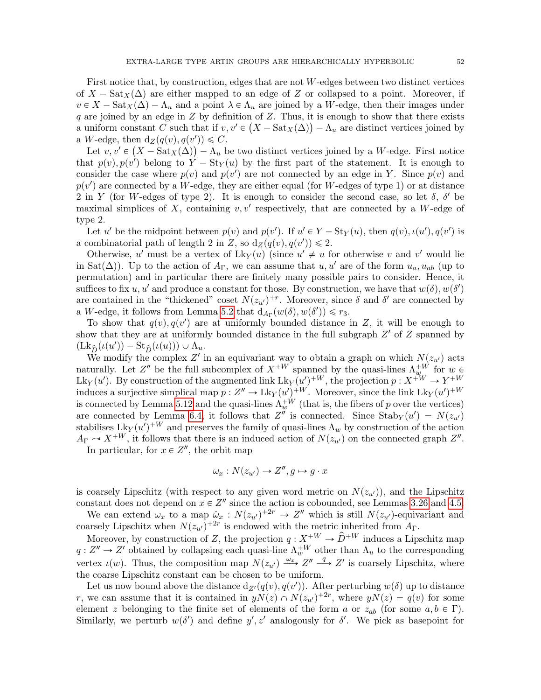First notice that, by construction, edges that are not  $W$ -edges between two distinct vertices of  $X - \text{Sat}_X(\Delta)$  are either mapped to an edge of Z or collapsed to a point. Moreover, if  $v \in X - \text{Sat}_X(\Delta) - \Lambda_u$  and a point  $\lambda \in \Lambda_u$  are joined by a W-edge, then their images under q are joined by an edge in  $Z$  by definition of  $Z$ . Thus, it is enough to show that there exists a uniform constant C such that if  $v, v' \in (X - \text{Sat}_X(\Delta)) - \Lambda_u$  are distinct vertices joined by a W-edge, then  $d_Z(q(v), q(v')) \leq C$ .

Let  $v, v' \in (X - \text{Sat}_X(\Delta)) - \Lambda_u$  be two distinct vertices joined by a W-edge. First notice that  $p(v), p(v')$  belong to  $Y - St_Y(u)$  by the first part of the statement. It is enough to consider the case where  $p(v)$  and  $p(v')$  are not connected by an edge in Y. Since  $p(v)$  and  $p(v')$  are connected by a W-edge, they are either equal (for W-edges of type 1) or at distance 2 in Y (for W-edges of type 2). It is enough to consider the second case, so let  $\delta$ ,  $\delta'$  be maximal simplices of X, containing  $v, v'$  respectively, that are connected by a W-edge of type 2.

Let u' be the midpoint between  $p(v)$  and  $p(v')$ . If  $u' \in Y - \text{St}_Y(u)$ , then  $q(v)$ ,  $\iota(u')$ ,  $q(v')$  is a combinatorial path of length 2 in Z, so  $d_Z(q(v), q(v')) \leq 2$ .

Otherwise, u' must be a vertex of  $Lk_Y(u)$  (since  $u' \neq u$  for otherwise v and v' would lie in Sat $(\Delta)$ ). Up to the action of  $A_{\Gamma}$ , we can assume that  $u, u'$  are of the form  $u_a, u_{ab}$  (up to permutation) and in particular there are finitely many possible pairs to consider. Hence, it suffices to fix  $u, u'$  and produce a constant for those. By construction, we have that  $w(\delta), w(\delta')$ are contained in the "thickened" coset  $N(z_{u'})^{+r}$ . Moreover, since  $\delta$  and  $\delta'$  are connected by a W-edge, it follows from Lemma [5.2](#page-38-0) that  $d_{A_{\Gamma}}(w(\delta), w(\delta')) \leq r_3$ .

To show that  $q(v)$ ,  $q(v')$  are at uniformly bounded distance in Z, it will be enough to show that they are at uniformly bounded distance in the full subgraph  $Z'$  of  $Z$  spanned by  $(\mathrm{Lk}_{\widehat{D}}(\iota(u')) - \mathrm{St}_{\widehat{D}}(\iota(u))) \cup \Lambda_u.$ 

We modify the complex Z' in an equivariant way to obtain a graph on which  $N(z_{u'})$  acts naturally. Let  $Z''$  be the full subcomplex of  $X^{+W}$  spanned by the quasi-lines  $\Lambda_{w}^{+W}$  for  $w \in$ Lk<sub>Y</sub>(u'). By construction of the augmented link Lk<sub>Y</sub>(u')<sup>+W</sup>, the projection  $p: X^{+W} \to Y^{+W}$ induces a surjective simplical map  $p: Z'' \to Lk_Y(u')^{+W}$ . Moreover, since the link  $Lk_Y(u')^{+W}$ is connected by Lemma [5.12](#page-42-2) and the quasi-lines  $\Lambda_w^{+W}$  (that is, the fibers of p over the vertices) are connected by Lemma [6.4,](#page-47-0) it follows that  $Z''$  is connected. Since  $\text{Stab}_Y(u') = N(z_{u'})$ stabilises  $Lk_Y(u')^{+W}$  and preserves the family of quasi-lines  $\Lambda_w$  by construction of the action  $A_{\Gamma} \sim X^{+W}$ , it follows that there is an induced action of  $N(z_{u'})$  on the connected graph  $Z''$ .

In particular, for  $x \in Z''$ , the orbit map

$$
\omega_x: N(z_{u'}) \to Z'', g \mapsto g \cdot x
$$

is coarsely Lipschitz (with respect to any given word metric on  $N(z_{u'})$ ), and the Lipschitz constant does not depend on  $x \in \mathbb{Z}^n$  since the action is cobounded, see Lemmas [3.26](#page-26-3) and [4.5.](#page-30-1)

We can extend  $\omega_x$  to a map  $\hat{\omega}_x : N(z_{u'})^{+2r} \to Z''$  which is still  $N(z_{u'})$ -equivariant and coarsely Lipschitz when  $N(z_{u'})^{+2r}$  is endowed with the metric inherited from  $A_{\Gamma}$ .

Moreover, by construction of Z, the projection  $q: X^{+W} \to \hat{D}^{+W}$  induces a Lipschitz map  $q: Z'' \to Z'$  obtained by collapsing each quasi-line  $\Lambda_w^{+W}$  other than  $\Lambda_u$  to the corresponding vertex  $\iota(w)$ . Thus, the composition map  $N(z_{u'}) \xrightarrow{\omega_x} Z'' \xrightarrow{q} Z'$  is coarsely Lipschitz, where the coarse Lipschitz constant can be chosen to be uniform.

Let us now bound above the distance  $d_{Z}(q(v), q(v'))$ . After perturbing  $w(\delta)$  up to distance r, we can assume that it is contained in  $yN(z) \cap N(z_{u'})^{+2r}$ , where  $yN(z) = q(v)$  for some element z belonging to the finite set of elements of the form a or  $z_{ab}$  (for some  $a, b \in \Gamma$ ). Similarly, we perturb  $w(\delta')$  and define  $y', z'$  analogously for  $\delta'$ . We pick as basepoint for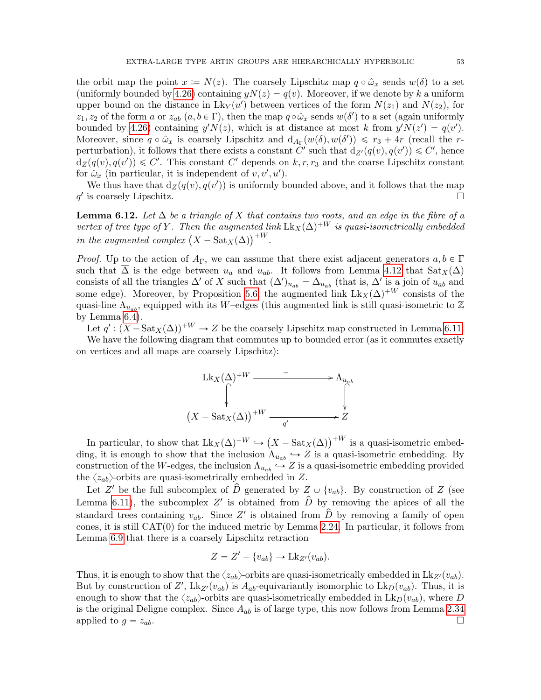the orbit map the point  $x := N(z)$ . The coarsely Lipschitz map  $q \circ \hat{\omega}_x$  sends  $w(\delta)$  to a set (uniformly bounded by [4.26\)](#page-37-5) containing  $yN(z) = q(v)$ . Moreover, if we denote by k a uniform upper bound on the distance in  $Lk_Y(u')$  between vertices of the form  $N(z_1)$  and  $N(z_2)$ , for  $z_1, z_2$  of the form a or  $z_{ab}$   $(a, b \in \Gamma)$ , then the map  $q \circ \hat{\omega}_x$  sends  $w(\delta')$  to a set (again uniformly bounded by [4.26\)](#page-37-5) containing  $y'N(z)$ , which is at distance at most k from  $y'N(z') = q(v')$ . Moreover, since  $q \circ \hat{\omega}_x$  is coarsely Lipschitz and  $d_{A_{\Gamma}}(w(\delta), w(\delta')) \leq r_3 + 4r$  (recall the rperturbation), it follows that there exists a constant C' such that  $d_{Z}(q(v), q(v')) \leq C'$ , hence  $d_Z(q(v), q(v')) \leq C'$ . This constant C' depends on k, r, r<sub>3</sub> and the coarse Lipschitz constant for  $\hat{\omega}_x$  (in particular, it is independent of  $v, v', u'$ ).

We thus have that  $d_Z(q(v), q(v'))$  is uniformly bounded above, and it follows that the map  $q'$  is coarsely Lipschitz.

<span id="page-52-0"></span>**Lemma 6.12.** Let  $\Delta$  be a triangle of X that contains two roots, and an edge in the fibre of a vertex of tree type of Y. Then the augmented link  $Lk_X(\Delta)^{+W}$  is quasi-isometrically embedded vertex of tree type of Y . Then the augmented in the augmented complex  $\left(X-\text{Sat}_X(\Delta)\right)^{+W}$ .

*Proof.* Up to the action of  $A_{\Gamma}$ , we can assume that there exist adjacent generators  $a, b \in \Gamma$ such that  $\Delta$  is the edge between  $u_a$  and  $u_{ab}$ . It follows from Lemma [4.12](#page-32-2) that  $\text{Sat}_X(\Delta)$ consists of all the triangles  $\Delta'$  of X such that  $(\Delta')_{u_{ab}} = \Delta_{u_{ab}}$  (that is,  $\Delta'$  is a join of  $u_{ab}$  and some edge). Moreover, by Proposition [5.6,](#page-41-1) the augmented link  $Lk_X(\Delta)^{+W}$  consists of the quasi-line  $\Lambda_{u_{ab}}$ , equipped with its W–edges (this augmented link is still quasi-isometric to Z by Lemma [6.4\)](#page-47-0).

Let  $q' : (X - \text{Sat}_X(\Delta))^{+W} \to Z$  be the coarsely Lipschitz map constructed in Lemma [6.11.](#page-50-0)

We have the following diagram that commutes up to bounded error (as it commutes exactly on vertices and all maps are coarsely Lipschitz):



In particular, to show that  $Lk_X(\Delta)^{+W} \hookrightarrow$  $X - \text{Sat}_X(\Delta)\big)^{+W}$  is a quasi-isometric embedding, it is enough to show that the inclusion  $\Lambda_{u_{ab}} \hookrightarrow Z$  is a quasi-isometric embedding. By construction of the W-edges, the inclusion  $\Lambda_{u_{ab}} \hookrightarrow Z$  is a quasi-isometric embedding provided the  $\langle z_{ab}\rangle$ -orbits are quasi-isometrically embedded in Z.

Let Z' be the full subcomplex of  $\hat{D}$  generated by  $Z \cup \{v_{ab}\}$ . By construction of Z (see Lemma [6.11\)](#page-50-0), the subcomplex Z' is obtained from  $\hat{D}$  by removing the apices of all the standard trees containing  $v_{ab}$ . Since Z' is obtained from  $\hat{\hat{D}}$  by removing a family of open cones, it is still  $CAT(0)$  for the induced metric by Lemma [2.24.](#page-12-2) In particular, it follows from Lemma [6.9](#page-49-1) that there is a coarsely Lipschitz retraction

$$
Z = Z' - \{v_{ab}\} \to \mathrm{Lk}_{Z'}(v_{ab}).
$$

Thus, it is enough to show that the  $\langle z_{ab}\rangle$ -orbits are quasi-isometrically embedded in Lk<sub>Z'</sub> $(v_{ab})$ . But by construction of Z',  $Lk_{Z}(v_{ab})$  is  $A_{ab}$ -equivariantly isomorphic to  $Lk_D(v_{ab})$ . Thus, it is enough to show that the  $\langle z_{ab}\rangle$ -orbits are quasi-isometrically embedded in  $Lk_D(v_{ab})$ , where D is the original Deligne complex. Since  $A_{ab}$  is of large type, this now follows from Lemma [2.34](#page-15-5) applied to  $g = z_{ab}$ .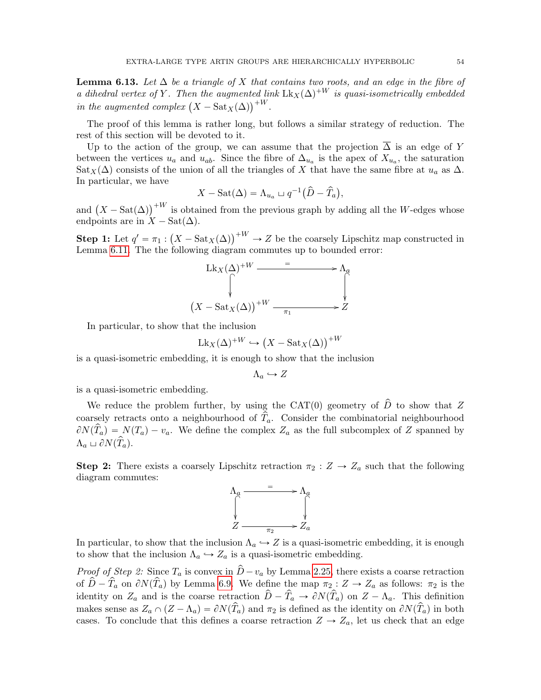<span id="page-53-0"></span>**Lemma 6.13.** Let  $\Delta$  be a triangle of X that contains two roots, and an edge in the fibre of a dihedral vertex of Y. Then the augmented link  $Lk_X(\Delta)^{+W}$  is quasi-isometrically embedded  $a$  annearal vertex of  $Y$ . Then the augmented in  $\text{in the augmented complex } (X - \text{Sat}_X(\Delta)) +^W$ .

The proof of this lemma is rather long, but follows a similar strategy of reduction. The rest of this section will be devoted to it.

Up to the action of the group, we can assume that the projection  $\overline{\Delta}$  is an edge of Y between the vertices  $u_a$  and  $u_{ab}$ . Since the fibre of  $\Delta_{u_a}$  is the apex of  $X_{u_a}$ , the saturation Sat<sub>X</sub>( $\Delta$ ) consists of the union of all the triangles of X that have the same fibre at  $u_a$  as  $\Delta$ . In particular, we have

$$
X - \text{Sat}(\Delta) = \Lambda_{u_a} \sqcup q^{-1}(\widehat{D} - \widehat{T}_a),
$$

and  $(X - \text{Sat}(\Delta))^{+W}$  is obtained from the previous graph by adding all the W-edges whose endpoints are in  $X - \text{Sat}(\Delta)$ . `

**Step 1:** Let  $q' = \pi_1$  :  $X - \text{Sat}_X(\Delta)\right)^{+W} \to Z$  be the coarsely Lipschitz map constructed in Lemma [6.11.](#page-50-0) The the following diagram commutes up to bounded error:

$$
\operatorname{Lk}_X(\Delta)^{+W} \xrightarrow{=} \Lambda_a
$$
\n
$$
\begin{array}{c}\n\uparrow \\
\downarrow \\
\downarrow \\
\downarrow \\
\left(X - \operatorname{Sat}_X(\Delta)\right)^{+W} \xrightarrow{\pi_1} \longrightarrow Z\n\end{array}
$$

In particular, to show that the inclusion

$$
Lk_X(\Delta)^{+W} \hookrightarrow (X - \text{Sat}_X(\Delta))^{+W}
$$

is a quasi-isometric embedding, it is enough to show that the inclusion

$$
\Lambda_a \hookrightarrow Z
$$

is a quasi-isometric embedding.

We reduce the problem further, by using the CAT(0) geometry of  $\hat{D}$  to show that Z coarsely retracts onto a neighbourhood of  $T_a$ . Consider the combinatorial neighbourhood  $\partial N(\hat{T}_a) = N(T_a) - v_a$ . We define the complex  $Z_a$  as the full subcomplex of Z spanned by  $\Lambda_a \sqcup \partial N(\widehat{T}_a).$ 

**Step 2:** There exists a coarsely Lipschitz retraction  $\pi_2 : Z \to Z_a$  such that the following diagram commutes:



In particular, to show that the inclusion  $\Lambda_a \hookrightarrow Z$  is a quasi-isometric embedding, it is enough to show that the inclusion  $\Lambda_a \hookrightarrow Z_a$  is a quasi-isometric embedding.

*Proof of Step 2:* Since  $T_a$  is convex in  $\hat{D}-v_a$  by Lemma [2.25,](#page-12-0) there exists a coarse retraction of  $\hat{D}-\hat{T}_a$  on  $\partial N(\hat{T}_a)$  by Lemma [6.9.](#page-49-1) We define the map  $\pi_2 : Z \to Z_a$  as follows:  $\pi_2$  is the identity on  $Z_a$  and is the coarse retraction  $\hat{D}-\hat{T}_a \to \partial N(\hat{T}_a)$  on  $Z-\Lambda_a$ . This definition makes sense as  $Z_a \cap (Z - \Lambda_a) = \partial N(\hat{T}_a)$  and  $\pi_2$  is defined as the identity on  $\partial N(\hat{T}_a)$  in both cases. To conclude that this defines a coarse retraction  $Z \to Z_a$ , let us check that an edge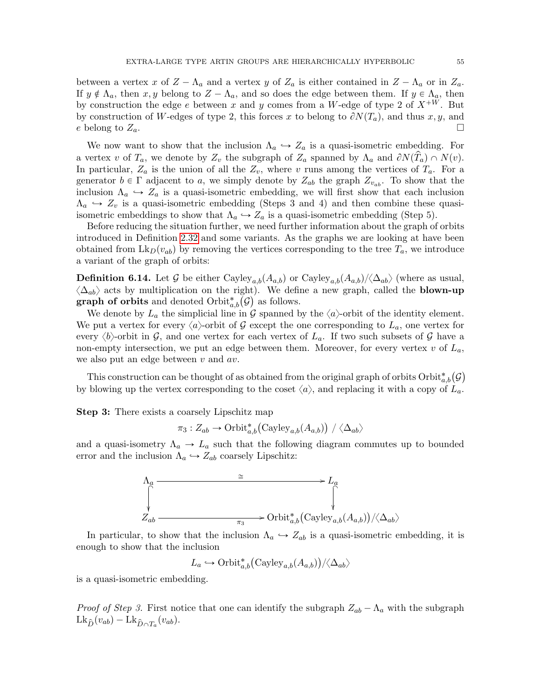between a vertex x of  $Z - \Lambda_a$  and a vertex y of  $Z_a$  is either contained in  $Z - \Lambda_a$  or in  $Z_a$ . If  $y \notin \Lambda_a$ , then  $x, y$  belong to  $Z - \Lambda_a$ , and so does the edge between them. If  $y \in \Lambda_a$ , then by construction the edge e between x and y comes from a W-edge of type 2 of  $X^{+\mathcal{W}}$ . But by construction of W-edges of type 2, this forces x to belong to  $\partial N(T_a)$ , and thus x, y, and e belong to  $Z_a$ .

We now want to show that the inclusion  $\Lambda_a \hookrightarrow Z_a$  is a quasi-isometric embedding. For a vertex v of  $T_a$ , we denote by  $Z_v$  the subgraph of  $Z_a$  spanned by  $\Lambda_a$  and  $\partial N(\hat{T}_a) \cap N(v)$ . In particular,  $Z_a$  is the union of all the  $Z_v$ , where v runs among the vertices of  $T_a$ . For a generator  $b \in \Gamma$  adjacent to a, we simply denote by  $Z_{ab}$  the graph  $Z_{v_{ab}}$ . To show that the inclusion  $\Lambda_a \hookrightarrow Z_a$  is a quasi-isometric embedding, we will first show that each inclusion  $\Lambda_a \hookrightarrow Z_v$  is a quasi-isometric embedding (Steps 3 and 4) and then combine these quasiisometric embeddings to show that  $\Lambda_a \hookrightarrow Z_a$  is a quasi-isometric embedding (Step 5).

Before reducing the situation further, we need further information about the graph of orbits introduced in Definition [2.32](#page-14-4) and some variants. As the graphs we are looking at have been obtained from  $\mathrm{Lk}_D(v_{ab})$  by removing the vertices corresponding to the tree  $T_a$ , we introduce a variant of the graph of orbits:

**Definition 6.14.** Let G be either Cayley<sub>a,b</sub> $(A_{a,b})$  or Cayley<sub>a,b</sub> $(A_{a,b})/\langle\Delta_{ab}\rangle$  (where as usual,  $\langle \Delta_{ab} \rangle$  acts by multiplication on the right). We define a new graph, called the **blown-up**  $\langle \Delta_{ab} \rangle$  acts by multiplication on the right). We defing a praph of orbits and denoted Orbit<sub> $\alpha,b$ </sub> $(\mathcal{G})$  as follows.

We denote by  $L_a$  the simplicial line in  $\mathcal G$  spanned by the  $\langle a \rangle$ -orbit of the identity element. We put a vertex for every  $\langle a \rangle$ -orbit of G except the one corresponding to  $L_a$ , one vertex for every  $\langle b \rangle$ -orbit in G, and one vertex for each vertex of  $L_a$ . If two such subsets of G have a non-empty intersection, we put an edge between them. Moreover, for every vertex  $v$  of  $L_a$ , we also put an edge between  $v$  and  $av$ .

This construction can be thought of as obtained from the original graph of orbits  $\mathrm{Orbit}^*_{a,b}(\mathcal{G})$ by blowing up the vertex corresponding to the coset  $\langle a \rangle$ , and replacing it with a copy of  $L_a$ .

**Step 3:** There exists a coarsely Lipschitz map<br>  $\pi_3: Z_{ab} \to \text{Orbit}^*_{a,b}(\text{Ca})$ 

$$
\pi_3: Z_{ab} \to \mathrm{Orbit}^*_{a,b}(\mathrm{Cayley}_{a,b}(A_{a,b})) / \langle \Delta_{ab} \rangle
$$

and a quasi-isometry  $\Lambda_a \to L_a$  such that the following diagram commutes up to bounded error and the inclusion  $\Lambda_a \hookrightarrow Z_{ab}$  coarsely Lipschitz:



In particular, to show that the inclusion  $\Lambda_a \hookrightarrow Z_{ab}$  is a quasi-isometric embedding, it is enough to show that the inclusion

 $L_a \hookrightarrow \mathrm{Orbit}^*_{a,b}(\mathrm{Cayley}_{a,b}(A_{a,b}))$  $/\langle\Delta_{ab}\rangle$ 

is a quasi-isometric embedding.

*Proof of Step 3.* First notice that one can identify the subgraph  $Z_{ab} - \Lambda_a$  with the subgraph  $Lk_{\hat{D}}(v_{ab}) - Lk_{\hat{D}\cap T_a}(v_{ab}).$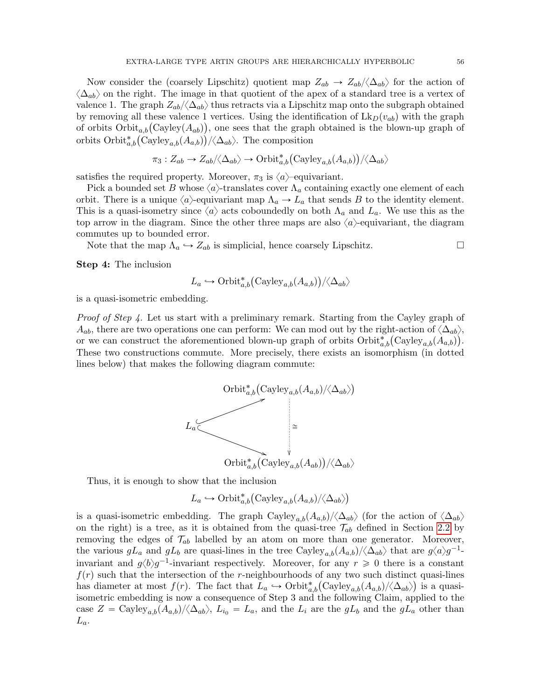Now consider the (coarsely Lipschitz) quotient map  $Z_{ab} \to Z_{ab}/\langle \Delta_{ab} \rangle$  for the action of  $\langle \Delta_{ab} \rangle$  on the right. The image in that quotient of the apex of a standard tree is a vertex of valence 1. The graph  $Z_{ab}/\langle\Delta_{ab}\rangle$  thus retracts via a Lipschitz map onto the subgraph obtained by removing all these valence 1 vertices. Using the identification of  $\mathrm{Lk}_D(v_{ab})$  with the graph by removing all these valence 1 vertices. Using the identification of  $Lk_D(v_{ab})$  with the graph of orbits  $Orbit_{a,b}(Cayley(A_{ab}))$ , one sees that the graph obtained is the blown-up graph of or orbits  $\text{Orbit}_{a,b}(\text{Cayley}(A_{ab}))$ , one sees that the graph orbits  $\text{Orbit}_{a,b}^*(\text{Cayley}_{a,b}(A_{a,b}))/\langle \Delta_{ab} \rangle$ . The composition

$$
\pi_3: Z_{ab} \to Z_{ab}/\langle \Delta_{ab} \rangle \to \text{Orbit}^*_{a,b}(\text{Cayley}_{a,b}(A_{a,b}))/\langle \Delta_{ab} \rangle
$$

satisfies the required property. Moreover,  $\pi_3$  is  $\langle a \rangle$ -equivariant.

Pick a bounded set B whose  $\langle a \rangle$ -translates cover  $\Lambda_a$  containing exactly one element of each orbit. There is a unique  $\langle a \rangle$ -equivariant map  $\Lambda_a \to L_a$  that sends B to the identity element. This is a quasi-isometry since  $\langle a \rangle$  acts coboundedly on both  $\Lambda_a$  and  $L_a$ . We use this as the top arrow in the diagram. Since the other three maps are also  $\langle a \rangle$ -equivariant, the diagram commutes up to bounded error.

Note that the map  $\Lambda_a \hookrightarrow Z_{ab}$  is simplicial, hence coarsely Lipschitz.

Step 4: The inclusion

$$
L_a \hookrightarrow \mathrm{Orbit}_{a,b}^* \big( \mathrm{Cayley}_{a,b}(A_{a,b}) \big) / \langle \Delta_{ab} \rangle
$$

is a quasi-isometric embedding.

Proof of Step 4. Let us start with a preliminary remark. Starting from the Cayley graph of  $A_{ab}$ , there are two operations one can perform: We can mod out by the right-action of  $\langle \Delta_{ab} \rangle$ ,  $A_{ab}$ , there are two operations one can perform: We can mod out by the right-action of  $\langle \Delta_{ab} \rangle$ , or we can construct the aforementioned blown-up graph of orbits  $\text{Orbit}^*_{a,b}(\text{Cayley}_{a,b}(A_{a,b}))$ . These two constructions commute. More precisely, there exists an isomorphism (in dotted lines below) that makes the following diagram commute:



Thus, it is enough to show that the inclusion

 $L_a \hookrightarrow \operatorname{Orbit}^*_{a,b}\bigl(\operatorname{Cayley}_{a,b}(A_{a,b})/\langle \Delta_{ab}\rangle \bigr)$ 

is a quasi-isometric embedding. The graph Cayley<sub>a,b</sub> $(A_{a,b})/\langle\Delta_{ab}\rangle$  (for the action of  $\langle\Delta_{ab}\rangle$ ) on the right) is a tree, as it is obtained from the quasi-tree  $\mathcal{T}_{ab}$  defined in Section [2.2](#page-7-0) by removing the edges of  $\mathcal{T}_{ab}$  labelled by an atom on more than one generator. Moreover, the various  $gL_a$  and  $gL_b$  are quasi-lines in the tree Cayley<sub>a,b</sub> $(A_{a,b})/\langle\Delta_{ab}\rangle$  that are  $g\langle a\rangle g^{-1}$ invariant and  $g\langle b\rangle g^{-1}$ -invariant respectively. Moreover, for any  $r \geq 0$  there is a constant  $f(r)$  such that the intersection of the r-neighbourhoods of any two such distinct quasi-lines  $f(r)$  such that the intersection of the r-neighbourhoods of any two such distinct quasi-lines<br>has diameter at most  $f(r)$ . The fact that  $L_a \hookrightarrow \text{Orbit}^*_{a,b}(\text{Cayley}_{a,b}(A_{a,b})/\langle \Delta_{ab}\rangle)$  is a quasiisometric embedding is now a consequence of Step 3 and the following Claim, applied to the case  $Z = \text{Cayley}_{a,b}(A_{a,b})/\langle \Delta_{ab} \rangle$ ,  $L_{i_0} = L_a$ , and the  $L_i$  are the  $gL_b$  and the  $gL_a$  other than  $L_a$ .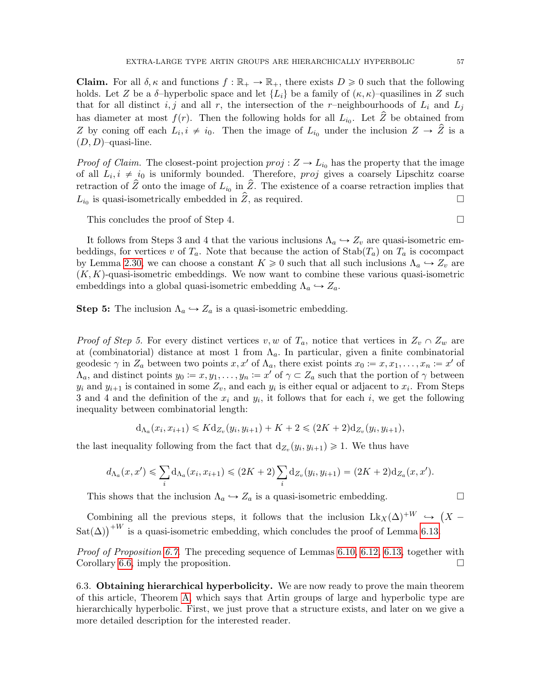**Claim.** For all  $\delta, \kappa$  and functions  $f : \mathbb{R}_+ \to \mathbb{R}_+$ , there exists  $D \geq 0$  such that the following holds. Let Z be a  $\delta$ -hyperbolic space and let  $\{L_i\}$  be a family of  $(\kappa, \kappa)$ -quasilines in Z such that for all distinct i, j and all r, the intersection of the r–neighbourhoods of  $L_i$  and  $L_j$ has diameter at most  $f(r)$ . Then the following holds for all  $L_{i_0}$ . Let  $\hat{Z}$  be obtained from Z by coning off each  $L_i, i \neq i_0$ . Then the image of  $L_{i_0}$  under the inclusion  $Z \to \hat{Z}$  is a  $(D, D)$ –quasi-line.

*Proof of Claim.* The closest-point projection  $proj: Z \to L_{i_0}$  has the property that the image of all  $L_i, i \neq i_0$  is uniformly bounded. Therefore, *proj* gives a coarsely Lipschitz coarse retraction of  $\hat{Z}$  onto the image of  $L_{i_0}$  in  $\hat{Z}$ . The existence of a coarse retraction implies that  $L_{i_0}$  is quasi-isometrically embedded in  $\hat{Z}$ , as required.

This concludes the proof of Step 4.  $\Box$ 

It follows from Steps 3 and 4 that the various inclusions  $\Lambda_a \hookrightarrow Z_v$  are quasi-isometric embeddings, for vertices v of  $T_a$ . Note that because the action of  $\text{Stab}(T_a)$  on  $T_a$  is cocompact by Lemma [2.30,](#page-14-2) we can choose a constant  $K \geq 0$  such that all such inclusions  $\Lambda_a \hookrightarrow Z_v$  are  $(K, K)$ -quasi-isometric embeddings. We now want to combine these various quasi-isometric embeddings into a global quasi-isometric embedding  $\Lambda_a \hookrightarrow Z_a$ .

**Step 5:** The inclusion  $\Lambda_a \hookrightarrow Z_a$  is a quasi-isometric embedding.

*Proof of Step 5.* For every distinct vertices v, w of  $T_a$ , notice that vertices in  $Z_v \cap Z_w$  are at (combinatorial) distance at most 1 from  $\Lambda_a$ . In particular, given a finite combinatorial geodesic  $\gamma$  in  $Z_a$  between two points  $x, x'$  of  $\Lambda_a$ , there exist points  $x_0 := x, x_1, \ldots, x_n := x'$  of  $\Lambda_a$ , and distinct points  $y_0 := x, y_1, \ldots, y_n := x'$  of  $\gamma \subset Z_a$  such that the portion of  $\gamma$  between  $y_i$  and  $y_{i+1}$  is contained in some  $Z_v$ , and each  $y_i$  is either equal or adjacent to  $x_i$ . From Steps 3 and 4 and the definition of the  $x_i$  and  $y_i$ , it follows that for each i, we get the following inequality between combinatorial length:

$$
d_{\Lambda_a}(x_i, x_{i+1}) \leq K d_{Z_v}(y_i, y_{i+1}) + K + 2 \leq (2K + 2)d_{Z_v}(y_i, y_{i+1}),
$$

the last inequality following from the fact that  $d_{Z_v}(y_i, y_{i+1}) \geq 1$ . We thus have

$$
d_{\Lambda_a}(x, x') \leq \sum_i d_{\Lambda_a}(x_i, x_{i+1}) \leq (2K + 2) \sum_i d_{Z_v}(y_i, y_{i+1}) = (2K + 2) d_{Z_a}(x, x').
$$

This shows that the inclusion  $\Lambda_a \hookrightarrow Z_a$  is a quasi-isometric embedding.

Combining all the previous steps, it follows that the inclusion  $Lk_X(\Delta)^{+W} \hookrightarrow$  $X -$ Combining an the previous steps, it follows that the inclusion  $Lk_X(\Delta)$   $\rightarrow$   $\text{Sat}(\Delta)$ <sup>+W</sup> is a quasi-isometric embedding, which concludes the proof of Lemma [6.13.](#page-53-0)

*Proof of Proposition [6.7.](#page-48-2)* The preceding sequence of Lemmas [6.10,](#page-49-0) [6.12,](#page-52-0) [6.13,](#page-53-0) together with Corollary [6.6,](#page-48-1) imply the proposition.  $\square$ 

<span id="page-56-0"></span>6.3. Obtaining hierarchical hyperbolicity. We are now ready to prove the main theorem of this article, Theorem [A,](#page-2-3) which says that Artin groups of large and hyperbolic type are hierarchically hyperbolic. First, we just prove that a structure exists, and later on we give a more detailed description for the interested reader.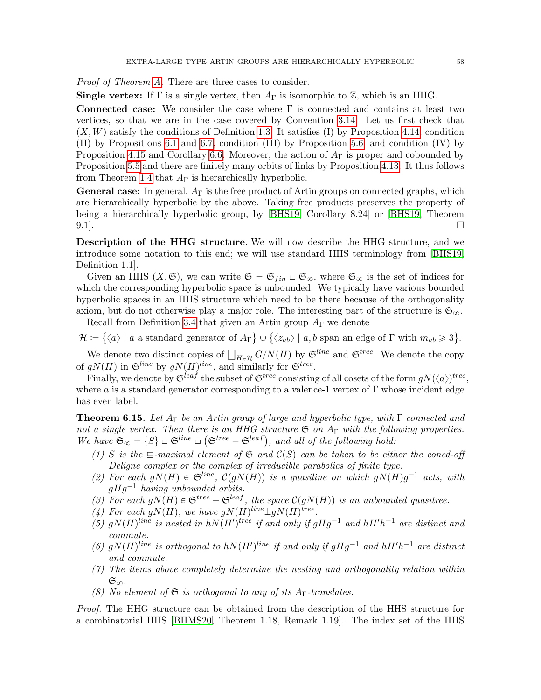Proof of Theorem [A.](#page-2-3) There are three cases to consider.

**Single vertex:** If  $\Gamma$  is a single vertex, then  $A_{\Gamma}$  is isomorphic to  $\mathbb{Z}$ , which is an HHG.

Connected case: We consider the case where  $\Gamma$  is connected and contains at least two vertices, so that we are in the case covered by Convention [3.14.](#page-20-2) Let us first check that  $(X, W)$  satisfy the conditions of Definition [1.3:](#page-5-2) It satisfies (I) by Proposition [4.14,](#page-33-0) condition (II) by Propositions [6.1](#page-46-2) and [6.7,](#page-48-2) condition (III) by Proposition [5.6,](#page-41-1) and condition (IV) by Proposition [4.15](#page-33-1) and Corollary [6.6.](#page-48-1) Moreover, the action of  $A_{\Gamma}$  is proper and cobounded by Proposition [5.5](#page-39-0) and there are finitely many orbits of links by Proposition [4.13.](#page-32-1) It thus follows from Theorem [1.4](#page-6-2) that  $A_{\Gamma}$  is hierarchically hyperbolic.

**General case:** In general,  $A_{\Gamma}$  is the free product of Artin groups on connected graphs, which are hierarchically hyperbolic by the above. Taking free products preserves the property of being a hierarchically hyperbolic group, by [\[BHS19,](#page-60-4) Corollary 8.24] or [\[BHS19,](#page-60-4) Theorem  $9.1$ ].

Description of the HHG structure. We will now describe the HHG structure, and we introduce some notation to this end; we will use standard HHS terminology from [\[BHS19,](#page-60-4) Definition 1.1].

Given an HHS  $(X, \mathfrak{S})$ , we can write  $\mathfrak{S} = \mathfrak{S}_{fin} \sqcup \mathfrak{S}_{\infty}$ , where  $\mathfrak{S}_{\infty}$  is the set of indices for which the corresponding hyperbolic space is unbounded. We typically have various bounded hyperbolic spaces in an HHS structure which need to be there because of the orthogonality axiom, but do not otherwise play a major role. The interesting part of the structure is  $\mathfrak{S}_{\infty}$ .

Recall from Definition [3.4](#page-16-1) that given an Artin group  $A_{\Gamma}$  we denote

 $\mathcal{H} \coloneqq \{ \langle a \rangle \mid a \text{ a standard generator of } A_{\Gamma} \} \cup \{ \langle z_{ab} \rangle \mid a,b \text{ span an edge of } \Gamma \text{ with } m_{ab} \geqslant 3$ .

We denote two distinct copies of  $\bigsqcup_{H \in \mathcal{H}} G/N(H)$  by  $\mathfrak{S}^{line}$  and  $\mathfrak{S}^{tree}$ . We denote the copy of  $gN(H)$  in  $\mathfrak{S}^{line}$  by  $gN(H)^{line}$ , and similarly for  $\mathfrak{S}^{tree}$ .

Finally, we denote by  $\mathfrak{S}^{leaf}$  the subset of  $\mathfrak{S}^{tree}$  consisting of all cosets of the form  $gN(\langle a \rangle)^{tree},$ where a is a standard generator corresponding to a valence-1 vertex of  $\Gamma$  whose incident edge has even label.

<span id="page-57-0"></span>**Theorem 6.15.** Let  $A_{\Gamma}$  be an Artin group of large and hyperbolic type, with  $\Gamma$  connected and not a single vertex. Then there is an HHG structure  $\mathfrak{S}$  on  $A_{\Gamma}$  with the following properties. not a single vertex. Then there is an HHG structure  $\mathfrak S$  on  $A_\Gamma$  with the following  $W$ e have  $\mathfrak S_\infty = \{S\} \sqcup \mathfrak S^{line} \sqcup (\mathfrak S^{tree} - \mathfrak S^{leaf}),$  and all of the following hold:

- (1) S is the  $\sqsubseteq$ -maximal element of  $\mathfrak S$  and  $\mathcal C(S)$  can be taken to be either the coned-off Deligne complex or the complex of irreducible parabolics of finite type.
- (2) For each  $gN(H) \in \mathfrak{S}^{line}$ ,  $\mathcal{C}(gN(H))$  is a quasiline on which  $gN(H)g^{-1}$  acts, with  $qHq^{-1}$  having unbounded orbits.
- (3) For each  $gN(H) \in \mathfrak{S}^{tree} \mathfrak{S}^{leaf}$ , the space  $\mathcal{C}(gN(H))$  is an unbounded quasitree.
- (4) For each  $gN(H)$ , we have  $gN(H)^{line} \perp gN(H)^{tree}$ .
- (5)  $gN(H)$ <sup>line</sup> is nested in  $hN(H')$ <sup>tree</sup> if and only if  $gHg^{-1}$  and  $hH'h^{-1}$  are distinct and commute.
- (6)  $gN(H)$ <sup>line</sup> is orthogonal to  $hN(H')$ <sup>line</sup> if and only if  $gHg^{-1}$  and  $hH'h^{-1}$  are distinct and commute.
- $(7)$  The items above completely determine the nesting and orthogonality relation within  $\mathfrak{S}_{\infty}$ .
- (8) No element of  $\mathfrak S$  is orthogonal to any of its A<sub>Γ</sub>-translates.

Proof. The HHG structure can be obtained from the description of the HHS structure for a combinatorial HHS [\[BHMS20,](#page-60-13) Theorem 1.18, Remark 1.19]. The index set of the HHS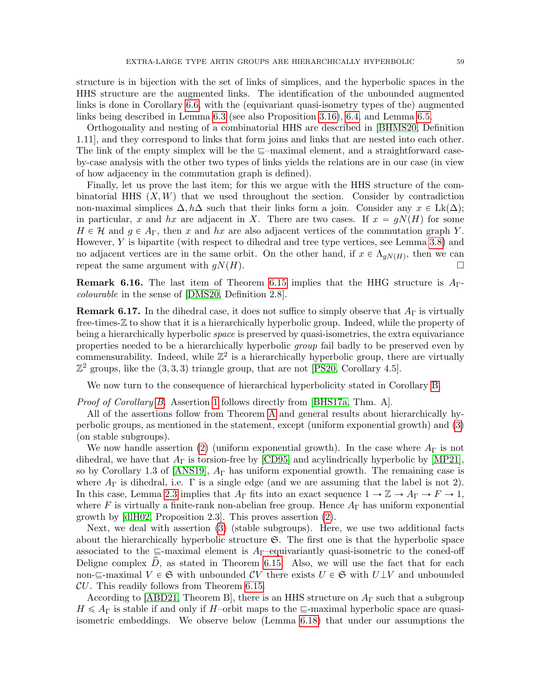structure is in bijection with the set of links of simplices, and the hyperbolic spaces in the HHS structure are the augmented links. The identification of the unbounded augmented links is done in Corollary [6.6,](#page-48-1) with the (equivariant quasi-isometry types of the) augmented links being described in Lemma [6.3](#page-47-1) (see also Proposition [3.16\)](#page-21-0), [6.4,](#page-47-0) and Lemma [6.5.](#page-47-2)

Orthogonality and nesting of a combinatorial HHS are described in [\[BHMS20,](#page-60-13) Definition 1.11], and they correspond to links that form joins and links that are nested into each other. The link of the empty simplex will be the  $\equiv$ -maximal element, and a straightforward caseby-case analysis with the other two types of links yields the relations are in our case (in view of how adjacency in the commutation graph is defined).

Finally, let us prove the last item; for this we argue with the HHS structure of the combinatorial HHS  $(X, W)$  that we used throughout the section. Consider by contradiction non-maximal simplices  $\Delta$ ,  $h\Delta$  such that their links form a join. Consider any  $x \in Lk(\Delta)$ ; in particular, x and hx are adjacent in X. There are two cases. If  $x = gN(H)$  for some  $H \in \mathcal{H}$  and  $g \in A_{\Gamma}$ , then x and hx are also adjacent vertices of the commutation graph Y. However, Y is bipartite (with respect to dihedral and tree type vertices, see Lemma [3.8\)](#page-18-0) and no adjacent vertices are in the same orbit. On the other hand, if  $x \in \Lambda_{gN(H)}$ , then we can repeat the same argument with  $qN(H)$ .

**Remark 6.16.** The last item of Theorem [6.15](#page-57-0) implies that the HHG structure is  $A_{\Gamma}$ colourable in the sense of [\[DMS20,](#page-60-10) Definition 2.8].

**Remark 6.17.** In the dihedral case, it does not suffice to simply observe that  $A_{\Gamma}$  is virtually free-times-Z to show that it is a hierarchically hyperbolic group. Indeed, while the property of being a hierarchically hyperbolic space is preserved by quasi-isometries, the extra equivariance properties needed to be a hierarchically hyperbolic group fail badly to be preserved even by commensurability. Indeed, while  $\mathbb{Z}^2$  is a hierarchically hyperbolic group, there are virtually  $\mathbb{Z}^2$  groups, like the  $(3, 3, 3)$  triangle group, that are not [\[PS20,](#page-61-14) Corollary 4.5].

We now turn to the consequence of hierarchical hyperbolicity stated in Corollary [B.](#page-2-4)

Proof of Corollary [B.](#page-2-4) Assertion [1](#page-2-5) follows directly from [\[BHS17a,](#page-60-9) Thm. A].

All of the assertions follow from Theorem [A](#page-2-3) and general results about hierarchically hyperbolic groups, as mentioned in the statement, except (uniform exponential growth) and [\(3\)](#page-2-2) (on stable subgroups).

We now handle assertion [\(2\)](#page-2-1) (uniform exponential growth). In the case where  $A_{\Gamma}$  is not dihedral, we have that  $A_{\Gamma}$  is torsion-free by [\[CD95\]](#page-60-19) and acylindrically hyperbolic by [\[MP21\]](#page-61-6), so by Corollary 1.3 of [\[ANS19\]](#page-59-1),  $A_{\Gamma}$  has uniform exponential growth. The remaining case is where  $A_{\Gamma}$  is dihedral, i.e.  $\Gamma$  is a single edge (and we are assuming that the label is not 2). In this case, Lemma [2.3](#page-7-1) implies that  $A_{\Gamma}$  fits into an exact sequence  $1 \to \mathbb{Z} \to A_{\Gamma} \to F \to 1$ , where F is virtually a finite-rank non-abelian free group. Hence  $A_{\Gamma}$  has uniform exponential growth by [\[dlH02,](#page-60-24) Proposition 2.3]. This proves assertion [\(2\)](#page-2-1).

Next, we deal with assertion [\(3\)](#page-2-2) (stable subgroups). Here, we use two additional facts about the hierarchically hyperbolic structure  $\mathfrak{S}$ . The first one is that the hyperbolic space associated to the  $\equiv$ -maximal element is A<sub>Γ</sub>-equivariantly quasi-isometric to the coned-off Deligne complex  $\hat{D}$ , as stated in Theorem [6.15.](#page-57-0) Also, we will use the fact that for each non- $\subseteq$ -maximal  $V \in \mathfrak{S}$  with unbounded CV there exists  $U \in \mathfrak{S}$  with  $U \perp V$  and unbounded  $CU$ . This readily follows from Theorem [6.15.](#page-57-0)

According to [\[ABD21,](#page-59-2) Theorem B], there is an HHS structure on  $A_{\Gamma}$  such that a subgroup  $H \leq A_{\Gamma}$  is stable if and only if H–orbit maps to the  $\Gamma$ -maximal hyperbolic space are quasiisometric embeddings. We observe below (Lemma [6.18\)](#page-59-6) that under our assumptions the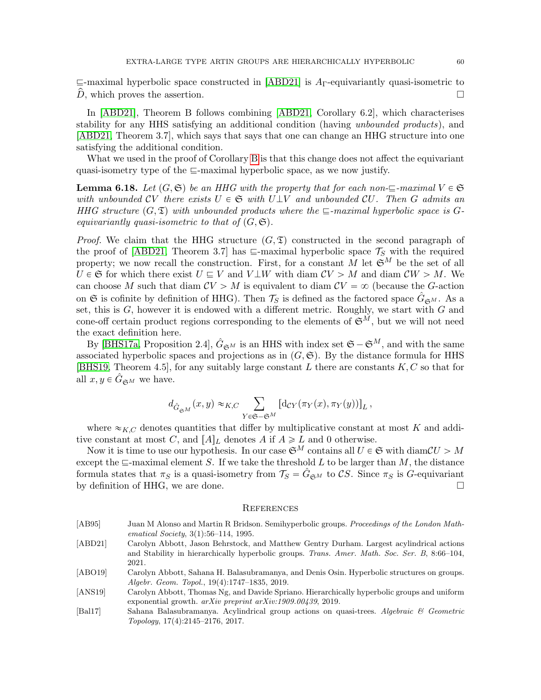$\subseteq$ -maximal hyperbolic space constructed in [\[ABD21\]](#page-59-2) is A<sub>Γ</sub>-equivariantly quasi-isometric to  $\overline{D}$ , which proves the assertion.

In [\[ABD21\]](#page-59-2), Theorem B follows combining [\[ABD21,](#page-59-2) Corollary 6.2], which characterises stability for any HHS satisfying an additional condition (having unbounded products), and [\[ABD21,](#page-59-2) Theorem 3.7], which says that says that one can change an HHG structure into one satisfying the additional condition.

What we used in the proof of Corollary [B](#page-2-4) is that this change does not affect the equivariant quasi-isometry type of the  $\sqsubseteq$ -maximal hyperbolic space, as we now justify.

<span id="page-59-6"></span>**Lemma 6.18.** Let  $(G, \mathfrak{S})$  be an HHG with the property that for each non- $\equiv$ -maximal  $V \in \mathfrak{S}$ with unbounded CV there exists  $U \in \mathfrak{S}$  with  $U \perp V$  and unbounded CU. Then G admits an HHG structure  $(G, \mathfrak{T})$  with unbounded products where the  $\sqsubseteq$ -maximal hyperbolic space is Gequivariantly quasi-isometric to that of  $(G, \mathfrak{S})$ .

*Proof.* We claim that the HHG structure  $(G, \mathfrak{T})$  constructed in the second paragraph of the proof of [\[ABD21,](#page-59-2) Theorem 3.7] has  $\equiv$ -maximal hyperbolic space  $\mathcal{T}_S$  with the required property; we now recall the construction. First, for a constant M let  $\mathfrak{S}^M$  be the set of all  $U \in \mathfrak{S}$  for which there exist  $U \subseteq V$  and  $V \perp W$  with diam  $CV > M$  and diam  $CW > M$ . We can choose M such that diam  $CV > M$  is equivalent to diam  $CV = \infty$  (because the G-action on  $\mathfrak S$  is cofinite by definition of HHG). Then  $\mathcal T_S$  is defined as the factored space  $\hat G_{\mathfrak S^M}$ . As a set, this is  $G$ , however it is endowed with a different metric. Roughly, we start with  $G$  and cone-off certain product regions corresponding to the elements of  $\mathfrak{S}^M$ , but we will not need the exact definition here.

By [\[BHS17a,](#page-60-9) Proposition 2.4],  $\hat{G}_{\mathfrak{S}^M}$  is an HHS with index set  $\mathfrak{S}-\mathfrak{S}^M$ , and with the same associated hyperbolic spaces and projections as in  $(G, \mathfrak{S})$ . By the distance formula for HHS [\[BHS19,](#page-60-4) Theorem 4.5], for any suitably large constant L there are constants  $K, C$  so that for all  $x, y \in \hat{G}_{\mathfrak{S}^M}$  we have.

$$
d_{\hat{G}_{\mathfrak{S}^M}}(x,y) \approx_{K,C} \sum_{Y \in \mathfrak{S} - \mathfrak{S}^M} \left[ \mathrm{d}_{CY}(\pi_Y(x), \pi_Y(y)) \right]_L,
$$

where  $\approx_{K,C}$  denotes quantities that differ by multiplicative constant at most K and additive constant at most C, and  $[A]_L$  denotes A if  $A \ge L$  and 0 otherwise.

Now it is time to use our hypothesis. In our case  $\mathfrak{S}^M$  contains all  $U \in \mathfrak{S}$  with diam $CU > M$ except the  $\sqsubseteq$ -maximal element S. If we take the threshold L to be larger than M, the distance formula states that  $\pi_S$  is a quasi-isometry from  $\mathcal{T}_S = \hat{G}_{\mathfrak{S}^M}$  to CS. Since  $\pi_S$  is G-equivariant by definition of HHG, we are done.

#### <span id="page-59-0"></span>**REFERENCES**

- <span id="page-59-3"></span>[AB95] Juan M Alonso and Martin R Bridson. Semihyperbolic groups. Proceedings of the London Mathematical Society, 3(1):56–114, 1995.
- <span id="page-59-2"></span>[ABD21] Carolyn Abbott, Jason Behrstock, and Matthew Gentry Durham. Largest acylindrical actions and Stability in hierarchically hyperbolic groups. Trans. Amer. Math. Soc. Ser. B, 8:66–104, 2021.

<span id="page-59-4"></span>[ABO19] Carolyn Abbott, Sahana H. Balasubramanya, and Denis Osin. Hyperbolic structures on groups. Algebr. Geom. Topol., 19(4):1747–1835, 2019.

- <span id="page-59-1"></span>[ANS19] Carolyn Abbott, Thomas Ng, and Davide Spriano. Hierarchically hyperbolic groups and uniform exponential growth.  $arXiv$  preprint  $arXiv:1909.00439, 2019$ .
- <span id="page-59-5"></span>[Bal17] Sahana Balasubramanya. Acylindrical group actions on quasi-trees. Algebraic & Geometric Topology, 17(4):2145–2176, 2017.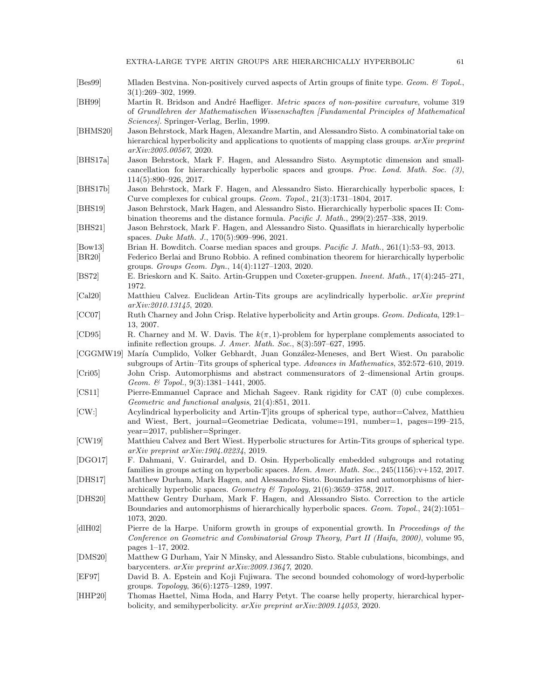EXTRA-LARGE TYPE ARTIN GROUPS ARE HIERARCHICALLY HYPERBOLIC 61

- <span id="page-60-18"></span>[Bes99] Mladen Bestvina. Non-positively curved aspects of Artin groups of finite type. Geom. & Topol., 3(1):269–302, 1999.
- <span id="page-60-23"></span>[BH99] Martin R. Bridson and André Haefliger. *Metric spaces of non-positive curvature*, volume 319 of Grundlehren der Mathematischen Wissenschaften [Fundamental Principles of Mathematical Sciences]. Springer-Verlag, Berlin, 1999.
- <span id="page-60-13"></span>[BHMS20] Jason Behrstock, Mark Hagen, Alexandre Martin, and Alessandro Sisto. A combinatorial take on hierarchical hyperbolicity and applications to quotients of mapping class groups. arXiv preprint arXiv:2005.00567, 2020.
- <span id="page-60-9"></span>[BHS17a] Jason Behrstock, Mark F. Hagen, and Alessandro Sisto. Asymptotic dimension and smallcancellation for hierarchically hyperbolic spaces and groups. Proc. Lond. Math. Soc. (3), 114(5):890–926, 2017.
- <span id="page-60-3"></span>[BHS17b] Jason Behrstock, Mark F. Hagen, and Alessandro Sisto. Hierarchically hyperbolic spaces, I: Curve complexes for cubical groups. Geom. Topol., 21(3):1731–1804, 2017.
- <span id="page-60-4"></span>[BHS19] Jason Behrstock, Mark Hagen, and Alessandro Sisto. Hierarchically hyperbolic spaces II: Combination theorems and the distance formula. Pacific J. Math., 299(2):257–338, 2019.
- <span id="page-60-14"></span>[BHS21] Jason Behrstock, Mark F. Hagen, and Alessandro Sisto. Quasiflats in hierarchically hyperbolic spaces. Duke Math. J., 170(5):909–996, 2021.
- <span id="page-60-5"></span>[Bow13] Brian H. Bowditch. Coarse median spaces and groups. Pacific J. Math., 261(1):53–93, 2013.
- <span id="page-60-12"></span>[BR20] Federico Berlai and Bruno Robbio. A refined combination theorem for hierarchically hyperbolic groups. Groups Geom. Dyn., 14(4):1127–1203, 2020.
- <span id="page-60-16"></span>[BS72] E. Brieskorn and K. Saito. Artin-Gruppen und Coxeter-gruppen. Invent. Math., 17(4):245–271, 1972.
- <span id="page-60-2"></span>[Cal20] Matthieu Calvez. Euclidean Artin-Tits groups are acylindrically hyperbolic. arXiv preprint arXiv:2010.13145, 2020.
- <span id="page-60-22"></span>[CC07] Ruth Charney and John Crisp. Relative hyperbolicity and Artin groups. Geom. Dedicata, 129:1– 13, 2007.
- <span id="page-60-19"></span>[CD95] R. Charney and M. W. Davis. The  $k(\pi, 1)$ -problem for hyperplane complements associated to infinite reflection groups. J. Amer. Math. Soc., 8(3):597–627, 1995.
- <span id="page-60-15"></span>[CGGMW19] María Cumplido, Volker Gebhardt, Juan González-Meneses, and Bert Wiest. On parabolic subgroups of Artin–Tits groups of spherical type. Advances in Mathematics, 352:572–610, 2019.
- <span id="page-60-17"></span>[Cri05] John Crisp. Automorphisms and abstract commensurators of 2–dimensional Artin groups. Geom. & Topol., 9(3):1381–1441, 2005.
- <span id="page-60-0"></span>[CS11] Pierre-Emmanuel Caprace and Michah Sageev. Rank rigidity for CAT (0) cube complexes. Geometric and functional analysis, 21(4):851, 2011.
- <span id="page-60-1"></span>[CW:] Acylindrical hyperbolicity and Artin-T]its groups of spherical type, author=Calvez, Matthieu and Wiest, Bert, journal=Geometriae Dedicata, volume=191, number=1, pages=199–215, year=2017, publisher=Springer.
- <span id="page-60-11"></span>[CW19] Matthieu Calvez and Bert Wiest. Hyperbolic structures for Artin-Tits groups of spherical type. arXiv preprint arXiv:1904.02234, 2019.
- <span id="page-60-21"></span>[DGO17] F. Dahmani, V. Guirardel, and D. Osin. Hyperbolically embedded subgroups and rotating families in groups acting on hyperbolic spaces. Mem. Amer. Math. Soc., 245(1156):v+152, 2017.
- <span id="page-60-7"></span>[DHS17] Matthew Durham, Mark Hagen, and Alessandro Sisto. Boundaries and automorphisms of hierarchically hyperbolic spaces. Geometry & Topology,  $21(6):3659-3758$ , 2017.
- <span id="page-60-8"></span>[DHS20] Matthew Gentry Durham, Mark F. Hagen, and Alessandro Sisto. Correction to the article Boundaries and automorphisms of hierarchically hyperbolic spaces. Geom. Topol., 24(2):1051– 1073, 2020.
- <span id="page-60-24"></span>[dlH02] Pierre de la Harpe. Uniform growth in groups of exponential growth. In Proceedings of the Conference on Geometric and Combinatorial Group Theory, Part II (Haifa, 2000), volume 95, pages 1–17, 2002.
- <span id="page-60-10"></span>[DMS20] Matthew G Durham, Yair N Minsky, and Alessandro Sisto. Stable cubulations, bicombings, and barycenters. arXiv preprint arXiv:2009.13647, 2020.
- <span id="page-60-20"></span>[EF97] David B. A. Epstein and Koji Fujiwara. The second bounded cohomology of word-hyperbolic groups. Topology, 36(6):1275–1289, 1997.
- <span id="page-60-6"></span>[HHP20] Thomas Haettel, Nima Hoda, and Harry Petyt. The coarse helly property, hierarchical hyperbolicity, and semihyperbolicity. arXiv preprint arXiv:2009.14053, 2020.